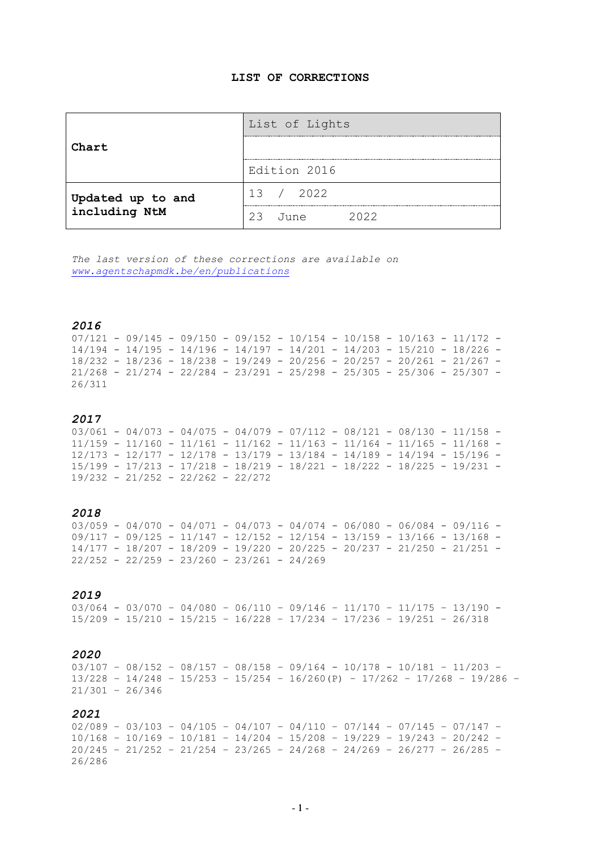## **LIST OF CORRECTIONS**

|                                    | List of Lights        |
|------------------------------------|-----------------------|
| Chart                              |                       |
|                                    | Edition 2016          |
|                                    | 13 / 2022             |
| Updated up to and<br>including NtM | 2022<br>フ3<br>مnııl T |

*The last version of these corrections are available on [www.agentschapmdk.be/en/publications](http://www.agentschapmdk.be/en/publications)*

## *2016*

 $07/121 - 09/145 - 09/150 - 09/152 - 10/154 - 10/158 - 10/163 - 11/172 14/194 - 14/195 - 14/196 - 14/197 - 14/201 - 14/203 - 15/210 - 18/226 -$ 18/232 - 18/236 - 18/238 - 19/249 - 20/256 - 20/257 - 20/261 - 21/267 -  $21/268 - 21/274 - 22/284 - 23/291 - 25/298 - 25/305 - 25/306 - 25/307 -$ 26/311

## *2017*

 $03/061 - 04/073 - 04/075 - 04/079 - 07/112 - 08/121 - 08/130 - 11/158 -$ 11/159 - 11/160 - 11/161 - 11/162 - 11/163 - 11/164 - 11/165 - 11/168 - 12/173 - 12/177 - 12/178 - 13/179 - 13/184 - 14/189 - 14/194 - 15/196 - 15/199 - 17/213 - 17/218 - 18/219 - 18/221 - 18/222 - 18/225 - 19/231 - 19/232 - 21/252 - 22/262 - 22/272

## *2018*

 $03/059 - 04/070 - 04/071 - 04/073 - 04/074 - 06/080 - 06/084 - 09/116 09/117 - 09/125 - 11/147 - 12/152 - 12/154 - 13/159 - 13/166 - 13/168 -$ 14/177 - 18/207 - 18/209 - 19/220 - 20/225 - 20/237 - 21/250 - 21/251 -  $22/252 - 22/259 - 23/260 - 23/261 - 24/269$ 

## *2019*

03/064 - 03/070 – 04/080 – 06/110 – 09/146 – 11/170 – 11/175 – 13/190 - 15/209 - 15/210 - 15/215 – 16/228 – 17/234 – 17/236 – 19/251 – 26/318

## *2020*

03/107 – 08/152 – 08/157 – 08/158 – 09/164 - 10/178 - 10/181 – 11/203 – 13/228 – 14/248 – 15/253 – 15/254 – 16/260(P) – 17/262 – 17/268 – 19/286 – 21/301 – 26/346

## *2021*

 $02/089 - 03/103 - 04/105 - 04/107 - 04/110 - 07/144 - 07/145 - 07/147 -$ 10/168 – 10/169 – 10/181 – 14/204 – 15/208 – 19/229 – 19/243 – 20/242 – 20/245 – 21/252 – 21/254 – 23/265 – 24/268 – 24/269 – 26/277 – 26/285 – 26/286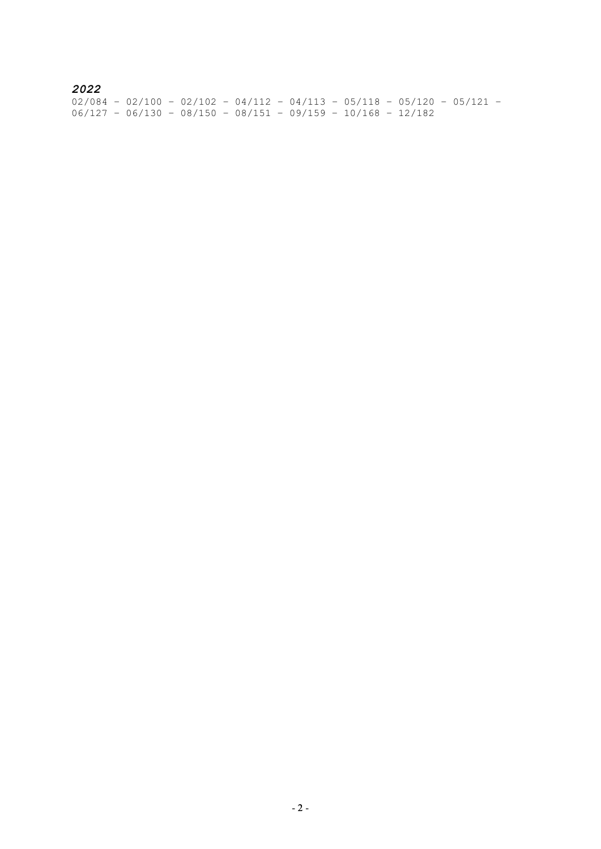# *2022*

02/084 – 02/100 – 02/102 – 04/112 – 04/113 – 05/118 – 05/120 – 05/121 – 06/127 – 06/130 – 08/150 – 08/151 – 09/159 – 10/168 – 12/182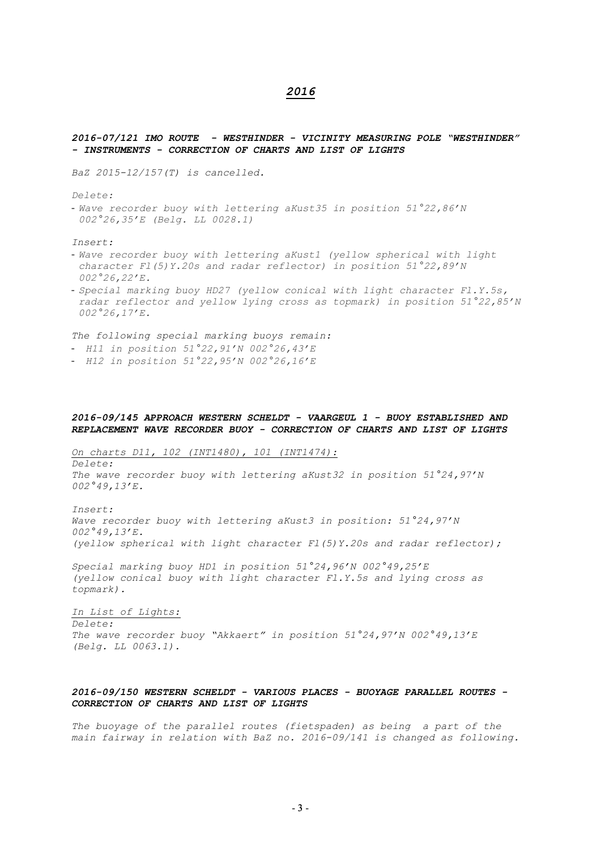## *2016*

### *2016-07/121 IMO ROUTE - WESTHINDER - VICINITY MEASURING POLE "WESTHINDER" - INSTRUMENTS - CORRECTION OF CHARTS AND LIST OF LIGHTS*

*BaZ 2015-12/157(T) is cancelled.* 

*Delete:* 

- *Wave recorder buoy with lettering aKust35 in position 51°22,86'N 002°26,35'E (Belg. LL 0028.1)* 

*Insert:*

- *Wave recorder buoy with lettering aKust1 (yellow spherical with light character Fl(5)Y.20s and radar reflector) in position 51°22,89'N 002°26,22'E.*
- *Special marking buoy HD27 (yellow conical with light character Fl.Y.5s, radar reflector and yellow lying cross as topmark) in position 51°22,85'N 002°26,17'E.*

*The following special marking buoys remain:* 

- *H11 in position 51°22,91'N 002°26,43'E*
- *H12 in position 51°22,95'N 002°26,16'E*

## *2016-09/145 APPROACH WESTERN SCHELDT - VAARGEUL 1 - BUOY ESTABLISHED AND REPLACEMENT WAVE RECORDER BUOY - CORRECTION OF CHARTS AND LIST OF LIGHTS*

*On charts D11, 102 (INT1480), 101 (INT1474):*

*Delete: The wave recorder buoy with lettering aKust32 in position 51°24,97'N 002°49,13'E.* 

*Insert: Wave recorder buoy with lettering aKust3 in position: 51°24,97'N 002°49,13'E. (yellow spherical with light character Fl(5)Y.20s and radar reflector);*

*Special marking buoy HD1 in position 51°24,96'N 002°49,25'E (yellow conical buoy with light character Fl.Y.5s and lying cross as topmark).*

*In List of Lights: Delete: The wave recorder buoy "Akkaert" in position 51°24,97'N 002°49,13'E (Belg. LL 0063.1).*

## *2016-09/150 WESTERN SCHELDT - VARIOUS PLACES - BUOYAGE PARALLEL ROUTES - CORRECTION OF CHARTS AND LIST OF LIGHTS*

*The buoyage of the parallel routes (fietspaden) as being a part of the main fairway in relation with BaZ no. 2016-09/141 is changed as following.*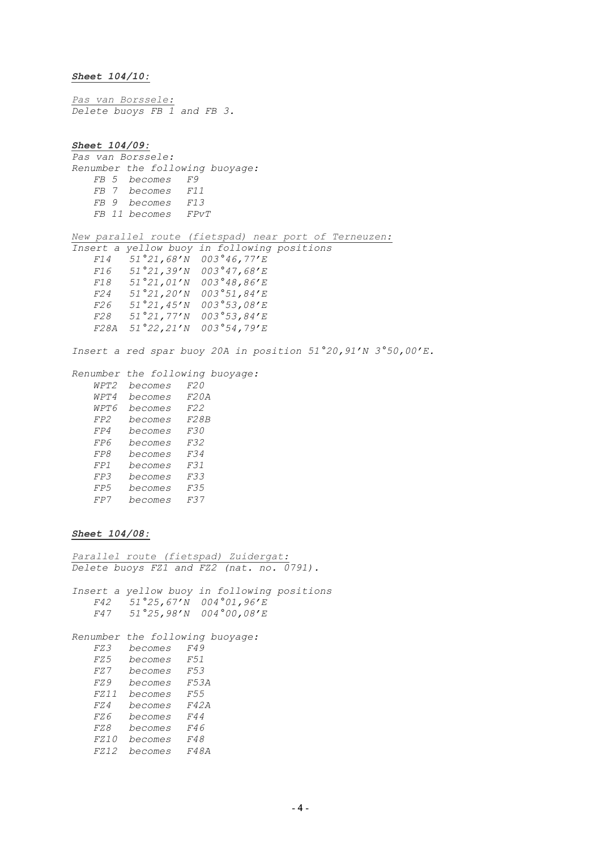*Sheet 104/10:*

*Pas van Borssele: Delete buoys FB 1 and FB 3.*

*Sheet 104/09: Pas van Borssele: Renumber the following buoyage: FB 5 becomes F9 FB 7 becomes F11 FB 9 becomes F13 FB 11 becomes FPvT New parallel route (fietspad) near port of Terneuzen: Insert a yellow buoy in following positions F14 51°21,68'N 003°46,77'E F16 51°21,39'N 003°47,68'E F18 51°21,01'N 003°48,86'E F24 51°21,20'N 003°51,84'E F26 51°21,45'N 003°53,08'E F28 51°21,77'N 003°53,84'E F28A 51°22,21'N 003°54,79'E Insert a red spar buoy 20A in position 51°20,91'N 3°50,00'E. Renumber the following buoyage: WPT2 becomes F20 WPT4 becomes F20A WPT6 becomes F22 FP2 becomes F28B FP4 becomes F30 FP6 becomes F32 FP8 becomes F34 FP1 becomes F31 FP3 becomes F33 FP5 becomes F35 FP7 becomes F37* 

## *Sheet 104/08:*

*Parallel route (fietspad) Zuidergat: Delete buoys FZ1 and FZ2 (nat. no. 0791).*

*Insert a yellow buoy in following positions F42 51°25,67'N 004°01,96'E F47 51°25,98'N 004°00,08'E*

*Renumber the following buoyage: FZ3 becomes F49 FZ5 becomes F51 FZ7 becomes F53 FZ9 becomes F53A FZ11 becomes F55 FZ4 becomes F42A FZ6 becomes F44 FZ8 becomes F46 FZ10 becomes F48*

*FZ12 becomes F48A*

 $-4 -$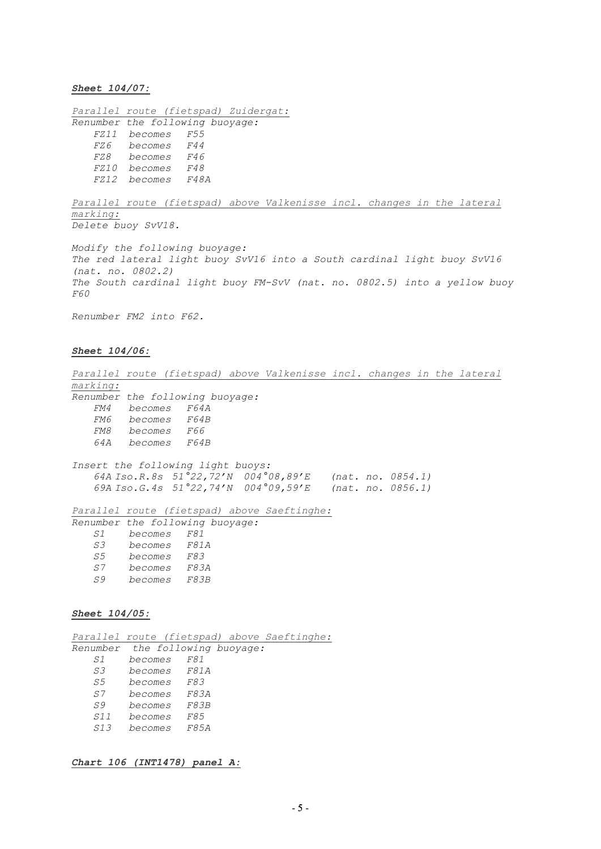*Sheet 104/07:*

| F55 |                                                                                 |                                                                                 |
|-----|---------------------------------------------------------------------------------|---------------------------------------------------------------------------------|
| F44 |                                                                                 |                                                                                 |
| F46 |                                                                                 |                                                                                 |
| F48 |                                                                                 |                                                                                 |
|     |                                                                                 |                                                                                 |
|     | <i>FZ11 becomes</i><br><i>FZ6 becomes</i><br>becomes<br>FZ10 becomes<br>becomes | Parallel route (fietspad) Zuidergat:<br>Renumber the following buoyage:<br>F48A |

Parallel route (fietspad) above Valkenisse incl. changes in the lateral *marking: Delete buoy SvV18.*

*Modify the following buoyage: The red lateral light buoy SvV16 into a South cardinal light buoy SvV16 (nat. no. 0802.2) The South cardinal light buoy FM-SvV (nat. no. 0802.5) into a yellow buoy F60*

*Renumber FM2 into F62.*

### *Sheet 104/06:*

*Parallel route (fietspad) above Valkenisse incl. changes in the lateral marking: Renumber the following buoyage: FM4 becomes F64A FM6 becomes F64B FM8 becomes F66 64A becomes F64B Insert the following light buoys: 64A Iso.R.8s 51°22,72'N 004°08,89'E (nat. no. 0854.1) 69A Iso.G.4s 51°22,74'N 004°09,59'E (nat. no. 0856.1) Parallel route (fietspad) above Saeftinghe: Renumber the following buoyage: S1 becomes F81 S3 becomes F81A S5 becomes F83 S7 becomes F83A S9 becomes F83B* 

## *Sheet 104/05:*

*Parallel route (fietspad) above Saeftinghe: Renumber the following buoyage: S1 becomes F81 S3 becomes F81A S5 becomes F83 S7 becomes F83A S9 becomes F83B S11 becomes F85 S13 becomes F85A*

## *Chart 106 (INT1478) panel A:*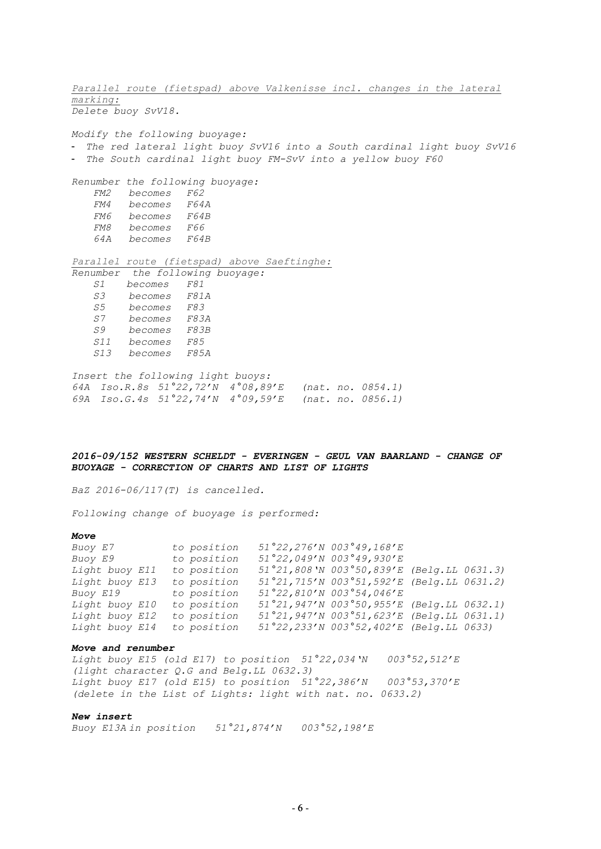*Parallel route (fietspad) above Valkenisse incl. changes in the lateral marking: Delete buoy SvV18. Modify the following buoyage:* - *The red lateral light buoy SvV16 into a South cardinal light buoy SvV16* - *The South cardinal light buoy FM-SvV into a yellow buoy F60 Renumber the following buoyage: FM2 becomes F62 FM4 becomes F64A FM6 becomes F64B FM8 becomes F66 64A becomes F64B Parallel route (fietspad) above Saeftinghe: Renumber the following buoyage: S1 becomes F81 S3 becomes F81A S5 becomes F83 S7 becomes F83A S9 becomes F83B S11 becomes F85 S13 becomes F85A Insert the following light buoys:*

*64A Iso.R.8s 51°22,72'N 4°08,89'E (nat. no. 0854.1) 69A Iso.G.4s 51°22,74'N 4°09,59'E (nat. no. 0856.1)*

## *2016-09/152 WESTERN SCHELDT - EVERINGEN - GEUL VAN BAARLAND - CHANGE OF BUOYAGE - CORRECTION OF CHARTS AND LIST OF LIGHTS*

*BaZ 2016-06/117(T) is cancelled.*

*Following change of buoyage is performed:*

#### *Move*

| Buoy E7        | to position | $51°22, 276'$ N 003°49,168'E              |  |
|----------------|-------------|-------------------------------------------|--|
| Buoy E9        | to position | 51°22,049'N 003°49,930'E                  |  |
| Light buoy E11 | to position | 51°21,808'N 003°50,839'E (Belg.LL 0631.3) |  |
| Light buoy E13 | to position | 51°21,715'N 003°51,592'E (Belg.LL 0631.2) |  |
| Buoy E19       | to position | 51°22,810'N 003°54,046'E                  |  |
| Light buoy E10 | to position | 51°21,947'N 003°50,955'E (Belg.LL 0632.1) |  |
| Light buoy E12 | to position | 51°21,947'N 003°51,623'E (Belg.LL 0631.1) |  |
| Light buoy E14 | to position | 51°22,233'N 003°52,402'E (Belg.LL 0633)   |  |

### *Move and renumber*

*Light buoy E15 (old E17) to position 51°22,034'N 003°52,512'E (light character Q.G and Belg.LL 0632.3) Light buoy E17 (old E15) to position 51°22,386'N 003°53,370'E (delete in the List of Lights: light with nat. no. 0633.2)* 

#### *New insert*

*Buoy E13A in position 51°21,874'N 003°52,198'E*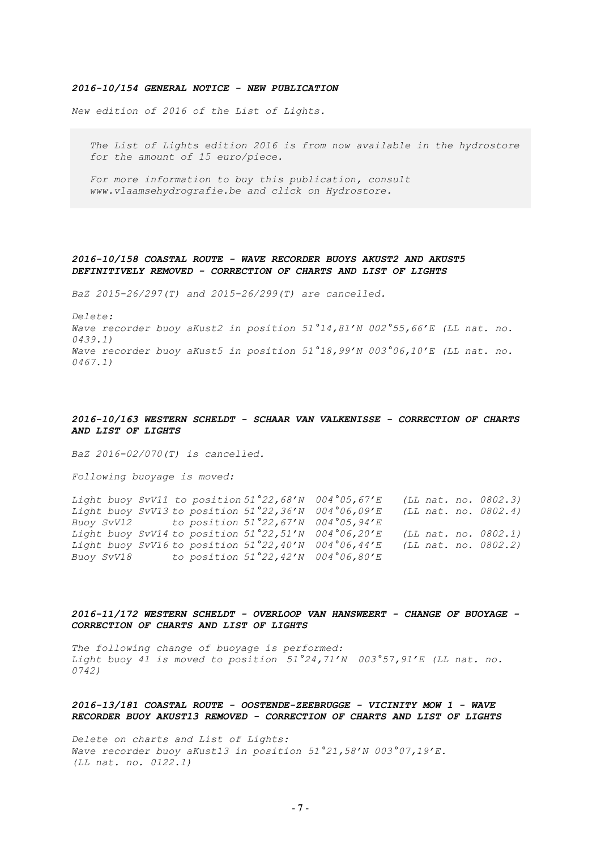#### *2016-10/154 GENERAL NOTICE - NEW PUBLICATION*

*New edition of 2016 of the List of Lights.* 

 *The List of Lights edition 2016 is from now available in the hydrostore for the amount of 15 euro/piece.*

 *For more information to buy this publication, consult [www.vlaamsehydrografie.be](http://www.vlaamsehydrografie.be/) and click on Hydrostore.* 

## *2016-10/158 COASTAL ROUTE - WAVE RECORDER BUOYS AKUST2 AND AKUST5 DEFINITIVELY REMOVED - CORRECTION OF CHARTS AND LIST OF LIGHTS*

*BaZ 2015-26/297(T) and 2015-26/299(T) are cancelled.*

*Delete: Wave recorder buoy aKust2 in position 51°14,81'N 002°55,66'E (LL nat. no. 0439.1) Wave recorder buoy aKust5 in position 51°18,99'N 003°06,10'E (LL nat. no. 0467.1)* 

## *2016-10/163 WESTERN SCHELDT - SCHAAR VAN VALKENISSE - CORRECTION OF CHARTS AND LIST OF LIGHTS*

*BaZ 2016-02/070(T) is cancelled.*

*Following buoyage is moved:*

*Light buoy SvV11 to position 51°22,68'N 004°05,67'E (LL nat. no. 0802.3) Light buoy SvV13 to position 51°22,36'N 004°06,09'E (LL nat. no. 0802.4) Buoy SvV12 to position 51°22,67'N 004°05,94'E Light buoy SvV14 to position 51°22,51'N 004°06,20'E (LL nat. no. 0802.1) Light buoy SvV16 to position 51°22,40'N 004°06,44'E (LL nat. no. 0802.2) Buoy SvV18 to position 51°22,42'N 004°06,80'E*

*2016-11/172 WESTERN SCHELDT - OVERLOOP VAN HANSWEERT - CHANGE OF BUOYAGE - CORRECTION OF CHARTS AND LIST OF LIGHTS*

*The following change of buoyage is performed: Light buoy 41 is moved to position 51°24,71'N 003°57,91'E (LL nat. no. 0742)*

### *2016-13/181 COASTAL ROUTE - OOSTENDE-ZEEBRUGGE - VICINITY MOW 1 - WAVE RECORDER BUOY AKUST13 REMOVED - CORRECTION OF CHARTS AND LIST OF LIGHTS*

*Delete on charts and List of Lights: Wave recorder buoy aKust13 in position 51°21,58'N 003°07,19'E. (LL nat. no. 0122.1)*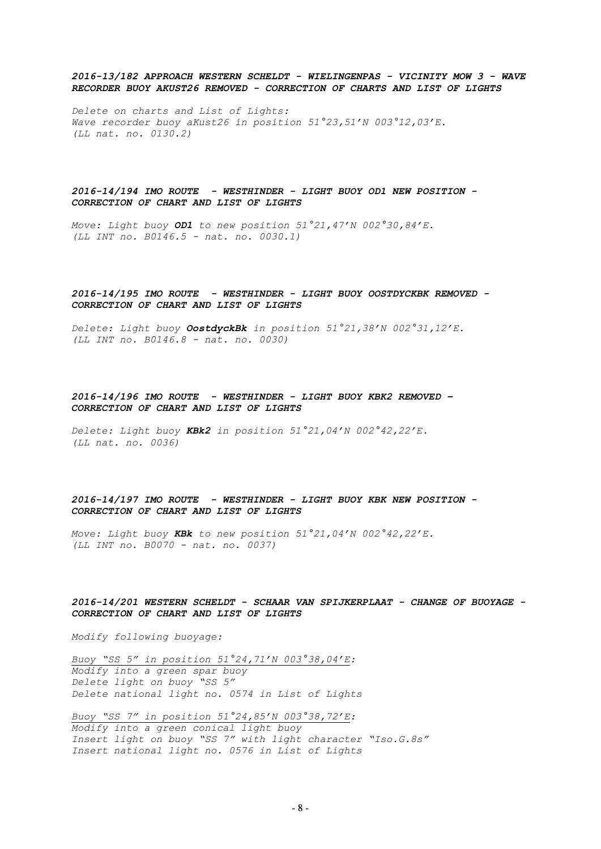## *2016-13/182 APPROACH WESTERN SCHELDT - WIELINGENPAS - VICINITY MOW 3 - WAVE RECORDER BUOY AKUST26 REMOVED - CORRECTION OF CHARTS AND LIST OF LIGHTS*

*Delete on charts and List of Lights: Wave recorder buoy aKust26 in position 51°23,51'N 003°12,03'E. (LL nat. no. 0130.2)*

## *2016-14/194 IMO ROUTE - WESTHINDER - LIGHT BUOY OD1 NEW POSITION - CORRECTION OF CHART AND LIST OF LIGHTS*

*Move: Light buoy OD1 to new position 51°21,47'N 002°30,84'E. (LL INT no. B0146.5 - nat. no. 0030.1)*

## *2016-14/195 IMO ROUTE - WESTHINDER - LIGHT BUOY OOSTDYCKBK REMOVED - CORRECTION OF CHART AND LIST OF LIGHTS*

*Delete: Light buoy OostdyckBk in position 51°21,38'N 002°31,12'E. (LL INT no. B0146.8 - nat. no. 0030)*

## *2016-14/196 IMO ROUTE - WESTHINDER - LIGHT BUOY KBK2 REMOVED – CORRECTION OF CHART AND LIST OF LIGHTS*

*Delete: Light buoy KBk2 in position 51°21,04'N 002°42,22'E. (LL nat. no. 0036)*

## *2016-14/197 IMO ROUTE - WESTHINDER - LIGHT BUOY KBK NEW POSITION - CORRECTION OF CHART AND LIST OF LIGHTS*

*Move: Light buoy KBk to new position 51°21,04'N 002°42,22'E. (LL INT no. B0070 - nat. no. 0037)*

## *2016-14/201 WESTERN SCHELDT - SCHAAR VAN SPIJKERPLAAT - CHANGE OF BUOYAGE - CORRECTION OF CHART AND LIST OF LIGHTS*

*Modify following buoyage:*

*Buoy "SS 5" in position 51°24,71'N 003°38,04'E: Modify into a green spar buoy Delete light on buoy "SS 5" Delete national light no. 0574 in List of Lights*

*Buoy "SS 7" in position 51°24,85'N 003°38,72'E: Modify into a green conical light buoy Insert light on buoy "SS 7" with light character "Iso.G.8s" Insert national light no. 0576 in List of Lights*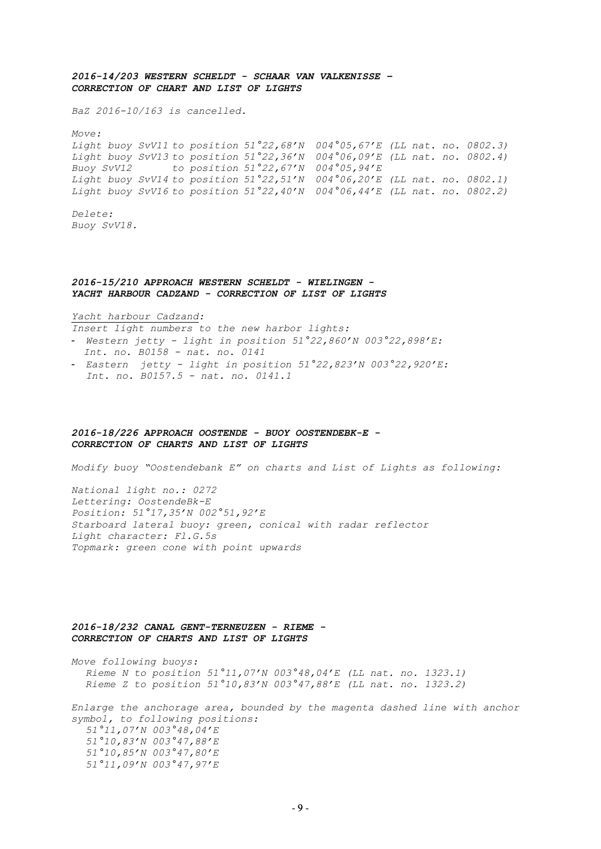## *2016-14/203 WESTERN SCHELDT - SCHAAR VAN VALKENISSE – CORRECTION OF CHART AND LIST OF LIGHTS*

*BaZ 2016-10/163 is cancelled.* 

*Move:*

*Light buoy SvV11 to position 51°22,68'N 004°05,67'E (LL nat. no. 0802.3) Light buoy SvV13 to position 51°22,36'N 004°06,09'E (LL nat. no. 0802.4) Buoy SvV12 to position 51°22,67'N 004°05,94'E Light buoy SvV14 to position 51°22,51'N 004°06,20'E (LL nat. no. 0802.1) Light buoy SvV16 to position 51°22,40'N 004°06,44'E (LL nat. no. 0802.2)*

*Delete: Buoy SvV18.*

### *2016-15/210 APPROACH WESTERN SCHELDT - WIELINGEN - YACHT HARBOUR CADZAND - CORRECTION OF LIST OF LIGHTS*

*Yacht harbour Cadzand:* 

*Insert light numbers to the new harbor lights:*

- *Western jetty light in position 51°22,860'N 003°22,898'E: Int. no. B0158 - nat. no. 0141*
- *Eastern jetty light in position 51°22,823'N 003°22,920'E: Int. no. B0157.5 - nat. no. 0141.1*

### *2016-18/226 APPROACH OOSTENDE - BUOY OOSTENDEBK-E - CORRECTION OF CHARTS AND LIST OF LIGHTS*

*Modify buoy "Oostendebank E" on charts and List of Lights as following:*

*National light no.: 0272 Lettering: OostendeBk-E Position: 51°17,35'N 002°51,92'E Starboard lateral buoy: green, conical with radar reflector Light character: Fl.G.5s Topmark: green cone with point upwards*

## *2016-18/232 CANAL GENT-TERNEUZEN - RIEME - CORRECTION OF CHARTS AND LIST OF LIGHTS*

*Move following buoys: Rieme N to position 51°11,07'N 003°48,04'E (LL nat. no. 1323.1) Rieme Z to position 51°10,83'N 003°47,88'E (LL nat. no. 1323.2)*

*Enlarge the anchorage area, bounded by the magenta dashed line with anchor symbol, to following positions: 51°11,07'N 003°48,04'E 51°10,83'N 003°47,88'E 51°10,85'N 003°47,80'E 51°11,09'N 003°47,97'E*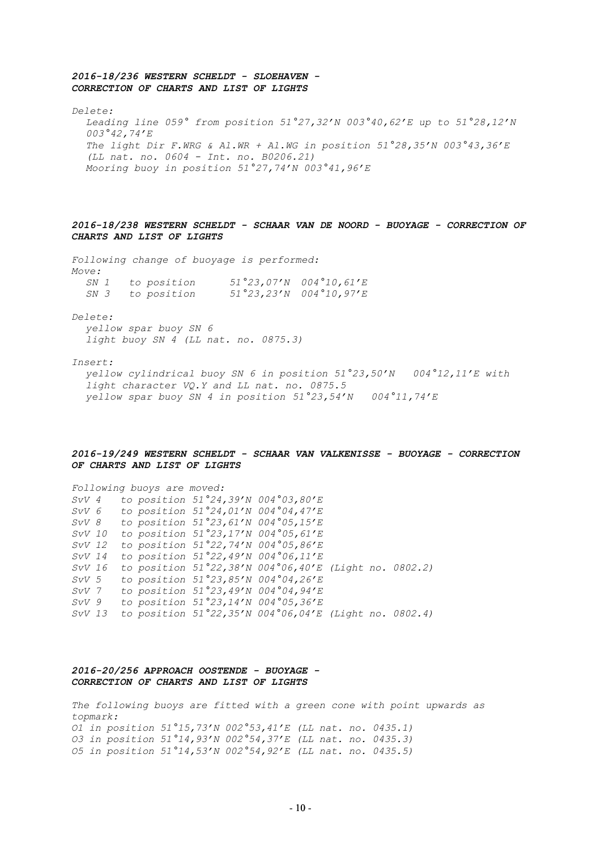## *2016-18/236 WESTERN SCHELDT - SLOEHAVEN - CORRECTION OF CHARTS AND LIST OF LIGHTS*

*Delete:*

*Leading line 059° from position 51°27,32'N 003°40,62'E up to 51°28,12'N 003°42,74'E The light Dir F.WRG & Al.WR + Al.WG in position 51°28,35'N 003°43,36'E (LL nat. no. 0604 - Int. no. B0206.21) Mooring buoy in position 51°27,74'N 003°41,96'E*

## *2016-18/238 WESTERN SCHELDT - SCHAAR VAN DE NOORD - BUOYAGE - CORRECTION OF CHARTS AND LIST OF LIGHTS*

*Following change of buoyage is performed: Move: SN 1 to position 51°23,07'N 004°10,61'E*

| SN 1 | to position | 51 23,0/'N 004 10,61'E   |
|------|-------------|--------------------------|
| SN 3 | to position | $51°23,23'N$ 004°10,97'E |

*Delete:*

*yellow spar buoy SN 6 light buoy SN 4 (LL nat. no. 0875.3)*

#### *Insert:*

*yellow cylindrical buoy SN 6 in position 51°23,50'N 004°12,11'E with light character VQ.Y and LL nat. no. 0875.5 yellow spar buoy SN 4 in position 51°23,54'N 004°11,74'E*

## *2016-19/249 WESTERN SCHELDT - SCHAAR VAN VALKENISSE - BUOYAGE - CORRECTION OF CHARTS AND LIST OF LIGHTS*

*Following buoys are moved: SvV 4 to position 51°24,39'N 004°03,80'E SvV 6 to position 51°24,01'N 004°04,47'E SvV 8 to position 51°23,61'N 004°05,15'E SvV 10 to position 51°23,17'N 004°05,61'E SvV 12 to position 51°22,74'N 004°05,86'E SvV 14 to position 51°22,49'N 004°06,11'E SvV 16 to position 51°22,38'N 004°06,40'E (Light no. 0802.2) SvV 5 to position 51°23,85'N 004°04,26'E SvV 7 to position 51°23,49'N 004°04,94'E SvV 9 to position 51°23,14'N 004°05,36'E SvV 13 to position 51°22,35'N 004°06,04'E (Light no. 0802.4)*

## *2016-20/256 APPROACH OOSTENDE - BUOYAGE - CORRECTION OF CHARTS AND LIST OF LIGHTS*

*The following buoys are fitted with a green cone with point upwards as topmark: O1 in position 51°15,73'N 002°53,41'E (LL nat. no. 0435.1) O3 in position 51°14,93'N 002°54,37'E (LL nat. no. 0435.3) O5 in position 51°14,53'N 002°54,92'E (LL nat. no. 0435.5)*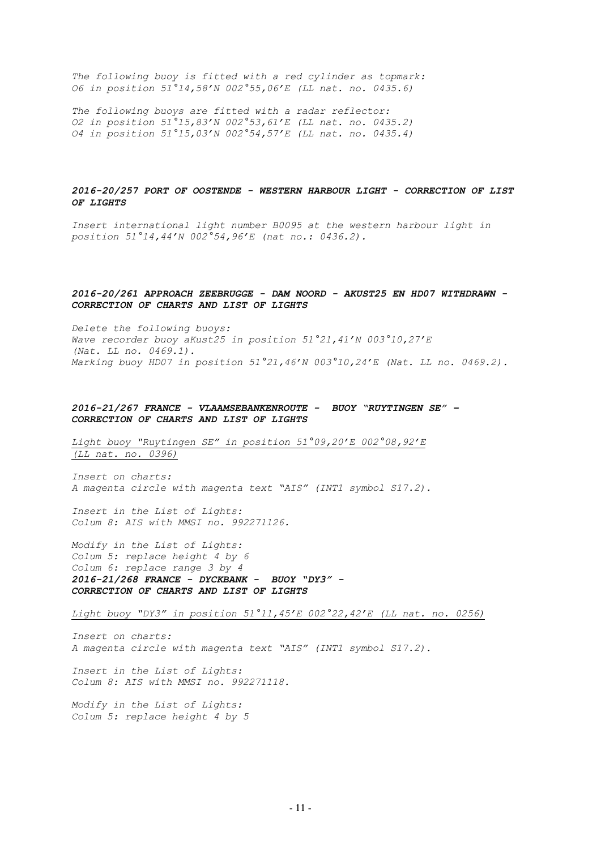*The following buoy is fitted with a red cylinder as topmark: O6 in position 51°14,58'N 002°55,06'E (LL nat. no. 0435.6)*

*The following buoys are fitted with a radar reflector: O2 in position 51°15,83'N 002°53,61'E (LL nat. no. 0435.2) O4 in position 51°15,03'N 002°54,57'E (LL nat. no. 0435.4)*

## *2016-20/257 PORT OF OOSTENDE - WESTERN HARBOUR LIGHT - CORRECTION OF LIST OF LIGHTS*

*Insert international light number B0095 at the western harbour light in position 51°14,44'N 002°54,96'E (nat no.: 0436.2).* 

### *2016-20/261 APPROACH ZEEBRUGGE - DAM NOORD - AKUST25 EN HD07 WITHDRAWN - CORRECTION OF CHARTS AND LIST OF LIGHTS*

*Delete the following buoys: Wave recorder buoy aKust25 in position 51°21,41'N 003°10,27'E (Nat. LL no. 0469.1). Marking buoy HD07 in position 51°21,46'N 003°10,24'E (Nat. LL no. 0469.2).*

## *2016-21/267 FRANCE - VLAAMSEBANKENROUTE - BUOY "RUYTINGEN SE" – CORRECTION OF CHARTS AND LIST OF LIGHTS*

*Light buoy "Ruytingen SE" in position 51°09,20'E 002°08,92'E (LL nat. no. 0396)*

*Insert on charts: A magenta circle with magenta text "AIS" (INT1 symbol S17.2).*

*Insert in the List of Lights: Colum 8: AIS with MMSI no. 992271126.*

*Modify in the List of Lights: Colum 5: replace height 4 by 6 Colum 6: replace range 3 by 4 2016-21/268 FRANCE - DYCKBANK - BUOY "DY3" - CORRECTION OF CHARTS AND LIST OF LIGHTS*

*Light buoy "DY3" in position 51°11,45'E 002°22,42'E (LL nat. no. 0256)*

*Insert on charts: A magenta circle with magenta text "AIS" (INT1 symbol S17.2).*

*Insert in the List of Lights: Colum 8: AIS with MMSI no. 992271118.*

*Modify in the List of Lights: Colum 5: replace height 4 by 5*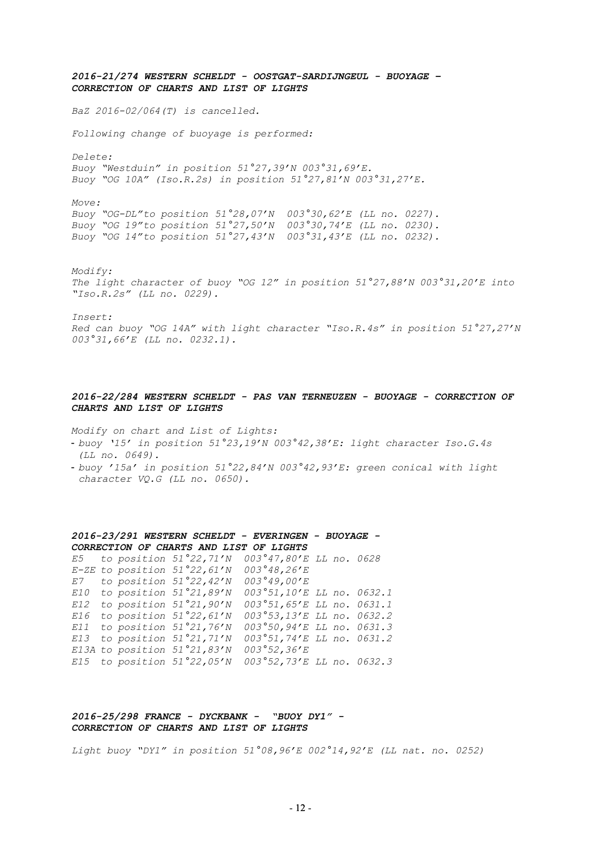*2016-21/274 WESTERN SCHELDT - OOSTGAT-SARDIJNGEUL - BUOYAGE – CORRECTION OF CHARTS AND LIST OF LIGHTS BaZ 2016-02/064(T) is cancelled. Following change of buoyage is performed: Delete: Buoy "Westduin" in position 51°27,39'N 003°31,69'E. Buoy "OG 10A" (Iso.R.2s) in position 51°27,81'N 003°31,27'E. Move: Buoy "OG-DL"to position 51°28,07'N 003°30,62'E (LL no. 0227). Buoy "OG 19"to position 51°27,50'N 003°30,74'E (LL no. 0230). Buoy "OG 14"to position 51°27,43'N 003°31,43'E (LL no. 0232). Modify: The light character of buoy "OG 12" in position 51°27,88'N 003°31,20'E into "Iso.R.2s" (LL no. 0229). Insert: Red can buoy "OG 14A" with light character "Iso.R.4s" in position 51°27,27'N 003°31,66'E (LL no. 0232.1).*

## *2016-22/284 WESTERN SCHELDT - PAS VAN TERNEUZEN - BUOYAGE - CORRECTION OF CHARTS AND LIST OF LIGHTS*

*Modify on chart and List of Lights:*

- *buoy '15' in position 51°23,19'N 003°42,38'E: light character Iso.G.4s (LL no. 0649).*
- *buoy '15a' in position 51°22,84'N 003°42,93'E: green conical with light character VQ.G (LL no. 0650).*

*2016-23/291 WESTERN SCHELDT - EVERINGEN - BUOYAGE - CORRECTION OF CHARTS AND LIST OF LIGHTS E5 to position 51°22,71'N 003°47,80'E LL no. 0628 E-ZE to position 51°22,61'N 003°48,26'E E7 to position 51°22,42'N 003°49,00'E E10 to position 51°21,89'N 003°51,10'E LL no. 0632.1 E12 to position 51°21,90'N 003°51,65'E LL no. 0631.1 E16 to position 51°22,61'N 003°53,13'E LL no. 0632.2 E11 to position 51°21,76'N 003°50,94'E LL no. 0631.3 E13 to position 51°21,71'N 003°51,74'E LL no. 0631.2 E13A to position 51°21,83'N 003°52,36'E E15 to position 51°22,05'N 003°52,73'E LL no. 0632.3*

*2016-25/298 FRANCE - DYCKBANK - "BUOY DY1" - CORRECTION OF CHARTS AND LIST OF LIGHTS*

*Light buoy "DY1" in position 51°08,96'E 002°14,92'E (LL nat. no. 0252)*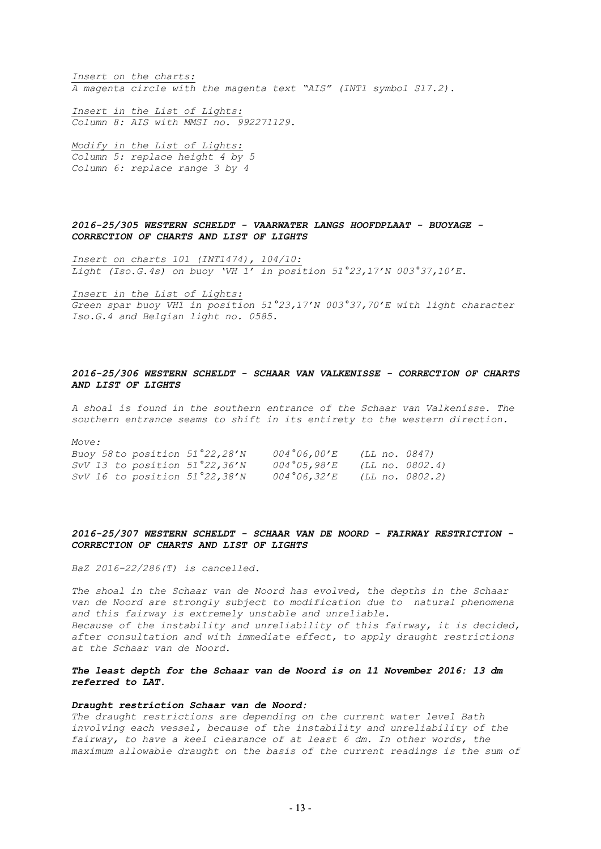*Insert on the charts: A magenta circle with the magenta text "AIS" (INT1 symbol S17.2).*

*Insert in the List of Lights: Column 8: AIS with MMSI no. 992271129.* 

*Modify in the List of Lights: Column 5: replace height 4 by 5 Column 6: replace range 3 by 4*

*2016-25/305 WESTERN SCHELDT - VAARWATER LANGS HOOFDPLAAT - BUOYAGE - CORRECTION OF CHARTS AND LIST OF LIGHTS*

*Insert on charts 101 (INT1474), 104/10: Light (Iso.G.4s) on buoy 'VH 1' in position 51°23,17'N 003°37,10'E.* 

*Insert in the List of Lights:* 

*Green spar buoy VH1 in position 51°23,17'N 003°37,70'E with light character Iso.G.4 and Belgian light no. 0585.*

## *2016-25/306 WESTERN SCHELDT - SCHAAR VAN VALKENISSE - CORRECTION OF CHARTS AND LIST OF LIGHTS*

*A shoal is found in the southern entrance of the Schaar van Valkenisse. The southern entrance seams to shift in its entirety to the western direction.*

*Move:* 

*Buoy 58to position 51°22,28'N 004°06,00'E (LL no. 0847) SvV 13 to position 51°22,36'N 004°05,98'E (LL no. 0802.4) SvV 16 to position 51°22,38'N 004°06,32'E (LL no. 0802.2)* 

## *2016-25/307 WESTERN SCHELDT - SCHAAR VAN DE NOORD - FAIRWAY RESTRICTION - CORRECTION OF CHARTS AND LIST OF LIGHTS*

*BaZ 2016-22/286(T) is cancelled.*

*The shoal in the Schaar van de Noord has evolved, the depths in the Schaar van de Noord are strongly subject to modification due to natural phenomena and this fairway is extremely unstable and unreliable. Because of the instability and unreliability of this fairway, it is decided, after consultation and with immediate effect, to apply draught restrictions at the Schaar van de Noord.*

*The least depth for the Schaar van de Noord is on 11 November 2016: 13 dm referred to LAT.*

#### *Draught restriction Schaar van de Noord:*

*The draught restrictions are depending on the current water level Bath involving each vessel, because of the instability and unreliability of the fairway, to have a keel clearance of at least 6 dm. In other words, the maximum allowable draught on the basis of the current readings is the sum of*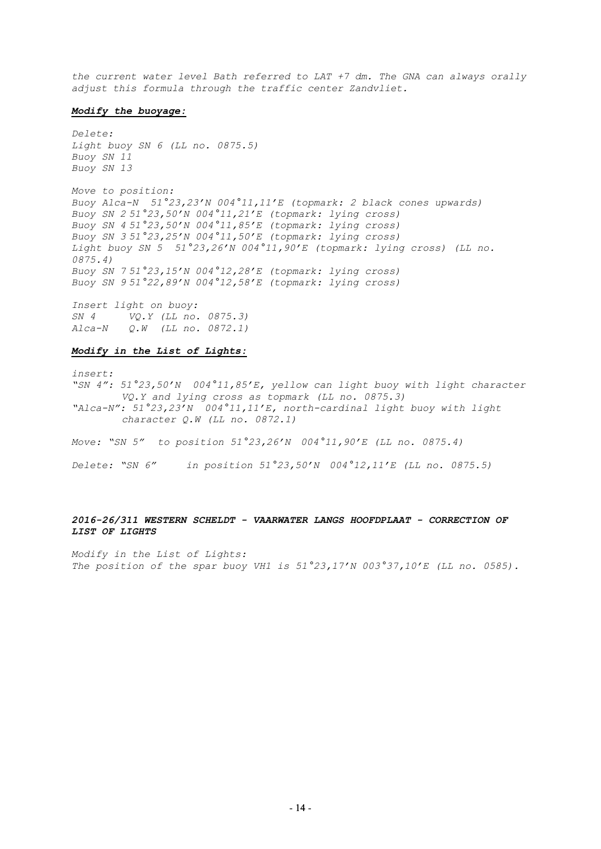*the current water level Bath referred to LAT +7 dm. The GNA can always orally adjust this formula through the traffic center Zandvliet.*

#### *Modify the buoyage:*

*Delete: Light buoy SN 6 (LL no. 0875.5) Buoy SN 11 Buoy SN 13*

*Move to position: Buoy Alca-N 51°23,23'N 004°11,11'E (topmark: 2 black cones upwards) Buoy SN 2 51°23,50'N 004°11,21'E (topmark: lying cross) Buoy SN 4 51°23,50'N 004°11,85'E (topmark: lying cross) Buoy SN 3 51°23,25'N 004°11,50'E (topmark: lying cross) Light buoy SN 5 51°23,26'N 004°11,90'E (topmark: lying cross) (LL no. 0875.4) Buoy SN 7 51°23,15'N 004°12,28'E (topmark: lying cross) Buoy SN 9 51°22,89'N 004°12,58'E (topmark: lying cross)*

*Insert light on buoy: SN 4 VQ.Y (LL no. 0875.3) Alca-N Q.W (LL no. 0872.1)* 

## *Modify in the List of Lights:*

*insert: "SN 4": 51°23,50'N 004°11,85'E, yellow can light buoy with light character VQ.Y and lying cross as topmark (LL no. 0875.3) "Alca-N": 51°23,23'N 004°11,11'E, north-cardinal light buoy with light character Q.W (LL no. 0872.1)*

*Move: "SN 5" to position 51°23,26'N 004°11,90'E (LL no. 0875.4)*

*Delete: "SN 6" in position 51°23,50'N 004°12,11'E (LL no. 0875.5)* 

## *2016-26/311 WESTERN SCHELDT - VAARWATER LANGS HOOFDPLAAT - CORRECTION OF LIST OF LIGHTS*

*Modify in the List of Lights: The position of the spar buoy VH1 is 51°23,17'N 003°37,10'E (LL no. 0585).*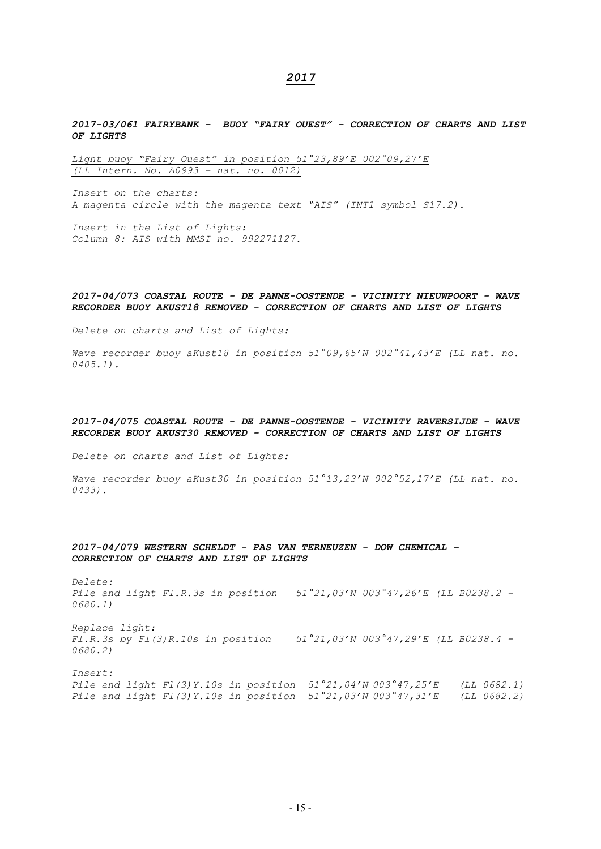## *2017*

*2017-03/061 FAIRYBANK - BUOY "FAIRY OUEST" - CORRECTION OF CHARTS AND LIST OF LIGHTS*

*Light buoy "Fairy Ouest" in position 51°23,89'E 002°09,27'E (LL Intern. No. A0993 - nat. no. 0012)* 

*Insert on the charts: A magenta circle with the magenta text "AIS" (INT1 symbol S17.2).*

*Insert in the List of Lights: Column 8: AIS with MMSI no. 992271127.*

#### *2017-04/073 COASTAL ROUTE - DE PANNE-OOSTENDE - VICINITY NIEUWPOORT - WAVE RECORDER BUOY AKUST18 REMOVED - CORRECTION OF CHARTS AND LIST OF LIGHTS*

*Delete on charts and List of Lights:*

*Wave recorder buoy aKust18 in position 51°09,65'N 002°41,43'E (LL nat. no. 0405.1).*

### *2017-04/075 COASTAL ROUTE - DE PANNE-OOSTENDE - VICINITY RAVERSIJDE - WAVE RECORDER BUOY AKUST30 REMOVED - CORRECTION OF CHARTS AND LIST OF LIGHTS*

*Delete on charts and List of Lights:*

*Wave recorder buoy aKust30 in position 51°13,23'N 002°52,17'E (LL nat. no. 0433).*

## *2017-04/079 WESTERN SCHELDT - PAS VAN TERNEUZEN - DOW CHEMICAL – CORRECTION OF CHARTS AND LIST OF LIGHTS*

*Delete: Pile and light Fl.R.3s in position 51°21,03'N 003°47,26'E (LL B0238.2 - 0680.1)*

*Replace light: Fl.R.3s by Fl(3)R.10s in position 51°21,03'N 003°47,29'E (LL B0238.4 - 0680.2)*

*Insert: Pile and light Fl(3)Y.10s in position 51°21,04'N 003°47,25'E (LL 0682.1) Pile and light Fl(3)Y.10s in position 51°21,03'N 003°47,31'E (LL 0682.2)*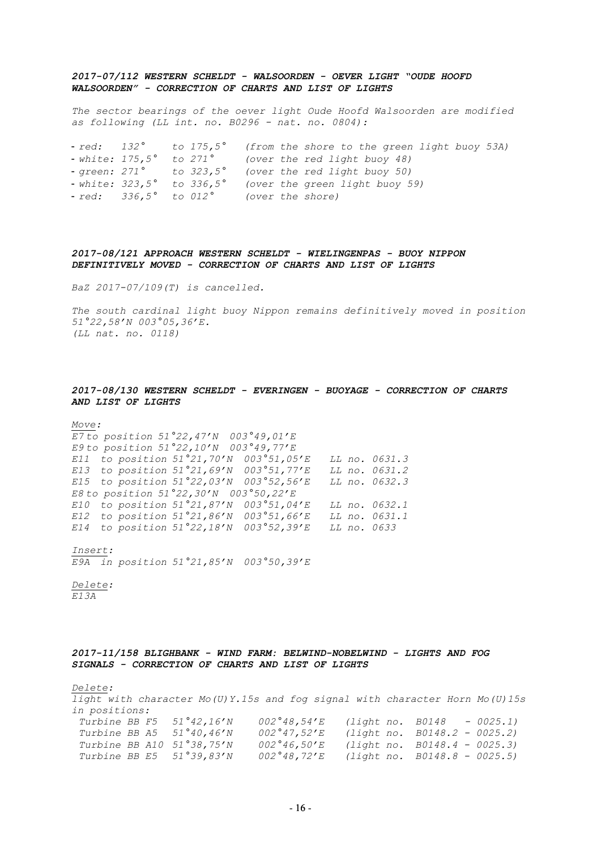## *2017-07/112 WESTERN SCHELDT - WALSOORDEN - OEVER LIGHT "OUDE HOOFD WALSOORDEN" - CORRECTION OF CHARTS AND LIST OF LIGHTS*

*The sector bearings of the oever light Oude Hoofd Walsoorden are modified as following (LL int. no. B0296 - nat. no. 0804):*

- *red: 132° to 175,5° (from the shore to the green light buoy 53A)*

- *white: 175,5° to 271° (over the red light buoy 48)* 

- *green: 271° to 323,5° (over the red light buoy 50)* 

- *white: 323,5° to 336,5° (over the green light buoy 59)*

- *red: 336,5° to 012° (over the shore)*

*2017-08/121 APPROACH WESTERN SCHELDT - WIELINGENPAS - BUOY NIPPON DEFINITIVELY MOVED - CORRECTION OF CHARTS AND LIST OF LIGHTS*

*BaZ 2017-07/109(T) is cancelled.*

*The south cardinal light buoy Nippon remains definitively moved in position 51°22,58'N 003°05,36'E. (LL nat. no. 0118)*

### *2017-08/130 WESTERN SCHELDT - EVERINGEN - BUOYAGE - CORRECTION OF CHARTS AND LIST OF LIGHTS*

## *Move:*

*E7 to position 51°22,47'N 003°49,01'E E9 to position 51°22,10'N 003°49,77'E E11 to position 51°21,70'N 003°51,05'E LL no. 0631.3 E13 to position 51°21,69'N 003°51,77'E LL no. 0631.2 E15 to position 51°22,03'N 003°52,56'E LL no. 0632.3 E8 to position 51°22,30'N 003°50,22'E E10 to position 51°21,87'N 003°51,04'E LL no. 0632.1 E12 to position 51°21,86'N 003°51,66'E LL no. 0631.1 E14 to position 51°22,18'N 003°52,39'E LL no. 0633*

*Insert: E9A in position 51°21,85'N 003°50,39'E* 

*Delete: E13A*

## *2017-11/158 BLIGHBANK - WIND FARM: BELWIND-NOBELWIND - LIGHTS AND FOG SIGNALS - CORRECTION OF CHARTS AND LIST OF LIGHTS*

*Delete:* 

*light with character Mo(U)Y.15s and fog signal with character Horn Mo(U)15s in positions: Turbine BB F5 51°42,16'N 002°48,54'E (light no. B0148 - 0025.1) Turbine BB A5 51°40,46'N 002°47,52'E (light no. B0148.2 - 0025.2) Turbine BB A10 51°38,75'N 002°46,50'E (light no. B0148.4 - 0025.3) Turbine BB E5 51°39,83'N 002°48,72'E (light no. B0148.8 - 0025.5)*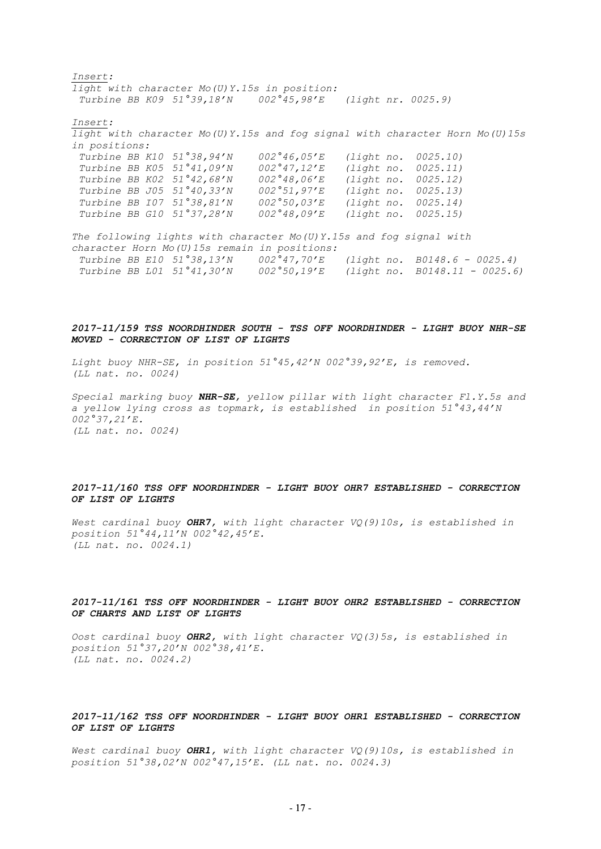*Insert: light with character Mo(U)Y.15s in position: Turbine BB K09 51°39,18'N 002°45,98'E (light nr. 0025.9) Insert: light with character Mo(U)Y.15s and fog signal with character Horn Mo(U)15s in positions: Turbine BB K10 51°38,94'N 002°46,05'E (light no. 0025.10) Turbine BB K05 51°41,09'N 002°47,12'E (light no. 0025.11) Turbine BB K02 51°42,68'N 002°48,06'E (light no. 0025.12) Turbine BB J05 51°40,33'N 002°51,97'E Turbine BB I07 51°38,81'N 002°50,03'E (light no. 0025.14) Turbine BB G10 51°37,28'N 002°48,09'E (light no. 0025.15) The following lights with character Mo(U)Y.15s and fog signal with character Horn Mo(U)15s remain in positions: Turbine BB E10 51°38,13'N 002°47,70'E (light no. B0148.6 - 0025.4) Turbine BB L01 51°41,30'N 002°50,19'E (light no. B0148.11 - 0025.6)*

## *2017-11/159 TSS NOORDHINDER SOUTH - TSS OFF NOORDHINDER - LIGHT BUOY NHR-SE MOVED - CORRECTION OF LIST OF LIGHTS*

*Light buoy NHR-SE, in position 51°45,42'N 002°39,92'E, is removed. (LL nat. no. 0024)*

*Special marking buoy NHR-SE, yellow pillar with light character Fl.Y.5s and a yellow lying cross as topmark, is established in position 51°43,44'N 002°37,21'E. (LL nat. no. 0024)* 

## *2017-11/160 TSS OFF NOORDHINDER - LIGHT BUOY OHR7 ESTABLISHED - CORRECTION OF LIST OF LIGHTS*

*West cardinal buoy OHR7, with light character VQ(9)10s, is established in position 51°44,11'N 002°42,45'E. (LL nat. no. 0024.1)*

## *2017-11/161 TSS OFF NOORDHINDER - LIGHT BUOY OHR2 ESTABLISHED - CORRECTION OF CHARTS AND LIST OF LIGHTS*

*Oost cardinal buoy OHR2, with light character VQ(3)5s, is established in position 51°37,20'N 002°38,41'E. (LL nat. no. 0024.2)*

### *2017-11/162 TSS OFF NOORDHINDER - LIGHT BUOY OHR1 ESTABLISHED - CORRECTION OF LIST OF LIGHTS*

*West cardinal buoy OHR1, with light character VQ(9)10s, is established in position 51°38,02'N 002°47,15'E. (LL nat. no. 0024.3)*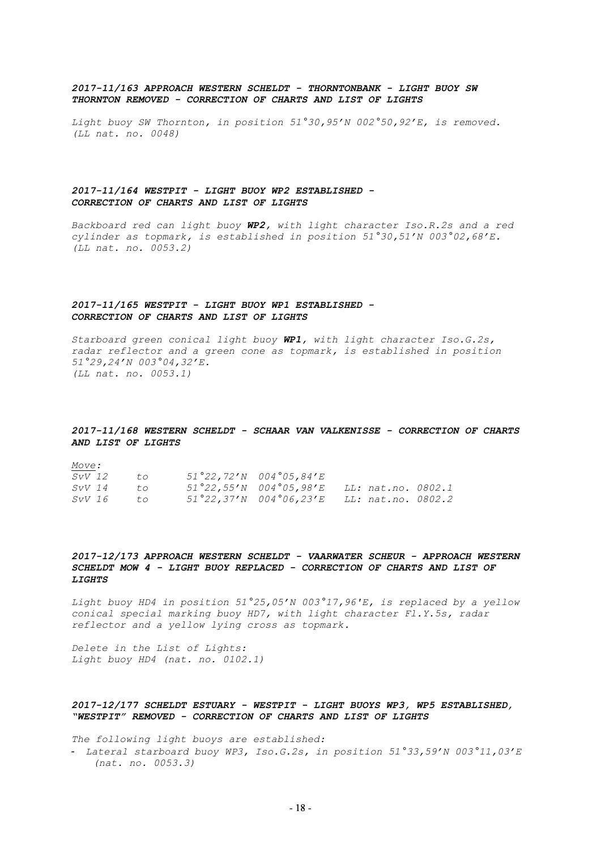### *2017-11/163 APPROACH WESTERN SCHELDT - THORNTONBANK - LIGHT BUOY SW THORNTON REMOVED - CORRECTION OF CHARTS AND LIST OF LIGHTS*

*Light buoy SW Thornton, in position 51°30,95'N 002°50,92'E, is removed. (LL nat. no. 0048)*

## *2017-11/164 WESTPIT - LIGHT BUOY WP2 ESTABLISHED - CORRECTION OF CHARTS AND LIST OF LIGHTS*

*Backboard red can light buoy WP2, with light character Iso.R.2s and a red cylinder as topmark, is established in position 51°30,51'N 003°02,68'E. (LL nat. no. 0053.2)*

### *2017-11/165 WESTPIT - LIGHT BUOY WP1 ESTABLISHED - CORRECTION OF CHARTS AND LIST OF LIGHTS*

*Starboard green conical light buoy WP1, with light character Iso.G.2s, radar reflector and a green cone as topmark, is established in position 51°29,24'N 003°04,32'E. (LL nat. no. 0053.1)*

## *2017-11/168 WESTERN SCHELDT - SCHAAR VAN VALKENISSE - CORRECTION OF CHARTS AND LIST OF LIGHTS*

*Move: SvV 12 to 51°22,72'N 004°05,84'E SvV 14 to 51°22,55'N 004°05,98'E LL: nat.no. 0802.1 SvV 16 to 51°22,37'N 004°06,23'E LL: nat.no. 0802.2*

## *2017-12/173 APPROACH WESTERN SCHELDT - VAARWATER SCHEUR - APPROACH WESTERN SCHELDT MOW 4 - LIGHT BUOY REPLACED - CORRECTION OF CHARTS AND LIST OF LIGHTS*

*Light buoy HD4 in position 51°25,05'N 003°17,96'E, is replaced by a yellow conical special marking buoy HD7, with light character Fl.Y.5s, radar reflector and a yellow lying cross as topmark.* 

*Delete in the List of Lights: Light buoy HD4 (nat. no. 0102.1)*

## *2017-12/177 SCHELDT ESTUARY - WESTPIT - LIGHT BUOYS WP3, WP5 ESTABLISHED, "WESTPIT" REMOVED - CORRECTION OF CHARTS AND LIST OF LIGHTS*

*The following light buoys are established:*

- *Lateral starboard buoy WP3, Iso.G.2s, in position 51°33,59'N 003°11,03'E (nat. no. 0053.3)*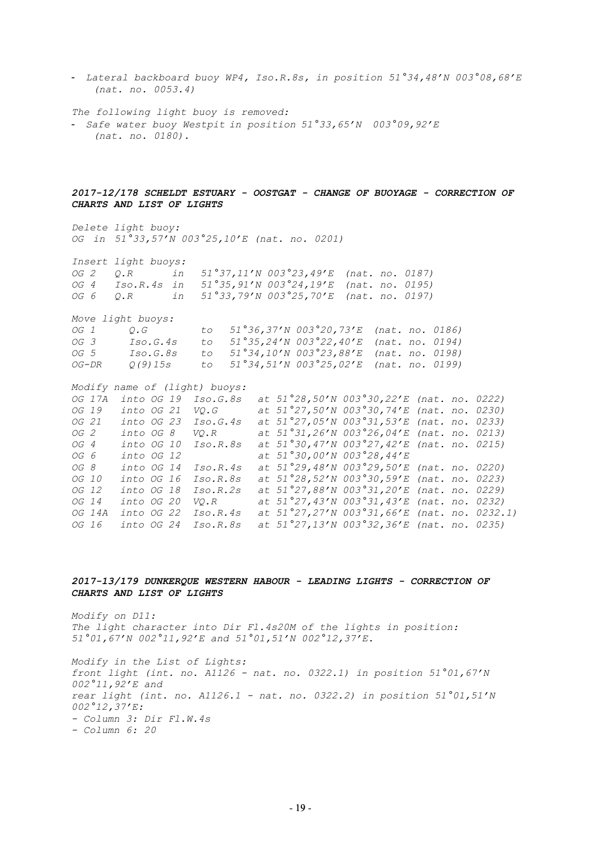- *Lateral backboard buoy WP4, Iso.R.8s, in position 51°34,48'N 003°08,68'E (nat. no. 0053.4)*

*The following light buoy is removed:*

- *Safe water buoy Westpit in position 51°33,65'N 003°09,92'E (nat. no. 0180).*

## *2017-12/178 SCHELDT ESTUARY - OOSTGAT - CHANGE OF BUOYAGE - CORRECTION OF CHARTS AND LIST OF LIGHTS*

*Delete light buoy: OG in 51°33,57'N 003°25,10'E (nat. no. 0201)*

*Insert light buoys: OG 2 Q.R in 51°37,11'N 003°23,49'E (nat. no. 0187) OG 4 Iso.R.4s in 51°35,91'N 003°24,19'E (nat. no. 0195) OG 6 Q.R in 51°33,79'N 003°25,70'E (nat. no. 0197)*

*Move light buoys: OG 1 Q.G to 51°36,37'N 003°20,73'E (nat. no. 0186)*

| OG 3  | Iso.G.4s   |  | to $51^{\circ}35,24'N$ 003 $^{\circ}22,40'E$ (nat. no. 0194)                   |  |  |
|-------|------------|--|--------------------------------------------------------------------------------|--|--|
| OG 5  | Iso.G.8s   |  | to $51^{\circ}34,10^{\prime}N$ 003 $^{\circ}23,88^{\prime}E$ (nat. no. 0198)   |  |  |
| OG-DR | 0 (9) 15 s |  | to $51^{\circ}34, 51^{\prime}N$ 003 $^{\circ}25, 02^{\prime}E$ (nat. no. 0199) |  |  |

*Modify name of (light) buoys:*

*OG 17A into OG 19 Iso.G.8s at 51°28,50'N 003°30,22'E (nat. no. 0222) OG 19 into OG 21 VQ.G at 51°27,50'N 003°30,74'E (nat. no. 0230) OG 21 into OG 23 Iso.G.4s at 51°27,05'N 003°31,53'E (nat. no. 0233) OG 2 into OG 8 VQ.R at 51°31,26'N 003°26,04'E (nat. no. 0213) OG 4 into OG 10 Iso.R.8s at 51°30,47'N 003°27,42'E (nat. no. 0215) OG 6 into OG 12 at 51°30,00'N 003°28,44'E OG 8 into OG 14 Iso.R.4s at 51°29,48'N 003°29,50'E (nat. no. 0220) OG 10 into OG 16 Iso.R.8s at 51°28,52'N 003°30,59'E (nat. no. 0223) OG 12 into OG 18 Iso.R.2s at 51°27,88'N 003°31,20'E (nat. no. 0229) OG 14 into OG 20 VQ.R at 51°27,43'N 003°31,43'E (nat. no. 0232) OG 14A into OG 22 Iso.R.4s at 51°27,27'N 003°31,66'E (nat. no. 0232.1) OG 16 into OG 24 Iso.R.8s at 51°27,13'N 003°32,36'E (nat. no. 0235)*

## *2017-13/179 DUNKERQUE WESTERN HABOUR - LEADING LIGHTS - CORRECTION OF CHARTS AND LIST OF LIGHTS*

*Modify on D11: The light character into Dir Fl.4s20M of the lights in position: 51°01,67'N 002°11,92'E and 51°01,51'N 002°12,37'E.*

*Modify in the List of Lights: front light (int. no. A1126 - nat. no. 0322.1) in position 51°01,67'N 002°11,92'E and rear light (int. no. A1126.1 - nat. no. 0322.2) in position 51°01,51'N 002°12,37'E: - Column 3: Dir Fl.W.4s - Column 6: 20*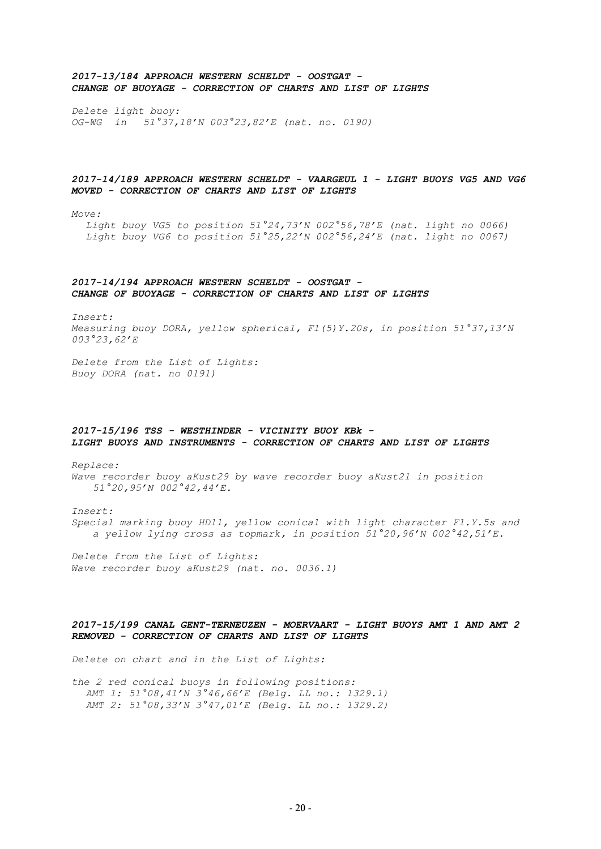## *2017-13/184 APPROACH WESTERN SCHELDT - OOSTGAT - CHANGE OF BUOYAGE - CORRECTION OF CHARTS AND LIST OF LIGHTS*

*Delete light buoy: OG-WG in 51°37,18'N 003°23,82'E (nat. no. 0190)*

## *2017-14/189 APPROACH WESTERN SCHELDT - VAARGEUL 1 - LIGHT BUOYS VG5 AND VG6 MOVED - CORRECTION OF CHARTS AND LIST OF LIGHTS*

*Move:*

*Light buoy VG5 to position 51°24,73'N 002°56,78'E (nat. light no 0066) Light buoy VG6 to position 51°25,22'N 002°56,24'E (nat. light no 0067)*

## *2017-14/194 APPROACH WESTERN SCHELDT - OOSTGAT - CHANGE OF BUOYAGE - CORRECTION OF CHARTS AND LIST OF LIGHTS*

*Insert: Measuring buoy DORA, yellow spherical, Fl(5)Y.20s, in position 51°37,13'N 003°23,62'E*

*Delete from the List of Lights: Buoy DORA (nat. no 0191)*

## *2017-15/196 TSS - WESTHINDER - VICINITY BUOY KBk - LIGHT BUOYS AND INSTRUMENTS - CORRECTION OF CHARTS AND LIST OF LIGHTS*

*Replace: Wave recorder buoy aKust29 by wave recorder buoy aKust21 in position 51°20,95'N 002°42,44'E.*

*Insert: Special marking buoy HD11, yellow conical with light character Fl.Y.5s and a yellow lying cross as topmark, in position 51°20,96'N 002°42,51'E.* 

*Delete from the List of Lights: Wave recorder buoy aKust29 (nat. no. 0036.1)*

## *2017-15/199 CANAL GENT-TERNEUZEN - MOERVAART - LIGHT BUOYS AMT 1 AND AMT 2 REMOVED - CORRECTION OF CHARTS AND LIST OF LIGHTS*

*Delete on chart and in the List of Lights:*

*the 2 red conical buoys in following positions: AMT 1: 51°08,41'N 3°46,66'E (Belg. LL no.: 1329.1) AMT 2: 51°08,33'N 3°47,01'E (Belg. LL no.: 1329.2)*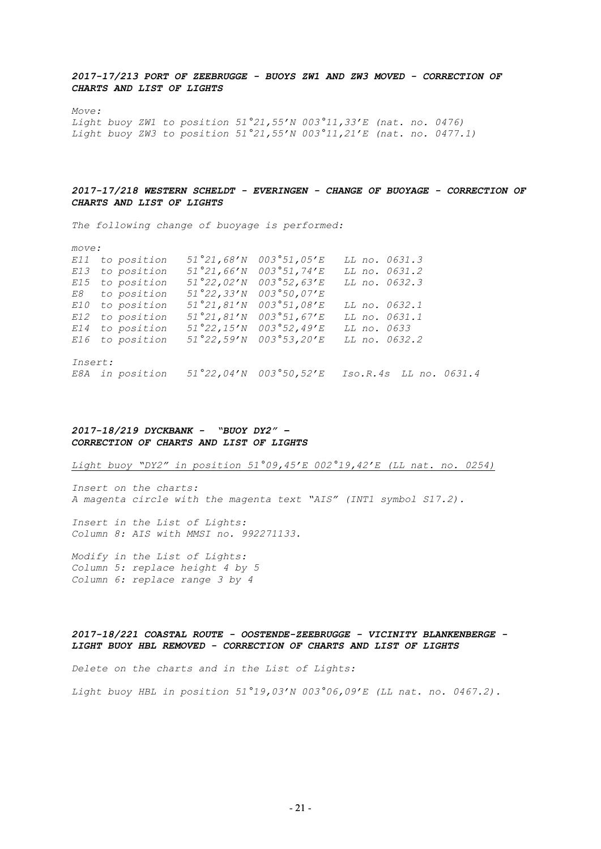## *2017-17/213 PORT OF ZEEBRUGGE - BUOYS ZW1 AND ZW3 MOVED - CORRECTION OF CHARTS AND LIST OF LIGHTS*

*Move:*

*Light buoy ZW1 to position 51°21,55'N 003°11,33'E (nat. no. 0476) Light buoy ZW3 to position 51°21,55'N 003°11,21'E (nat. no. 0477.1)*

## *2017-17/218 WESTERN SCHELDT - EVERINGEN - CHANGE OF BUOYAGE - CORRECTION OF CHARTS AND LIST OF LIGHTS*

*The following change of buoyage is performed:* 

| move:          |                 |                                                           |              |                    |  |                        |
|----------------|-----------------|-----------------------------------------------------------|--------------|--------------------|--|------------------------|
| E11            | to position     | 51°21,68'N                                                | 003°51,05'E  | LL no. 0631.3      |  |                        |
|                | E13 to position | $51°21,66'$ N                                             | 003°51,74' E | LL no. 0631.2      |  |                        |
|                | E15 to position | 51°22,02'N                                                | 003°52,63'E  | LL no. 0632.3      |  |                        |
|                | E8 to position  | 51°22, 33'N                                               | 003°50,07'E  |                    |  |                        |
|                | E10 to position | 51°21,81'N                                                | 003°51,08'E  | LL no. 0632.1      |  |                        |
|                | E12 to position | 51°21,81'N                                                | 003°51,67'E  | LL no. 0631.1      |  |                        |
|                | E14 to position | 51°22, 15'N                                               | 003°52,49'E  | <i>LL no. 0633</i> |  |                        |
|                | E16 to position | 51°22,59'N                                                | 003°53,20'E  | LL no. 0632.2      |  |                        |
| <i>Insert:</i> |                 |                                                           |              |                    |  |                        |
|                |                 |                                                           |              |                    |  |                        |
|                | E8A in position | $51^{\circ}22,04^{\prime}N$ 003 $^{\circ}50,52^{\prime}E$ |              |                    |  | Iso.R.4s LL no. 0631.4 |

## *2017-18/219 DYCKBANK - "BUOY DY2" – CORRECTION OF CHARTS AND LIST OF LIGHTS*

*Light buoy "DY2" in position 51°09,45'E 002°19,42'E (LL nat. no. 0254)*

*Insert on the charts: A magenta circle with the magenta text "AIS" (INT1 symbol S17.2).*

*Insert in the List of Lights: Column 8: AIS with MMSI no. 992271133.*

*Modify in the List of Lights: Column 5: replace height 4 by 5 Column 6: replace range 3 by 4*

## *2017-18/221 COASTAL ROUTE - OOSTENDE-ZEEBRUGGE - VICINITY BLANKENBERGE - LIGHT BUOY HBL REMOVED - CORRECTION OF CHARTS AND LIST OF LIGHTS*

*Delete on the charts and in the List of Lights:*

*Light buoy HBL in position 51°19,03'N 003°06,09'E (LL nat. no. 0467.2).*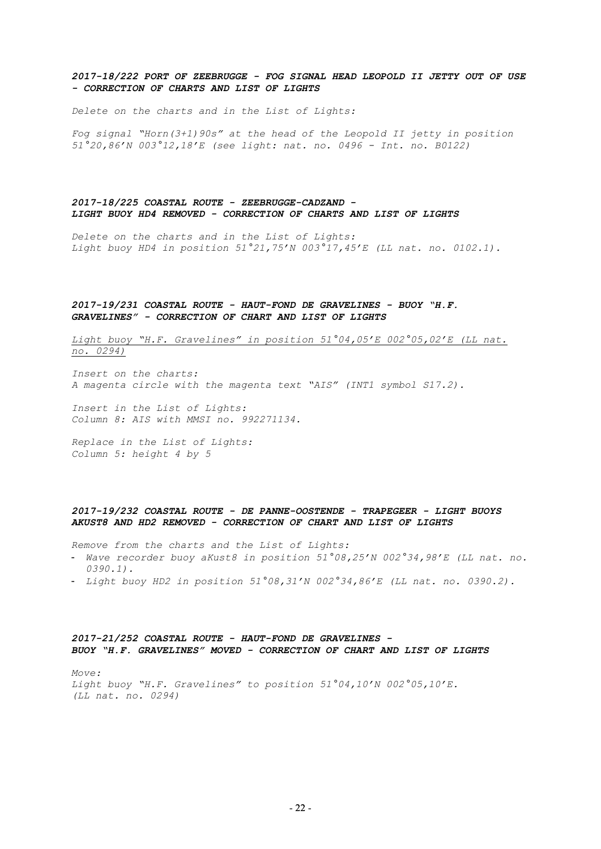## *2017-18/222 PORT OF ZEEBRUGGE - FOG SIGNAL HEAD LEOPOLD II JETTY OUT OF USE - CORRECTION OF CHARTS AND LIST OF LIGHTS*

*Delete on the charts and in the List of Lights:* 

*Fog signal "Horn(3+1)90s" at the head of the Leopold II jetty in position 51°20,86'N 003°12,18'E (see light: nat. no. 0496 - Int. no. B0122)* 

## *2017-18/225 COASTAL ROUTE - ZEEBRUGGE-CADZAND - LIGHT BUOY HD4 REMOVED - CORRECTION OF CHARTS AND LIST OF LIGHTS*

*Delete on the charts and in the List of Lights: Light buoy HD4 in position 51°21,75'N 003°17,45'E (LL nat. no. 0102.1).*

### *2017-19/231 COASTAL ROUTE - HAUT-FOND DE GRAVELINES - BUOY "H.F. GRAVELINES" - CORRECTION OF CHART AND LIST OF LIGHTS*

*Light buoy "H.F. Gravelines" in position 51°04,05'E 002°05,02'E (LL nat. no. 0294)*

*Insert on the charts: A magenta circle with the magenta text "AIS" (INT1 symbol S17.2).*

*Insert in the List of Lights: Column 8: AIS with MMSI no. 992271134.*

*Replace in the List of Lights: Column 5: height 4 by 5* 

## *2017-19/232 COASTAL ROUTE - DE PANNE-OOSTENDE - TRAPEGEER - LIGHT BUOYS AKUST8 AND HD2 REMOVED - CORRECTION OF CHART AND LIST OF LIGHTS*

*Remove from the charts and the List of Lights:*

- *Wave recorder buoy aKust8 in position 51°08,25'N 002°34,98'E (LL nat. no. 0390.1).*
- *Light buoy HD2 in position 51°08,31'N 002°34,86'E (LL nat. no. 0390.2).*

### *2017-21/252 COASTAL ROUTE - HAUT-FOND DE GRAVELINES - BUOY "H.F. GRAVELINES" MOVED - CORRECTION OF CHART AND LIST OF LIGHTS*

*Move: Light buoy "H.F. Gravelines" to position 51°04,10'N 002°05,10'E. (LL nat. no. 0294)*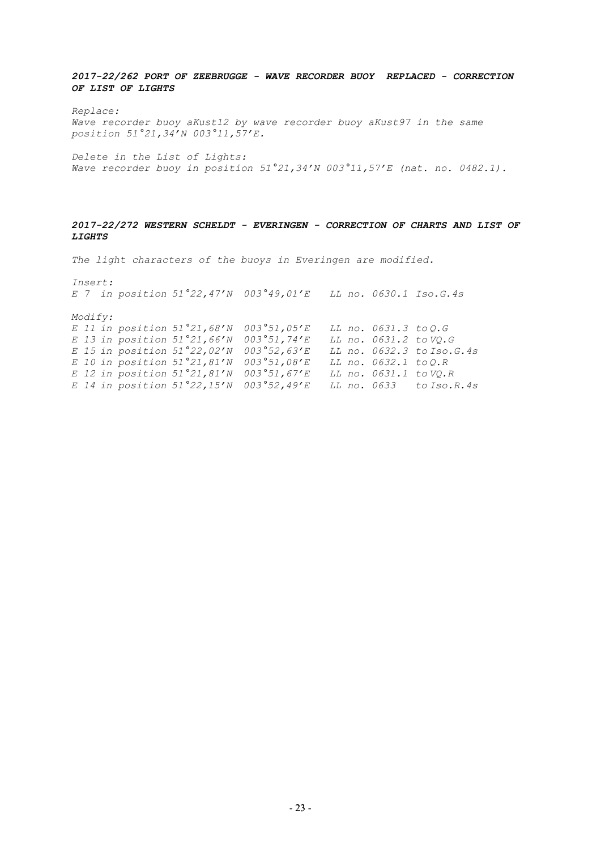*2017-22/262 PORT OF ZEEBRUGGE - WAVE RECORDER BUOY REPLACED - CORRECTION OF LIST OF LIGHTS*

*Replace: Wave recorder buoy aKust12 by wave recorder buoy aKust97 in the same position 51°21,34'N 003°11,57'E.*

*Delete in the List of Lights: Wave recorder buoy in position 51°21,34'N 003°11,57'E (nat. no. 0482.1).*

## *2017-22/272 WESTERN SCHELDT - EVERINGEN - CORRECTION OF CHARTS AND LIST OF LIGHTS*

*The light characters of the buoys in Everingen are modified.*

*Insert: E 7 in position 51°22,47'N 003°49,01'E LL no. 0630.1 Iso.G.4s Modify: E 11 in position 51°21,68'N 003°51,05'E LL no. 0631.3 to Q.G E 13 in position 51°21,66'N 003°51,74'E LL no. 0631.2 to VQ.G E 15 in position 51°22,02'N 003°52,63'E LL no. 0632.3 to Iso.G.4s E 10 in position 51°21,81'N 003°51,08'E LL no. 0632.1 to Q.R E 12 in position 51°21,81'N 003°51,67'E LL no. 0631.1 to VQ.R E 14 in position 51°22,15'N 003°52,49'E LL no. 0633 to Iso.R.4s*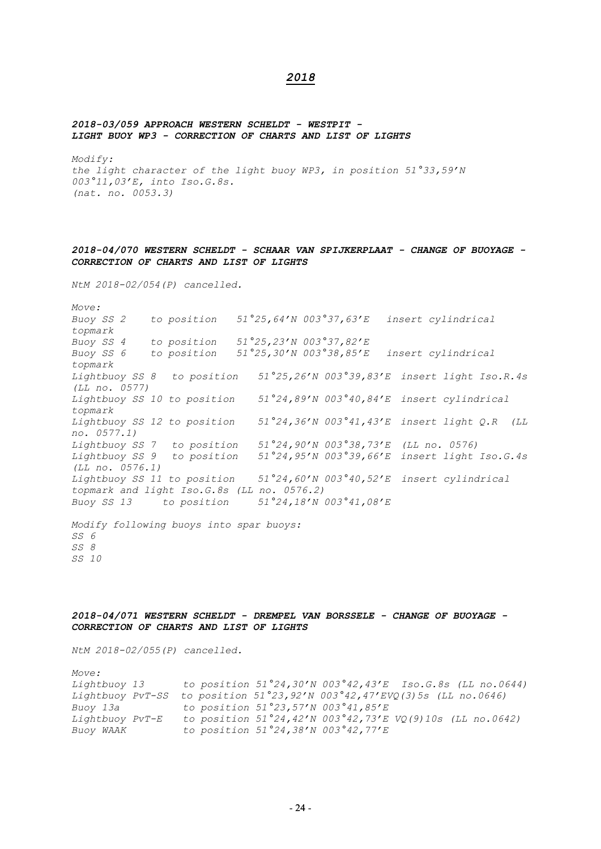## *2018*

#### *2018-03/059 APPROACH WESTERN SCHELDT - WESTPIT - LIGHT BUOY WP3 - CORRECTION OF CHARTS AND LIST OF LIGHTS*

*Modify: the light character of the light buoy WP3, in position 51°33,59'N 003°11,03'E, into Iso.G.8s. (nat. no. 0053.3)*

## *2018-04/070 WESTERN SCHELDT - SCHAAR VAN SPIJKERPLAAT - CHANGE OF BUOYAGE - CORRECTION OF CHARTS AND LIST OF LIGHTS*

*NtM 2018-02/054(P) cancelled.*

*Move: Buoy SS 2 to position 51°25,64'N 003°37,63'E insert cylindrical topmark Buoy SS 4 to position 51°25,23'N 003°37,82'E Buoy SS 6 to position 51°25,30'N 003°38,85'E insert cylindrical topmark Lightbuoy SS 8 to position 51°25,26'N 003°39,83'E insert light Iso.R.4s (LL no. 0577) Lightbuoy SS 10 to position 51°24,89'N 003°40,84'E insert cylindrical topmark Lightbuoy SS 12 to position 51°24,36'N 003°41,43'E insert light Q.R (LL no. 0577.1) Lightbuoy SS 7 to position 51°24,90'N 003°38,73'E (LL no. 0576) Lightbuoy SS 9 to position 51°24,95'N 003°39,66'E insert light Iso.G.4s (LL no. 0576.1) Lightbuoy SS 11 to position 51°24,60'N 003°40,52'E insert cylindrical topmark and light Iso.G.8s (LL no. 0576.2) Buoy SS 13 to position 51°24,18'N 003°41,08'E Modify following buoys into spar buoys: SS 6 SS 8 SS 10*

*2018-04/071 WESTERN SCHELDT - DREMPEL VAN BORSSELE - CHANGE OF BUOYAGE - CORRECTION OF CHARTS AND LIST OF LIGHTS*

*NtM 2018-02/055(P) cancelled.*

*Move: Lightbuoy 13 to position 51°24,30'N 003°42,43'E Iso.G.8s (LL no.0644) Lightbuoy PvT-SS to position 51°23,92'N 003°42,47'EVQ(3)5s (LL no.0646) Buoy 13a to position 51°23,57'N 003°41,85'E Lightbuoy PvT-E to position 51°24,42'N 003°42,73'E VQ(9)10s (LL no.0642) Buoy WAAK to position 51°24,38'N 003°42,77'E*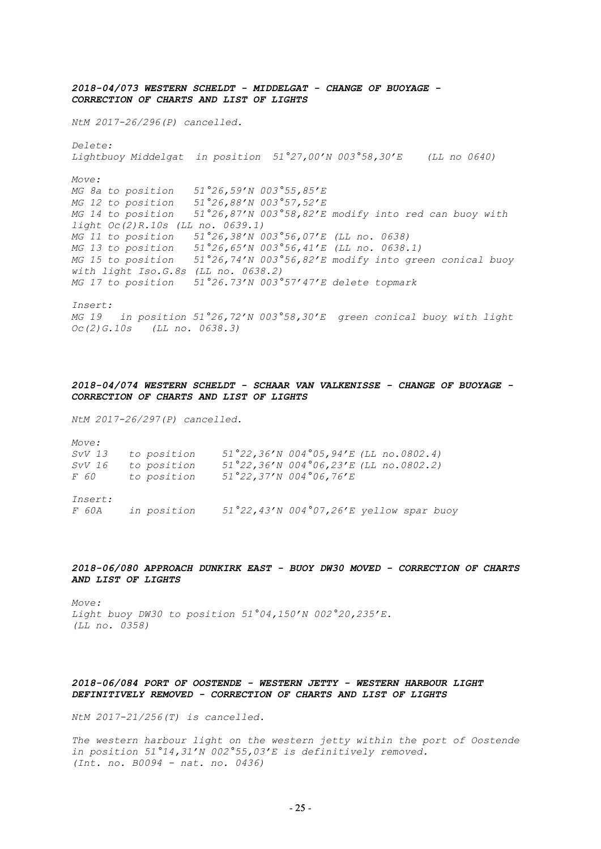*2018-04/073 WESTERN SCHELDT - MIDDELGAT - CHANGE OF BUOYAGE - CORRECTION OF CHARTS AND LIST OF LIGHTS*

*NtM 2017-26/296(P) cancelled.*

*Lightbuoy Middelgat in position 51°27,00'N 003°58,30'E (LL no 0640) Move: MG 8a to position 51°26,59'N 003°55,85'E MG 12 to position 51°26,88'N 003°57,52'E MG 14 to position 51°26,87'N 003°58,82'E modify into red can buoy with light Oc(2)R.10s (LL no. 0639.1) MG 11 to position 51°26,38'N 003°56,07'E (LL no. 0638) MG 13 to position 51°26,65'N 003°56,41'E (LL no. 0638.1) MG 15 to position 51°26,74'N 003°56,82'E modify into green conical buoy with light Iso.G.8s (LL no. 0638.2) MG 17 to position 51°26.73'N 003°57'47'E delete topmark*

*Insert:*

*Delete:*

*MG 19 in position 51°26,72'N 003°58,30'E green conical buoy with light Oc(2)G.10s (LL no. 0638.3)*

## *2018-04/074 WESTERN SCHELDT - SCHAAR VAN VALKENISSE - CHANGE OF BUOYAGE - CORRECTION OF CHARTS AND LIST OF LIGHTS*

*NtM 2017-26/297(P) cancelled.*

| Move:          |             |                                                                      |  |
|----------------|-------------|----------------------------------------------------------------------|--|
| SvV 13         | to position | $51^{\circ}22,36^{\prime}N004^{\circ}05,94^{\prime}E$ (LL no.0802.4) |  |
| SvV 16         | to position | $51^{\circ}22,36^{\prime}N004^{\circ}06,23^{\prime}E$ (LL no.0802.2) |  |
| F 60           | to position | $51°22, 37'N$ 004°06,76'E                                            |  |
|                |             |                                                                      |  |
| <i>Insert:</i> |             |                                                                      |  |

*F 60A in position 51°22,43'N 004°07,26'E yellow spar buoy*

*2018-06/080 APPROACH DUNKIRK EAST - BUOY DW30 MOVED - CORRECTION OF CHARTS AND LIST OF LIGHTS*

*Move: Light buoy DW30 to position 51°04,150'N 002°20,235'E. (LL no. 0358)*

## *2018-06/084 PORT OF OOSTENDE - WESTERN JETTY - WESTERN HARBOUR LIGHT DEFINITIVELY REMOVED - CORRECTION OF CHARTS AND LIST OF LIGHTS*

*NtM 2017-21/256(T) is cancelled.*

*The western harbour light on the western jetty within the port of Oostende in position 51°14,31'N 002°55,03'E is definitively removed. (Int. no. B0094 - nat. no. 0436)*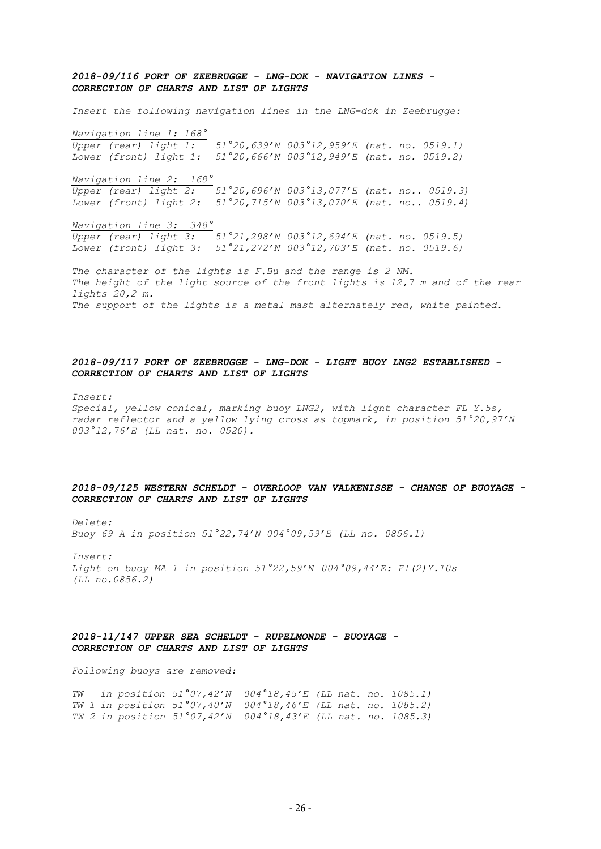## *2018-09/116 PORT OF ZEEBRUGGE - LNG-DOK - NAVIGATION LINES - CORRECTION OF CHARTS AND LIST OF LIGHTS*

*Insert the following navigation lines in the LNG-dok in Zeebrugge: Navigation line 1: 168° Upper (rear) light 1: 51°20,639'N 003°12,959'E (nat. no. 0519.1) Lower (front) light 1: 51°20,666'N 003°12,949'E (nat. no. 0519.2) Navigation line 2: 168° Upper (rear) light 2: 51°20,696'N 003°13,077'E (nat. no.. 0519.3) Lower (front) light 2: 51°20,715'N 003°13,070'E (nat. no.. 0519.4)*

*Navigation line 3: 348° Upper (rear) light 3: 51°21,298'N 003°12,694'E (nat. no. 0519.5) Lower (front) light 3: 51°21,272'N 003°12,703'E (nat. no. 0519.6)*

*The character of the lights is F.Bu and the range is 2 NM. The height of the light source of the front lights is 12,7 m and of the rear lights 20,2 m. The support of the lights is a metal mast alternately red, white painted.*

## *2018-09/117 PORT OF ZEEBRUGGE - LNG-DOK - LIGHT BUOY LNG2 ESTABLISHED - CORRECTION OF CHARTS AND LIST OF LIGHTS*

*Insert: Special, yellow conical, marking buoy LNG2, with light character FL Y.5s, radar reflector and a yellow lying cross as topmark, in position 51°20,97'N 003°12,76'E (LL nat. no. 0520).*

#### *2018-09/125 WESTERN SCHELDT - OVERLOOP VAN VALKENISSE - CHANGE OF BUOYAGE - CORRECTION OF CHARTS AND LIST OF LIGHTS*

*Delete:*

*Buoy 69 A in position 51°22,74'N 004°09,59'E (LL no. 0856.1)*

*Insert: Light on buoy MA 1 in position 51°22,59'N 004°09,44'E: Fl(2)Y.10s (LL no.0856.2)*

## *2018-11/147 UPPER SEA SCHELDT - RUPELMONDE - BUOYAGE - CORRECTION OF CHARTS AND LIST OF LIGHTS*

*Following buoys are removed:*

*TW in position 51°07,42'N 004°18,45'E (LL nat. no. 1085.1) TW 1 in position 51°07,40'N 004°18,46'E (LL nat. no. 1085.2) TW 2 in position 51°07,42'N 004°18,43'E (LL nat. no. 1085.3)*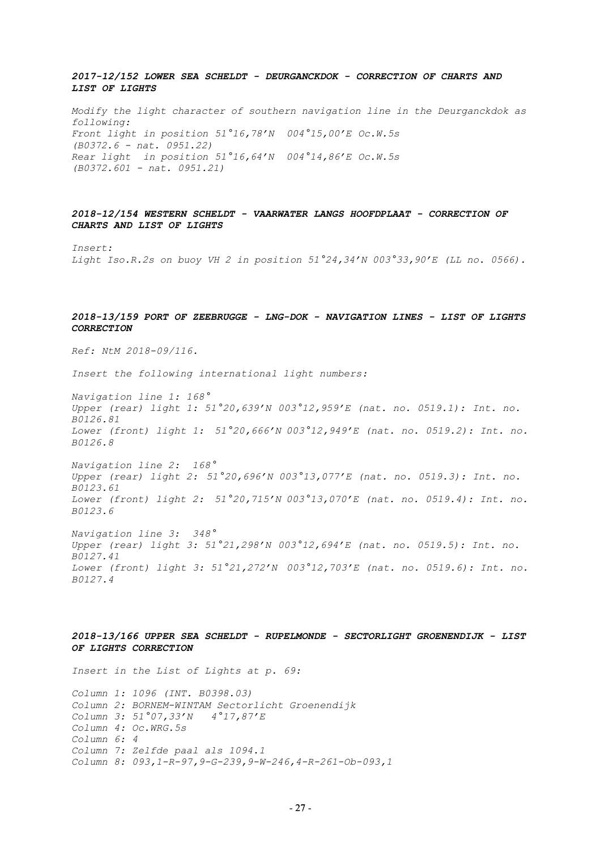## *2017-12/152 LOWER SEA SCHELDT - DEURGANCKDOK - CORRECTION OF CHARTS AND LIST OF LIGHTS*

*Modify the light character of southern navigation line in the Deurganckdok as following: Front light in position 51°16,78'N 004°15,00'E Oc.W.5s (B0372.6 - nat. 0951.22) Rear light in position 51°16,64'N 004°14,86'E Oc.W.5s (B0372.601 - nat. 0951.21)*

*2018-12/154 WESTERN SCHELDT - VAARWATER LANGS HOOFDPLAAT - CORRECTION OF CHARTS AND LIST OF LIGHTS*

*Insert: Light Iso.R.2s on buoy VH 2 in position 51°24,34'N 003°33,90'E (LL no. 0566).*

## *2018-13/159 PORT OF ZEEBRUGGE - LNG-DOK - NAVIGATION LINES - LIST OF LIGHTS CORRECTION*

*Ref: NtM 2018-09/116.*

*Insert the following international light numbers:*

*Navigation line 1: 168° Upper (rear) light 1: 51°20,639'N 003°12,959'E (nat. no. 0519.1): Int. no. B0126.81 Lower (front) light 1: 51°20,666'N 003°12,949'E (nat. no. 0519.2): Int. no. B0126.8*

*Navigation line 2: 168° Upper (rear) light 2: 51°20,696'N 003°13,077'E (nat. no. 0519.3): Int. no. B0123.61 Lower (front) light 2: 51°20,715'N 003°13,070'E (nat. no. 0519.4): Int. no. B0123.6*

*Navigation line 3: 348° Upper (rear) light 3: 51°21,298'N 003°12,694'E (nat. no. 0519.5): Int. no. B0127.41 Lower (front) light 3: 51°21,272'N 003°12,703'E (nat. no. 0519.6): Int. no. B0127.4*

## *2018-13/166 UPPER SEA SCHELDT - RUPELMONDE - SECTORLIGHT GROENENDIJK - LIST OF LIGHTS CORRECTION*

*Insert in the List of Lights at p. 69: Column 1: 1096 (INT. B0398.03) Column 2: BORNEM-WINTAM Sectorlicht Groenendijk Column 3: 51°07,33'N 4°17,87'E Column 4: Oc.WRG.5s Column 6: 4 Column 7: Zelfde paal als 1094.1 Column 8: 093,1-R-97,9-G-239,9-W-246,4-R-261-Ob-093,1*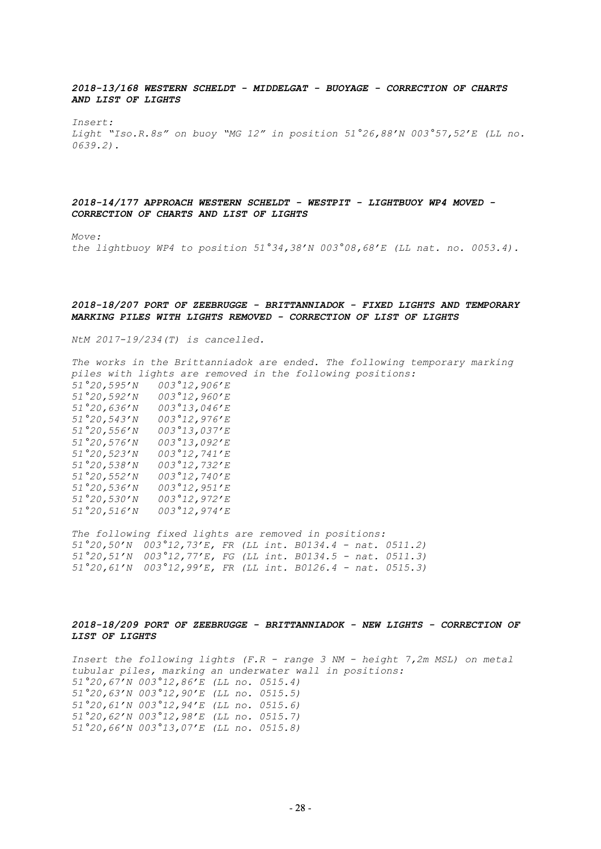*2018-13/168 WESTERN SCHELDT - MIDDELGAT - BUOYAGE - CORRECTION OF CHARTS AND LIST OF LIGHTS*

*Insert: Light "Iso.R.8s" on buoy "MG 12" in position 51°26,88'N 003°57,52'E (LL no. 0639.2).*

## *2018-14/177 APPROACH WESTERN SCHELDT - WESTPIT - LIGHTBUOY WP4 MOVED - CORRECTION OF CHARTS AND LIST OF LIGHTS*

*Move:*

*the lightbuoy WP4 to position 51°34,38'N 003°08,68'E (LL nat. no. 0053.4).*

#### *2018-18/207 PORT OF ZEEBRUGGE - BRITTANNIADOK - FIXED LIGHTS AND TEMPORARY MARKING PILES WITH LIGHTS REMOVED - CORRECTION OF LIST OF LIGHTS*

*NtM 2017-19/234(T) is cancelled.*

*The works in the Brittanniadok are ended. The following temporary marking piles with lights are removed in the following positions: 51°20,595'N 003°12,906'E 51°20,592'N 003°12,960'E 51°20,636'N 003°13,046'E 51°20,543'N 003°12,976'E 51°20,556'N 003°13,037'E 51°20,576'N 003°13,092'E 51°20,523'N 003°12,741'E 51°20,538'N 003°12,732'E 51°20,552'N 003°12,740'E 51°20,536'N 003°12,951'E 51°20,530'N 003°12,972'E 51°20,516'N 003°12,974'E*

*The following fixed lights are removed in positions: 51°20,50'N 003°12,73'E, FR (LL int. B0134.4 - nat. 0511.2) 51°20,51'N 003°12,77'E, FG (LL int. B0134.5 - nat. 0511.3) 51°20,61'N 003°12,99'E, FR (LL int. B0126.4 - nat. 0515.3)*

## *2018-18/209 PORT OF ZEEBRUGGE - BRITTANNIADOK - NEW LIGHTS - CORRECTION OF LIST OF LIGHTS*

*Insert the following lights (F.R - range 3 NM - height 7,2m MSL) on metal tubular piles, marking an underwater wall in positions: 51°20,67'N 003°12,86'E (LL no. 0515.4) 51°20,63'N 003°12,90'E (LL no. 0515.5) 51°20,61'N 003°12,94'E (LL no. 0515.6) 51°20,62'N 003°12,98'E (LL no. 0515.7) 51°20,66'N 003°13,07'E (LL no. 0515.8)*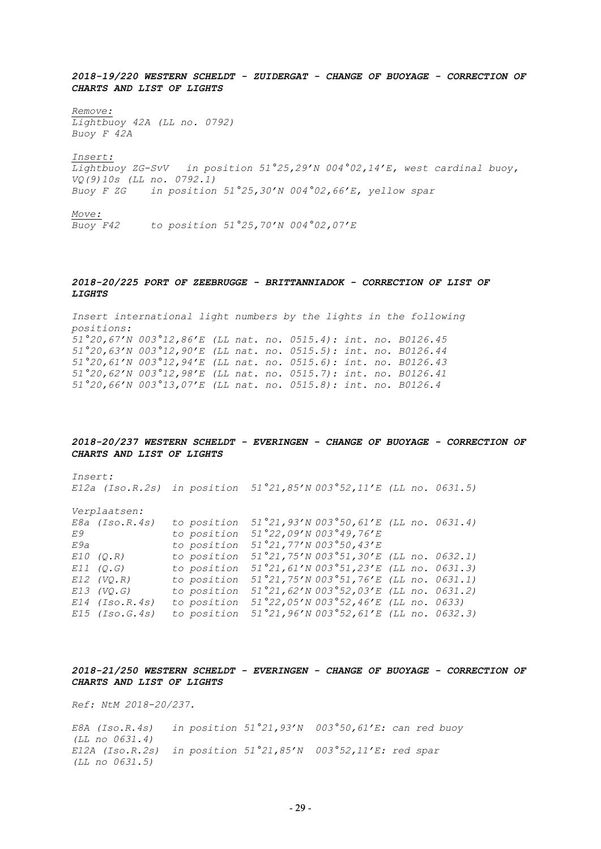*2018-19/220 WESTERN SCHELDT - ZUIDERGAT - CHANGE OF BUOYAGE - CORRECTION OF CHARTS AND LIST OF LIGHTS*

*Remove:* 

*Lightbuoy 42A (LL no. 0792) Buoy F 42A*

*Insert:*

*Lightbuoy ZG-SvV in position 51°25,29'N 004°02,14'E, west cardinal buoy, VQ(9)10s (LL no. 0792.1) Buoy F ZG in position 51°25,30'N 004°02,66'E, yellow spar*

*Move:*

*Buoy F42 to position 51°25,70'N 004°02,07'E* 

## *2018-20/225 PORT OF ZEEBRUGGE - BRITTANNIADOK - CORRECTION OF LIST OF LIGHTS*

*Insert international light numbers by the lights in the following positions: 51°20,67'N 003°12,86'E (LL nat. no. 0515.4): int. no. B0126.45 51°20,63'N 003°12,90'E (LL nat. no. 0515.5): int. no. B0126.44 51°20,61'N 003°12,94'E (LL nat. no. 0515.6): int. no. B0126.43 51°20,62'N 003°12,98'E (LL nat. no. 0515.7): int. no. B0126.41 51°20,66'N 003°13,07'E (LL nat. no. 0515.8): int. no. B0126.4*

#### *2018-20/237 WESTERN SCHELDT - EVERINGEN - CHANGE OF BUOYAGE - CORRECTION OF CHARTS AND LIST OF LIGHTS*

*Insert: E12a (Iso.R.2s) in position 51°21,85'N 003°52,11'E (LL no. 0631.5) Verplaatsen: E8a (Iso.R.4s) to position 51°21,93'N 003°50,61'E (LL no. 0631.4) E9 to position 51°22,09'N 003°49,76'E E9a to position 51°21,77'N 003°50,43'E E10 (Q.R) to position 51°21,75'N 003°51,30'E (LL no. 0632.1) E11 (Q.G) to position 51°21,61'N 003°51,23'E (LL no. 0631.3) E12 (VQ.R) to position 51°21,75'N 003°51,76'E (LL no. 0631.1) E13 (VQ.G) to position 51°21,62'N 003°52,03'E (LL no. 0631.2) E14 (Iso.R.4s) to position 51°22,05'N 003°52,46'E (LL no. 0633) E15 (Iso.G.4s) to position 51°21,96'N 003°52,61'E (LL no. 0632.3)*

## *2018-21/250 WESTERN SCHELDT - EVERINGEN - CHANGE OF BUOYAGE - CORRECTION OF CHARTS AND LIST OF LIGHTS*

*Ref: NtM 2018-20/237.*

*E8A (Iso.R.4s) in position 51°21,93'N 003°50,61'E: can red buoy (LL no 0631.4) E12A (Iso.R.2s) in position 51°21,85'N 003°52,11'E: red spar (LL no 0631.5)*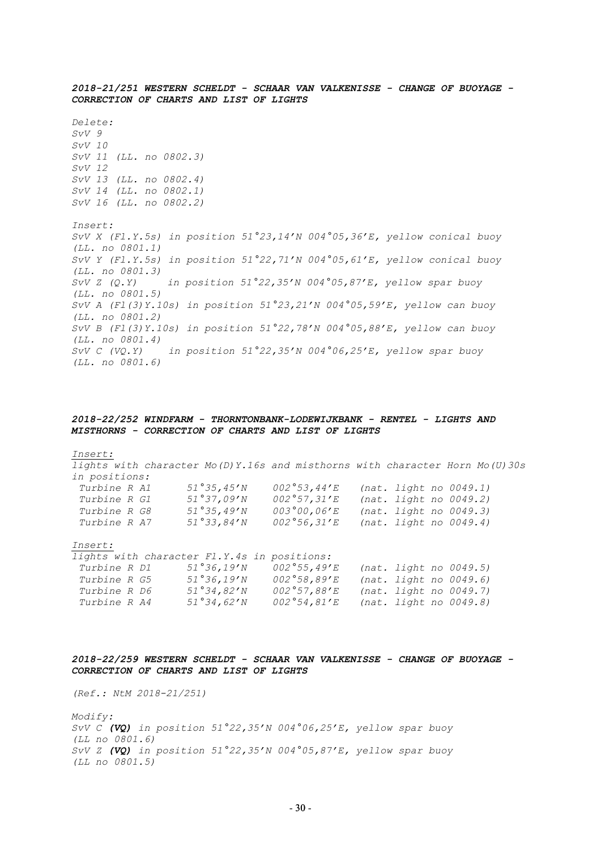*2018-21/251 WESTERN SCHELDT - SCHAAR VAN VALKENISSE - CHANGE OF BUOYAGE - CORRECTION OF CHARTS AND LIST OF LIGHTS Delete: SvV 9 SvV 10 SvV 11 (LL. no 0802.3) SvV 12 SvV 13 (LL. no 0802.4) SvV 14 (LL. no 0802.1) SvV 16 (LL. no 0802.2) Insert: SvV X (Fl.Y.5s) in position 51°23,14'N 004°05,36'E, yellow conical buoy (LL. no 0801.1) SvV Y (Fl.Y.5s) in position 51°22,71'N 004°05,61'E, yellow conical buoy (LL. no 0801.3) SvV Z (Q.Y) in position 51°22,35'N 004°05,87'E, yellow spar buoy (LL. no 0801.5) SvV A (Fl(3)Y.10s) in position 51°23,21'N 004°05,59'E, yellow can buoy (LL. no 0801.2) SvV B (Fl(3)Y.10s) in position 51°22,78'N 004°05,88'E, yellow can buoy (LL. no 0801.4) SvV C (VQ.Y) in position 51°22,35'N 004°06,25'E, yellow spar buoy (LL. no 0801.6)*

## *2018-22/252 WINDFARM - THORNTONBANK-LODEWIJKBANK - RENTEL - LIGHTS AND MISTHORNS - CORRECTION OF CHARTS AND LIST OF LIGHTS*

#### *Insert:*

*lights with character Mo(D)Y.16s and misthorns with character Horn Mo(U)30s in positions: Turbine R A1 51°35,45'N 002°53,44'E (nat. light no 0049.1)*

| TULULIIL IN IIL     | UI UUITU IV | UUZ UU,TT H | 1100.22110.110.0017.17 |
|---------------------|-------------|-------------|------------------------|
| Turbine R G1        | 51°37,09'N  | 002°57,31'E | (nat. light no 0049.2) |
| <i>Turbine R G8</i> | 51°35,49'N  | 003°00,06'E | (nat. light no 0049.3) |
| <i>Turbine R A7</i> | 51°33,84'N  | 002°56,31'E | (nat. light no 0049.4) |

#### *Insert:*

|                     | lights with character Fl.Y.4s in positions: |              |  |                        |
|---------------------|---------------------------------------------|--------------|--|------------------------|
| <i>Turbine R D1</i> | 51°36, 19'N                                 | 002°55,49'E  |  | (nat. light no 0049.5) |
| Turbine R G5        | 51°36, 19'N                                 | 002°58,89′E  |  | (nat. light no 0049.6) |
| Turbine R D6        | 51°34.82'N                                  | 002°57,88'E  |  | (nat. light no 0049.7) |
| Turbine R A4        | 51°34,62'N                                  | 002°54,81' E |  | (nat. light no 0049.8) |

### *2018-22/259 WESTERN SCHELDT - SCHAAR VAN VALKENISSE - CHANGE OF BUOYAGE - CORRECTION OF CHARTS AND LIST OF LIGHTS*

*(Ref.: NtM 2018-21/251)*

*Modify: SvV C (VQ) in position 51°22,35'N 004°06,25'E, yellow spar buoy (LL no 0801.6) SvV Z (VQ) in position 51°22,35'N 004°05,87'E, yellow spar buoy (LL no 0801.5)*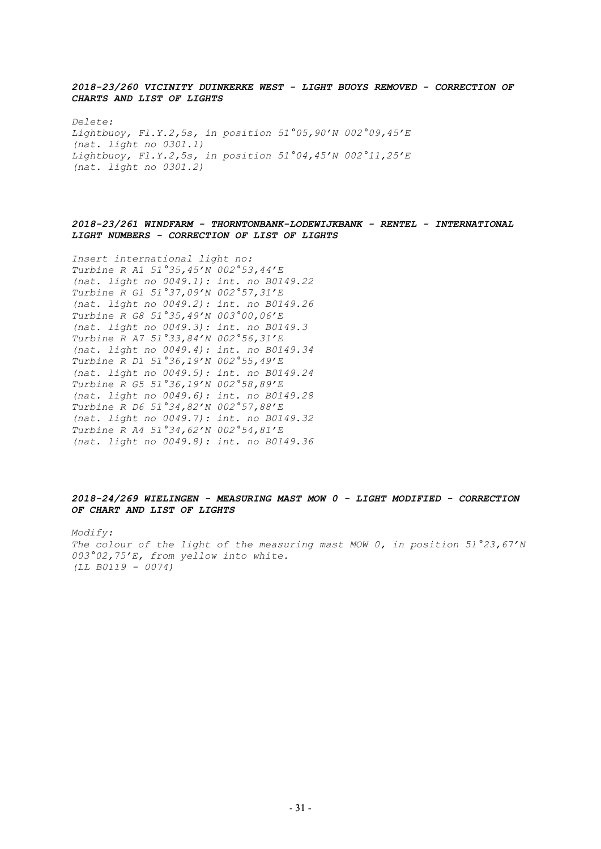*2018-23/260 VICINITY DUINKERKE WEST - LIGHT BUOYS REMOVED - CORRECTION OF CHARTS AND LIST OF LIGHTS*

*Delete: Lightbuoy, Fl.Y.2,5s, in position 51°05,90'N 002°09,45'E (nat. light no 0301.1) Lightbuoy, Fl.Y.2,5s, in position 51°04,45'N 002°11,25'E (nat. light no 0301.2)*

## *2018-23/261 WINDFARM - THORNTONBANK-LODEWIJKBANK - RENTEL - INTERNATIONAL LIGHT NUMBERS - CORRECTION OF LIST OF LIGHTS*

*Insert international light no: Turbine R A1 51°35,45'N 002°53,44'E (nat. light no 0049.1): int. no B0149.22 Turbine R G1 51°37,09'N 002°57,31'E (nat. light no 0049.2): int. no B0149.26 Turbine R G8 51°35,49'N 003°00,06'E (nat. light no 0049.3): int. no B0149.3 Turbine R A7 51°33,84'N 002°56,31'E (nat. light no 0049.4): int. no B0149.34 Turbine R D1 51°36,19'N 002°55,49'E (nat. light no 0049.5): int. no B0149.24 Turbine R G5 51°36,19'N 002°58,89'E (nat. light no 0049.6): int. no B0149.28 Turbine R D6 51°34,82'N 002°57,88'E (nat. light no 0049.7): int. no B0149.32 Turbine R A4 51°34,62'N 002°54,81'E (nat. light no 0049.8): int. no B0149.36*

## *2018-24/269 WIELINGEN - MEASURING MAST MOW 0 - LIGHT MODIFIED - CORRECTION OF CHART AND LIST OF LIGHTS*

*Modify: The colour of the light of the measuring mast MOW 0, in position 51°23,67'N 003°02,75'E, from yellow into white. (LL B0119 - 0074)*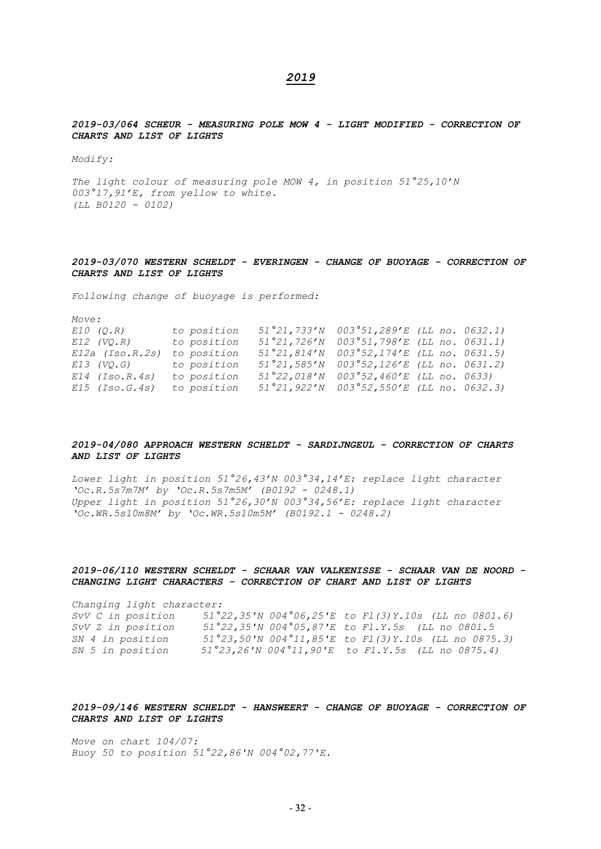## *2019*

*2019-03/064 SCHEUR - MEASURING POLE MOW 4 - LIGHT MODIFIED - CORRECTION OF CHARTS AND LIST OF LIGHTS* 

*Modify:*

*The light colour of measuring pole MOW 4, in position 51°25,10'N 003°17,91'E, from yellow to white. (LL B0120 - 0102)*

## *2019-03/070 WESTERN SCHELDT - EVERINGEN - CHANGE OF BUOYAGE - CORRECTION OF CHARTS AND LIST OF LIGHTS*

*Following change of buoyage is performed:*

*Move:*

| E10 (Q.R)              | to position | $51°21,733'N$ 003°51,289'E (LL no. 0632.1)                                    |  |
|------------------------|-------------|-------------------------------------------------------------------------------|--|
| $E12$ (VO.R)           | to position | $51^{\circ}21, 726^{\prime}N$ 003 $^{\circ}51, 798^{\prime}E$ (LL no. 0631.1) |  |
| $E12a$ (Iso.R.2s)      | to position | 51°21,814'N 003°52,174'E (LL no. 0631.5)                                      |  |
| E13 (VQ.G) to position |             | $51^{\circ}21, 585^{\prime}N$ 003 $^{\circ}52, 126^{\prime}E$ (LL no. 0631.2) |  |
| $E14$ (Iso.R.4s)       | to position | $51°22,018'$ N 003°52,460'E (LL no. 0633)                                     |  |
| $E15$ (Iso.G.4s)       | to position | $51°21,922'N$ 003°52,550'E (LL no. 0632.3)                                    |  |

## *2019-04/080 APPROACH WESTERN SCHELDT - SARDIJNGEUL - CORRECTION OF CHARTS AND LIST OF LIGHTS*

*Lower light in position 51°26,43'N 003°34,14'E: replace light character 'Oc.R.5s7m7M' by 'Oc.R.5s7m5M' (B0192 - 0248.1) Upper light in position 51°26,30'N 003°34,56'E: replace light character 'Oc.WR.5s10m8M' by 'Oc.WR.5s10m5M' (B0192.1 - 0248.2)*

## *2019-06/110 WESTERN SCHELDT - SCHAAR VAN VALKENISSE - SCHAAR VAN DE NOORD - CHANGING LIGHT CHARACTERS - CORRECTION OF CHART AND LIST OF LIGHTS*

*Changing light character: SvV C in position 51°22,35'N 004°06,25'E to Fl(3)Y.10s (LL no 0801.6) SvV Z in position 51°22,35'N 004°05,87'E to Fl.Y.5s (LL no 0801.5 SN 4 in position 51°23,50'N 004°11,85'E to Fl(3)Y.10s (LL no 0875.3) SN 5 in position 51°23,26'N 004°11,90'E to Fl.Y.5s (LL no 0875.4)*

## *2019-09/146 WESTERN SCHELDT - HANSWEERT - CHANGE OF BUOYAGE - CORRECTION OF CHARTS AND LIST OF LIGHTS*

*Move on chart 104/07: Buoy 50 to position 51°22,86'N 004°02,77'E.*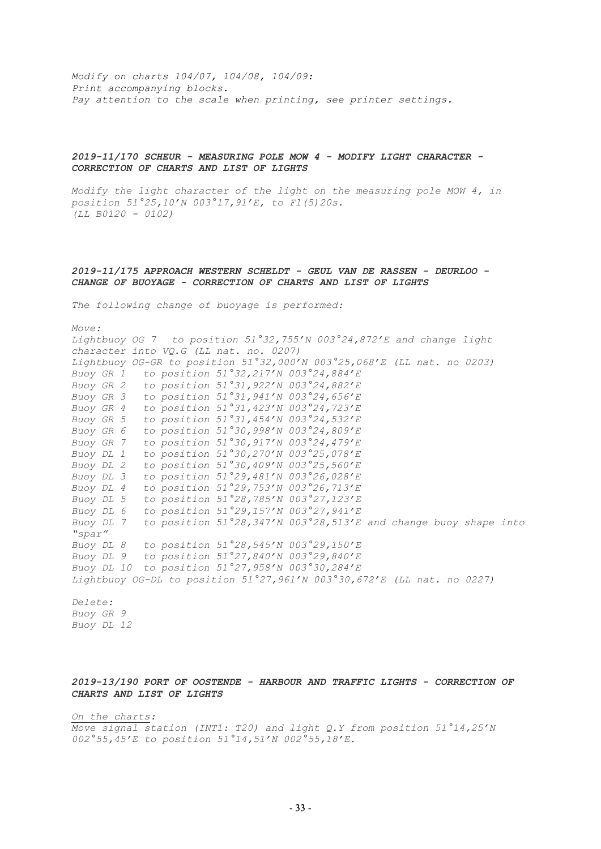*Modify on charts 104/07, 104/08, 104/09: Print accompanying blocks. Pay attention to the scale when printing, see printer settings.*

## *2019-11/170 SCHEUR - MEASURING POLE MOW 4 - MODIFY LIGHT CHARACTER - CORRECTION OF CHARTS AND LIST OF LIGHTS*

*Modify the light character of the light on the measuring pole MOW 4, in position 51°25,10'N 003°17,91'E, to Fl(5)20s. (LL B0120 - 0102)*

## *2019-11/175 APPROACH WESTERN SCHELDT - GEUL VAN DE RASSEN - DEURLOO - CHANGE OF BUOYAGE - CORRECTION OF CHARTS AND LIST OF LIGHTS*

*The following change of buoyage is performed:*

*Move: Lightbuoy OG 7 to position 51°32,755'N 003°24,872'E and change light character into VQ.G (LL nat. no. 0207) Lightbuoy OG-GR to position 51°32,000'N 003°25,068'E (LL nat. no 0203) Buoy GR 1 to position 51°32,217'N 003°24,884'E Buoy GR 2 to position 51°31,922'N 003°24,882'E Buoy GR 3 to position 51°31,941'N 003°24,656'E Buoy GR 4 to position 51°31,423'N 003°24,723'E Buoy GR 5 to position 51°31,454'N 003°24,532'E Buoy GR 6 to position 51°30,998'N 003°24,809'E Buoy GR 7 to position 51°30,917'N 003°24,479'E Buoy DL 1 to position 51°30,270'N 003°25,078'E Buoy DL 2 to position 51°30,409'N 003°25,560'E Buoy DL 3 to position 51°29,481'N 003°26,028'E Buoy DL 4 to position 51°29,753'N 003°26,713'E Buoy DL 5 to position 51°28,785'N 003°27,123'E Buoy DL 6 to position 51°29,157'N 003°27,941'E Buoy DL 7 to position 51°28,347'N 003°28,513'E and change buoy shape into "spar" Buoy DL 8 to position 51°28,545'N 003°29,150'E Buoy DL 9 to position 51°27,840'N 003°29,840'E Buoy DL 10 to position 51°27,958'N 003°30,284'E Lightbuoy OG-DL to position 51°27,961'N 003°30,672'E (LL nat. no 0227)*

*Delete: Buoy GR 9 Buoy DL 12*

## *2019-13/190 PORT OF OOSTENDE - HARBOUR AND TRAFFIC LIGHTS - CORRECTION OF CHARTS AND LIST OF LIGHTS*

*On the charts: Move signal station (INT1: T20) and light Q.Y from position 51°14,25'N 002°55,45'E to position 51°14,51'N 002°55,18'E.*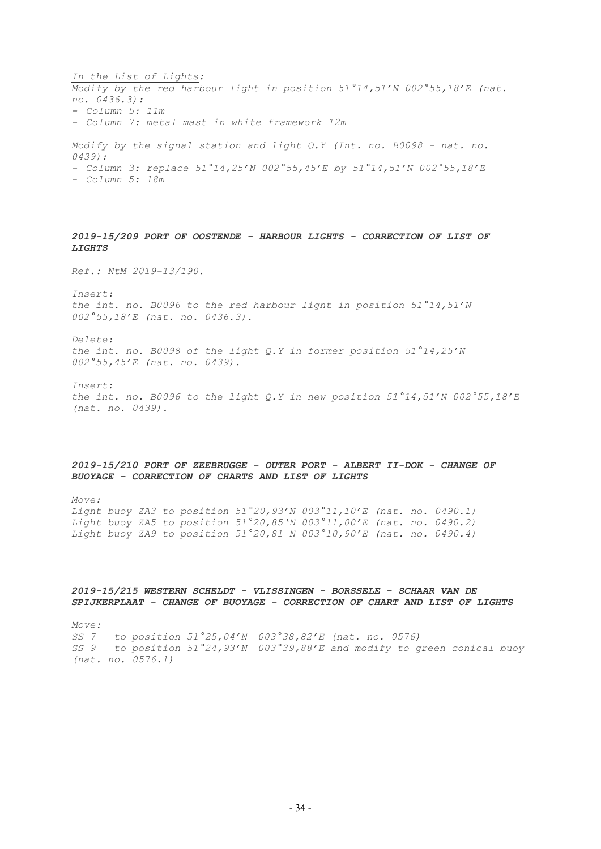*In the List of Lights: Modify by the red harbour light in position 51°14,51'N 002°55,18'E (nat. no. 0436.3): - Column 5: 11m - Column 7: metal mast in white framework 12m Modify by the signal station and light Q.Y (Int. no. B0098 - nat. no. 0439): - Column 3: replace 51°14,25'N 002°55,45'E by 51°14,51'N 002°55,18'E*

*- Column 5: 18m* 

## *2019-15/209 PORT OF OOSTENDE - HARBOUR LIGHTS - CORRECTION OF LIST OF LIGHTS*

*Ref.: NtM 2019-13/190.*

*Insert: the int. no. B0096 to the red harbour light in position 51°14,51'N 002°55,18'E (nat. no. 0436.3).* 

*Delete: the int. no. B0098 of the light Q.Y in former position 51°14,25'N 002°55,45'E (nat. no. 0439).* 

*Insert: the int. no. B0096 to the light Q.Y in new position 51°14,51'N 002°55,18'E (nat. no. 0439).* 

## *2019-15/210 PORT OF ZEEBRUGGE - OUTER PORT - ALBERT II-DOK - CHANGE OF BUOYAGE - CORRECTION OF CHARTS AND LIST OF LIGHTS*

*Move: Light buoy ZA3 to position 51°20,93'N 003°11,10'E (nat. no. 0490.1) Light buoy ZA5 to position 51°20,85'N 003°11,00'E (nat. no. 0490.2) Light buoy ZA9 to position 51°20,81 N 003°10,90'E (nat. no. 0490.4)*

## *2019-15/215 WESTERN SCHELDT - VLISSINGEN - BORSSELE - SCHAAR VAN DE SPIJKERPLAAT - CHANGE OF BUOYAGE - CORRECTION OF CHART AND LIST OF LIGHTS*

*Move: SS 7 to position 51°25,04'N 003°38,82'E (nat. no. 0576) SS 9 to position 51°24,93'N 003°39,88'E and modify to green conical buoy (nat. no. 0576.1)*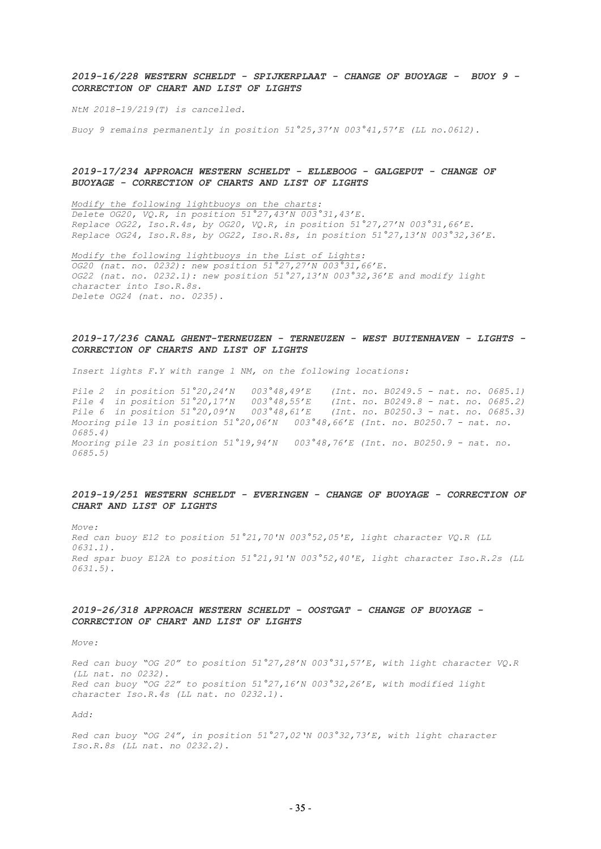## *2019-16/228 WESTERN SCHELDT - SPIJKERPLAAT - CHANGE OF BUOYAGE - BUOY 9 - CORRECTION OF CHART AND LIST OF LIGHTS*

*NtM 2018-19/219(T) is cancelled.* 

*Buoy 9 remains permanently in position 51°25,37'N 003°41,57'E (LL no.0612).* 

## *2019-17/234 APPROACH WESTERN SCHELDT - ELLEBOOG - GALGEPUT - CHANGE OF BUOYAGE - CORRECTION OF CHARTS AND LIST OF LIGHTS*

*Modify the following lightbuoys on the charts: Delete OG20, VQ.R, in position 51°27,43'N 003°31,43'E. Replace OG22, Iso.R.4s, by OG20, VQ.R, in position 51°27,27'N 003°31,66'E. Replace OG24, Iso.R.8s, by OG22, Iso.R.8s, in position 51°27,13'N 003°32,36'E.* 

*Modify the following lightbuoys in the List of Lights: OG20 (nat. no. 0232): new position 51°27,27'N 003°31,66'E. OG22 (nat. no. 0232.1): new position 51°27,13'N 003°32,36'E and modify light character into Iso.R.8s. Delete OG24 (nat. no. 0235).* 

#### *2019-17/236 CANAL GHENT-TERNEUZEN - TERNEUZEN - WEST BUITENHAVEN - LIGHTS - CORRECTION OF CHARTS AND LIST OF LIGHTS*

*Insert lights F.Y with range 1 NM, on the following locations:* 

*Pile 2* in position 51°20,24'N 003°48,49'E (Int. no. B0249.5 - nat. no. 0685.1)<br>*Pile 4* in position 51°20,17'N 003°48,55'E (Int. no. B0249.8 - nat. no. 0685.2) *Pile 4 in position 51°20,17'N 003°48,55'E (Int. no. B0249.8 - nat. no. 0685.2) Pile 6 in position 51°20,09'N 003°48,61'E (Int. no. B0250.3 - nat. no. 0685.3) Mooring pile 13 in position 51°20,06'N 003°48,66'E (Int. no. B0250.7 - nat. no. 0685.4) Mooring pile 23 in position 51°19,94'N 003°48,76'E (Int. no. B0250.9 - nat. no. 0685.5)* 

## *2019-19/251 WESTERN SCHELDT - EVERINGEN - CHANGE OF BUOYAGE - CORRECTION OF CHART AND LIST OF LIGHTS*

*Move: Red can buoy E12 to position 51°21,70'N 003°52,05'E, light character VQ.R (LL 0631.1). Red spar buoy E12A to position 51°21,91'N 003°52,40'E, light character Iso.R.2s (LL 0631.5).* 

## *2019-26/318 APPROACH WESTERN SCHELDT - OOSTGAT - CHANGE OF BUOYAGE - CORRECTION OF CHART AND LIST OF LIGHTS*

*Move:* 

*Red can buoy "OG 20" to position 51°27,28'N 003°31,57'E, with light character VQ.R (LL nat. no 0232). Red can buoy "OG 22" to position 51°27,16'N 003°32,26'E, with modified light character Iso.R.4s (LL nat. no 0232.1).* 

*Add:* 

*Red can buoy "OG 24", in position 51°27,02'N 003°32,73'E, with light character Iso.R.8s (LL nat. no 0232.2).*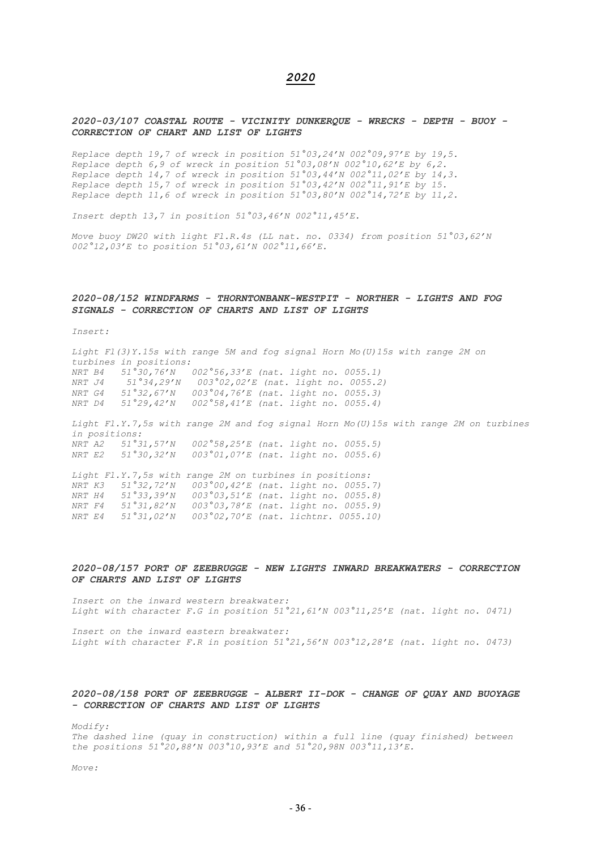## *2020*

### *2020-03/107 COASTAL ROUTE - VICINITY DUNKERQUE - WRECKS - DEPTH - BUOY - CORRECTION OF CHART AND LIST OF LIGHTS*

*Replace depth 19,7 of wreck in position 51°03,24'N 002°09,97'E by 19,5. Replace depth 6,9 of wreck in position 51°03,08'N 002°10,62'E by 6,2. Replace depth 14,7 of wreck in position 51°03,44'N 002°11,02'E by 14,3. Replace depth 15,7 of wreck in position 51°03,42'N 002°11,91'E by 15. Replace depth 11,6 of wreck in position 51°03,80'N 002°14,72'E by 11,2.* 

*Insert depth 13,7 in position 51°03,46'N 002°11,45'E.* 

*Move buoy DW20 with light Fl.R.4s (LL nat. no. 0334) from position 51°03,62'N 002°12,03'E to position 51°03,61'N 002°11,66'E.* 

#### *2020-08/152 WINDFARMS - THORNTONBANK-WESTPIT - NORTHER - LIGHTS AND FOG SIGNALS - CORRECTION OF CHARTS AND LIST OF LIGHTS*

*Insert:* 

*Light Fl(3)Y.15s with range 5M and fog signal Horn Mo(U)15s with range 2M on turbines in positions: NRT B4 51°30,76'N 002°56,33'E (nat. light no. 0055.1) NRT J4 51°34,29'N 003°02,02'E (nat. light no. 0055.2) NRT G4 51°32,67'N 003°04,76'E (nat. light no. 0055.3) NRT D4 51°29,42'N 002°58,41'E (nat. light no. 0055.4) Light Fl.Y.7,5s with range 2M and fog signal Horn Mo(U)15s with range 2M on turbines in positions:* 

*NRT A2 51°31,57'N 002°58,25'E (nat. light no. 0055.5) NRT E2 51°30,32'N 003°01,07'E (nat. light no. 0055.6)* 

*Light Fl.Y.7,5s with range 2M on turbines in positions: NRT K3 51°32,72'N 003°00,42'E (nat. light no. 0055.7) NRT H4 51°33,39'N 003°03,51'E (nat. light no. 0055.8) NRT F4 51°31,82'N 003°03,78'E (nat. light no. 0055.9) NRT E4 51°31,02'N 003°02,70'E (nat. lichtnr. 0055.10)* 

## *2020-08/157 PORT OF ZEEBRUGGE - NEW LIGHTS INWARD BREAKWATERS - CORRECTION OF CHARTS AND LIST OF LIGHTS*

*Insert on the inward western breakwater: Light with character F.G in position 51°21,61'N 003°11,25'E (nat. light no. 0471)* 

*Insert on the inward eastern breakwater: Light with character F.R in position 51°21,56'N 003°12,28'E (nat. light no. 0473)* 

## *2020-08/158 PORT OF ZEEBRUGGE - ALBERT II-DOK - CHANGE OF QUAY AND BUOYAGE - CORRECTION OF CHARTS AND LIST OF LIGHTS*

*Modify: The dashed line (quay in construction) within a full line (quay finished) between the positions 51°20,88'N 003°10,93'E and 51°20,98N 003°11,13'E.* 

*Move:*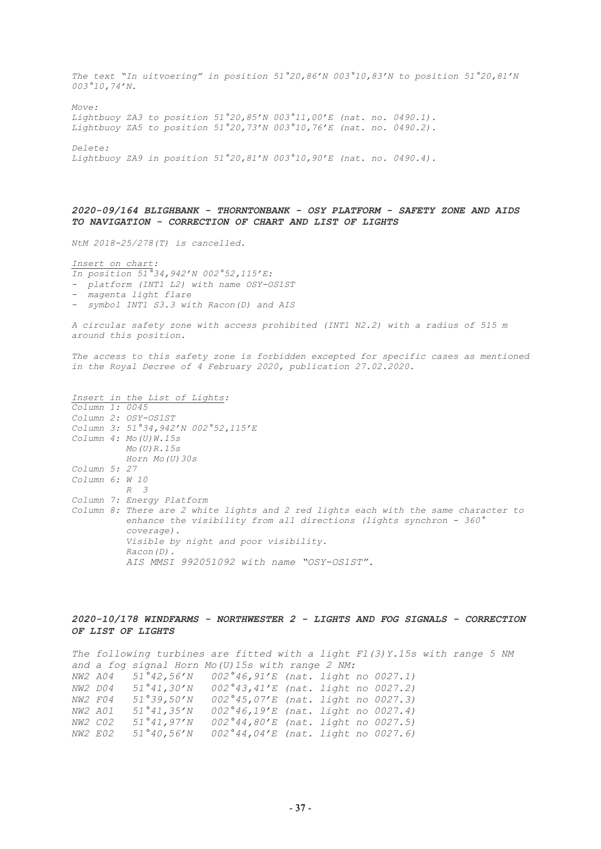*The text "In uitvoering" in position 51°20,86'N 003°10,83'N to position 51°20,81'N 003°10,74'N.* 

*Move: Lightbuoy ZA3 to position 51°20,85'N 003°11,00'E (nat. no. 0490.1). Lightbuoy ZA5 to position 51°20,73'N 003°10,76'E (nat. no. 0490.2).* 

*Delete:* 

*Lightbuoy ZA9 in position 51°20,81'N 003°10,90'E (nat. no. 0490.4).* 

## *2020-09/164 BLIGHBANK - THORNTONBANK - OSY PLATFORM - SAFETY ZONE AND AIDS TO NAVIGATION - CORRECTION OF CHART AND LIST OF LIGHTS*

*NtM 2018-25/278(T) is cancelled.* 

*Insert on chart:* 

*In position 51°34,942'N 002°52,115'E:* 

- *platform (INT1 L2) with name OSY-OS1ST*
- *magenta light flare*
- *symbol INT1 S3.3 with Racon(D) and AIS*

*A circular safety zone with access prohibited (INT1 N2.2) with a radius of 515 m around this position.* 

The access to this safety zone is forbidden excepted for specific cases as mentioned *in the Royal Decree of 4 February 2020, publication 27.02.2020.* 

*Insert in the List of Lights: Column 1: 0045 Column 2: OSY-OS1ST Column 3: 51°34,942'N 002°52,115'E Column 4: Mo(U)W.15s Mo(U)R.15s Horn Mo(U)30s Column 5: 27 Column 6: W 10 R 3 Column 7: Energy Platform Column 8: There are 2 white lights and 2 red lights each with the same character to enhance the visibility from all directions (lights synchron - 360° coverage). Visible by night and poor visibility. Racon(D). AIS MMSI 992051092 with name "OSY-OS1ST".*

#### *2020-10/178 WINDFARMS - NORTHWESTER 2 - LIGHTS AND FOG SIGNALS - CORRECTION OF LIST OF LIGHTS*

*The following turbines are fitted with a light Fl(3)Y.15s with range 5 NM and a fog signal Horn Mo(U)15s with range 2 NM: NW2 A04 51°42,56'N 002°46,91'E (nat. light no 0027.1) NW2 D04 51°41,30'N 002°43,41'E (nat. light no 0027.2) NW2 F04 51°39,50'N 002°45,07'E (nat. light no 0027.3) NW2 A01 51°41,35'N 002°46,19'E (nat. light no 0027.4) NW2 C02 51°41,97'N 002°44,80'E (nat. light no 0027.5) NW2 E02 51°40,56'N 002°44,04'E (nat. light no 0027.6)*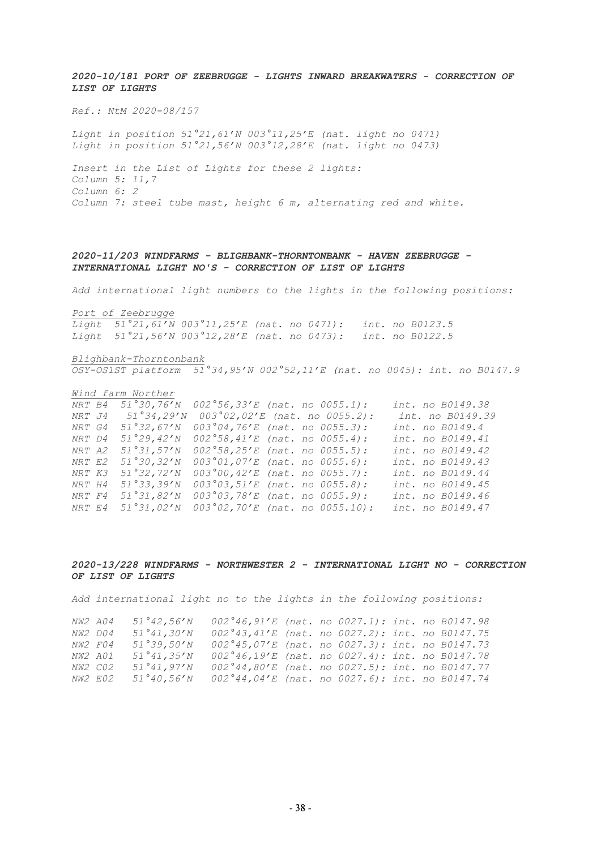*2020-10/181 PORT OF ZEEBRUGGE - LIGHTS INWARD BREAKWATERS - CORRECTION OF LIST OF LIGHTS*

*Ref.: NtM 2020-08/157*

*Light in position 51°21,61'N 003°11,25'E (nat. light no 0471) Light in position 51°21,56'N 003°12,28'E (nat. light no 0473)*

*Insert in the List of Lights for these 2 lights: Column 5: 11,7 Column 6: 2 Column 7: steel tube mast, height 6 m, alternating red and white.* 

## *2020-11/203 WINDFARMS - BLIGHBANK-THORNTONBANK - HAVEN ZEEBRUGGE - INTERNATIONAL LIGHT NO'S - CORRECTION OF LIST OF LIGHTS*

*Add international light numbers to the lights in the following positions:* 

*Port of Zeebrugge*

*Light 51°21,61'N 003°11,25'E (nat. no 0471): int. no B0123.5 Light 51°21,56'N 003°12,28'E (nat. no 0473): int. no B0122.5*

*Blighbank-Thorntonbank OSY-OS1ST platform 51°34,95'N 002°52,11'E (nat. no 0045): int. no B0147.9*

#### *Wind farm Norther*

*NRT B4 51°30,76'N 002°56,33'E (nat. no 0055.1): int. no B0149.38 NRT J4 51°34,29'N 003°02,02'E (nat. no 0055.2): int. no B0149.39 NRT G4 51°32,67'N 003°04,76'E (nat. no 0055.3): int. no B0149.4 NRT D4 51°29,42'N 002°58,41'E (nat. no 0055.4): int. no B0149.41 NRT A2 51°31,57'N 002°58,25'E (nat. no 0055.5): int. no B0149.42 NRT E2 51°30,32'N 003°01,07'E (nat. no 0055.6): int. no B0149.43 NRT K3 51°32,72'N 003°00,42'E (nat. no 0055.7): int. no B0149.44 NRT H4 51°33,39'N 003°03,51'E (nat. no 0055.8): int. no B0149.45 NRT F4 51°31,82'N 003°03,78'E (nat. no 0055.9): int. no B0149.46 NRT E4 51°31,02'N 003°02,70'E (nat. no 0055.10): int. no B0149.47*

#### *2020-13/228 WINDFARMS - NORTHWESTER 2 - INTERNATIONAL LIGHT NO - CORRECTION OF LIST OF LIGHTS*

*Add international light no to the lights in the following positions:*

| NW2 A04        | 51°42,56'N | $002^{\circ}46,91^{\prime}E$ (nat. no 0027.1): int. no B0147.98    |  |  |  |
|----------------|------------|--------------------------------------------------------------------|--|--|--|
| NW2 D04        | 51°41,30'N | $002^{\circ}43,41^{\prime}E$ (nat. no 0027.2): int. no B0147.75    |  |  |  |
| NW2 F04        | 51°39,50'N | $002^{\circ}45.07^{\prime}E$ (nat. no $0027.3$ ): int. no B0147.73 |  |  |  |
| <i>NW2 A01</i> | 51°41.35'N | $002^{\circ}46.19^{\prime}E$ (nat. no $0027.4$ ): int. no B0147.78 |  |  |  |
| <i>NW2 C02</i> | 51°41.97'N | $002^{\circ}44,80'E$ (nat. no $0027.5$ ): int. no B0147.77         |  |  |  |
| <i>NW2 E02</i> | 51°40.56'N | $002^{\circ}44,04'E$ (nat. no $0027.6$ ): int. no B0147.74         |  |  |  |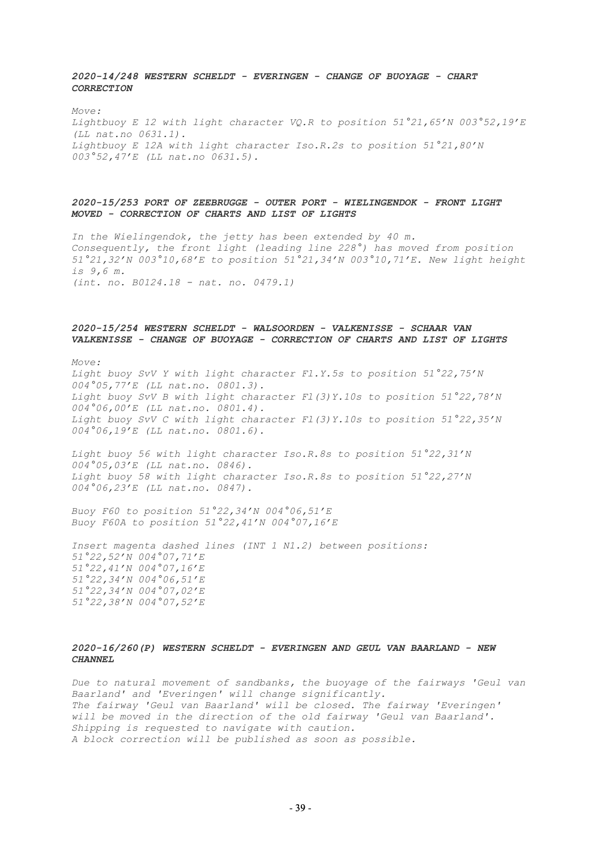## *2020-14/248 WESTERN SCHELDT - EVERINGEN - CHANGE OF BUOYAGE - CHART CORRECTION*

*Move:*

*Lightbuoy E 12 with light character VQ.R to position 51°21,65'N 003°52,19'E (LL nat.no 0631.1). Lightbuoy E 12A with light character Iso.R.2s to position 51°21,80'N 003°52,47'E (LL nat.no 0631.5).*

## *2020-15/253 PORT OF ZEEBRUGGE - OUTER PORT - WIELINGENDOK - FRONT LIGHT MOVED - CORRECTION OF CHARTS AND LIST OF LIGHTS*

*In the Wielingendok, the jetty has been extended by 40 m. Consequently, the front light (leading line 228°) has moved from position 51°21,32'N 003°10,68'E to position 51°21,34'N 003°10,71'E. New light height is 9,6 m. (int. no. B0124.18 - nat. no. 0479.1)*

## *2020-15/254 WESTERN SCHELDT - WALSOORDEN - VALKENISSE - SCHAAR VAN VALKENISSE - CHANGE OF BUOYAGE - CORRECTION OF CHARTS AND LIST OF LIGHTS*

*Move:*

*Light buoy SvV Y with light character Fl.Y.5s to position 51°22,75'N 004°05,77'E (LL nat.no. 0801.3). Light buoy SvV B with light character Fl(3)Y.10s to position 51°22,78'N 004°06,00'E (LL nat.no. 0801.4). Light buoy SvV C with light character Fl(3)Y.10s to position 51°22,35'N 004°06,19'E (LL nat.no. 0801.6).*

*Light buoy 56 with light character Iso.R.8s to position 51°22,31'N 004°05,03'E (LL nat.no. 0846). Light buoy 58 with light character Iso.R.8s to position 51°22,27'N 004°06,23'E (LL nat.no. 0847).*

*Buoy F60 to position 51°22,34'N 004°06,51'E Buoy F60A to position 51°22,41'N 004°07,16'E*

*Insert magenta dashed lines (INT 1 N1.2) between positions: 51°22,52'N 004°07,71'E 51°22,41'N 004°07,16'E 51°22,34'N 004°06,51'E 51°22,34'N 004°07,02'E 51°22,38'N 004°07,52'E*

## *2020-16/260(P) WESTERN SCHELDT - EVERINGEN AND GEUL VAN BAARLAND - NEW CHANNEL*

*Due to natural movement of sandbanks, the buoyage of the fairways 'Geul van Baarland' and 'Everingen' will change significantly. The fairway 'Geul van Baarland' will be closed. The fairway 'Everingen' will be moved in the direction of the old fairway 'Geul van Baarland'. Shipping is requested to navigate with caution. A block correction will be published as soon as possible.*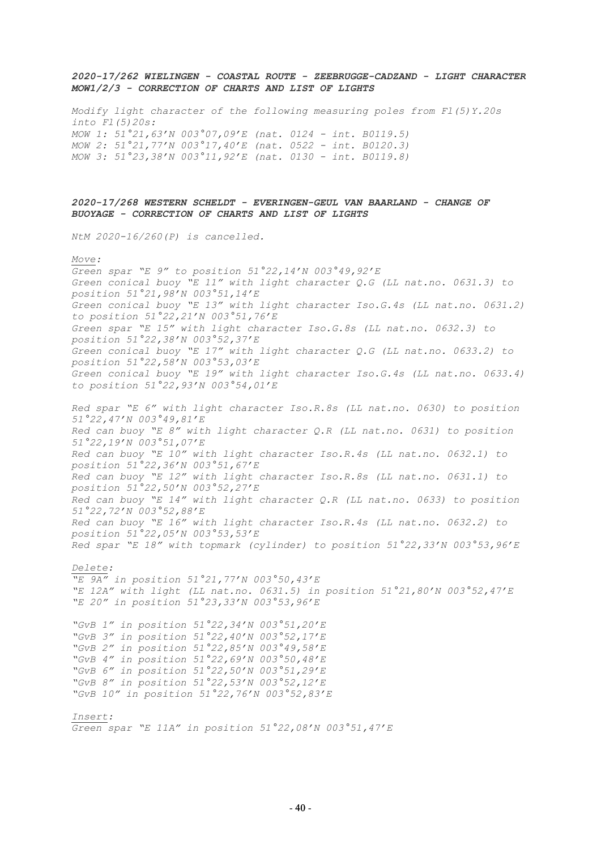## *2020-17/262 WIELINGEN - COASTAL ROUTE - ZEEBRUGGE-CADZAND - LIGHT CHARACTER MOW1/2/3 - CORRECTION OF CHARTS AND LIST OF LIGHTS*

*Modify light character of the following measuring poles from Fl(5)Y.20s into Fl(5)20s: MOW 1: 51°21,63'N 003°07,09'E (nat. 0124 - int. B0119.5) MOW 2: 51°21,77'N 003°17,40'E (nat. 0522 - int. B0120.3) MOW 3: 51°23,38'N 003°11,92'E (nat. 0130 - int. B0119.8)*

## *2020-17/268 WESTERN SCHELDT - EVERINGEN-GEUL VAN BAARLAND - CHANGE OF BUOYAGE - CORRECTION OF CHARTS AND LIST OF LIGHTS*

*NtM 2020-16/260(P) is cancelled.* 

#### *Move:*

*Green spar "E 9" to position 51°22,14'N 003°49,92'E Green conical buoy "E 11" with light character Q.G (LL nat.no. 0631.3) to position 51°21,98'N 003°51,14'E Green conical buoy "E 13" with light character Iso.G.4s (LL nat.no. 0631.2) to position 51°22,21'N 003°51,76'E Green spar "E 15" with light character Iso.G.8s (LL nat.no. 0632.3) to position 51°22,38'N 003°52,37'E Green conical buoy "E 17" with light character Q.G (LL nat.no. 0633.2) to position 51°22,58'N 003°53,03'E Green conical buoy "E 19" with light character Iso.G.4s (LL nat.no. 0633.4) to position 51°22,93'N 003°54,01'E*

*Red spar "E 6" with light character Iso.R.8s (LL nat.no. 0630) to position 51°22,47'N 003°49,81'E Red can buoy "E 8" with light character Q.R (LL nat.no. 0631) to position 51°22,19'N 003°51,07'E Red can buoy "E 10" with light character Iso.R.4s (LL nat.no. 0632.1) to position 51°22,36'N 003°51,67'E Red can buoy "E 12" with light character Iso.R.8s (LL nat.no. 0631.1) to position 51°22,50'N 003°52,27'E Red can buoy "E 14" with light character Q.R (LL nat.no. 0633) to position 51°22,72'N 003°52,88'E Red can buoy "E 16" with light character Iso.R.4s (LL nat.no. 0632.2) to position 51°22,05'N 003°53,53'E Red spar "E 18" with topmark (cylinder) to position 51°22,33'N 003°53,96'E* 

*Delete:* 

*"E 9A" in position 51°21,77'N 003°50,43'E "E 12A" with light (LL nat.no. 0631.5) in position 51°21,80'N 003°52,47'E "E 20" in position 51°23,33'N 003°53,96'E*

*"GvB 1" in position 51°22,34'N 003°51,20'E "GvB 3" in position 51°22,40'N 003°52,17'E "GvB 2" in position 51°22,85'N 003°49,58'E "GvB 4" in position 51°22,69'N 003°50,48'E "GvB 6" in position 51°22,50'N 003°51,29'E "GvB 8" in position 51°22,53'N 003°52,12'E "GvB 10" in position 51°22,76'N 003°52,83'E* 

## *Insert:*

*Green spar "E 11A" in position 51°22,08'N 003°51,47'E*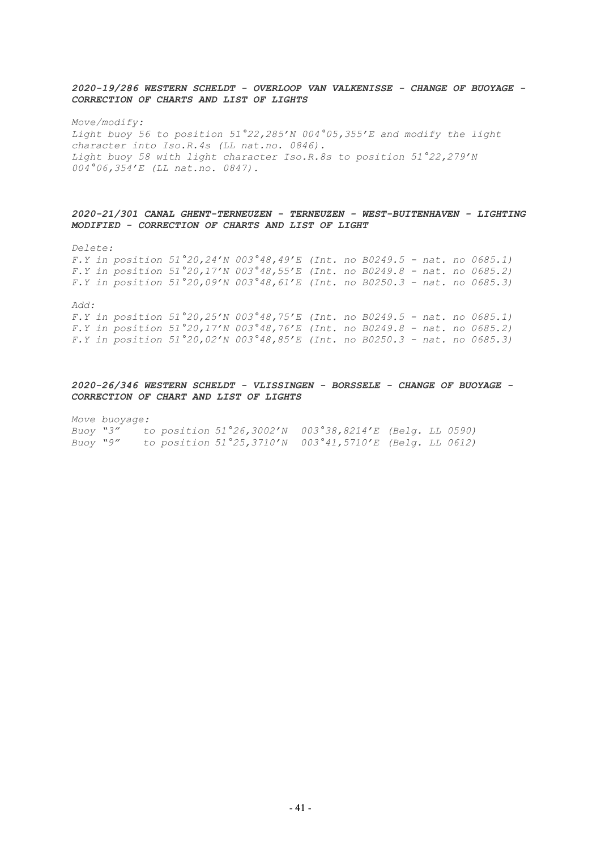## *2020-19/286 WESTERN SCHELDT - OVERLOOP VAN VALKENISSE - CHANGE OF BUOYAGE - CORRECTION OF CHARTS AND LIST OF LIGHTS*

*Move/modify: Light buoy 56 to position 51°22,285'N 004°05,355'E and modify the light character into Iso.R.4s (LL nat.no. 0846). Light buoy 58 with light character Iso.R.8s to position 51°22,279'N 004°06,354'E (LL nat.no. 0847).*

## *2020-21/301 CANAL GHENT-TERNEUZEN - TERNEUZEN - WEST-BUITENHAVEN - LIGHTING MODIFIED - CORRECTION OF CHARTS AND LIST OF LIGHT*

*Delete:*

*F.Y in position 51°20,24'N 003°48,49'E (Int. no B0249.5 - nat. no 0685.1) F.Y in position 51°20,17'N 003°48,55'E (Int. no B0249.8 - nat. no 0685.2) F.Y in position 51°20,09'N 003°48,61'E (Int. no B0250.3 - nat. no 0685.3)*

*Add:*

*F.Y in position 51°20,25'N 003°48,75'E (Int. no B0249.5 - nat. no 0685.1) F.Y in position 51°20,17'N 003°48,76'E (Int. no B0249.8 - nat. no 0685.2) F.Y in position 51°20,02'N 003°48,85'E (Int. no B0250.3 - nat. no 0685.3)*

## *2020-26/346 WESTERN SCHELDT - VLISSINGEN - BORSSELE - CHANGE OF BUOYAGE - CORRECTION OF CHART AND LIST OF LIGHTS*

*Move buoyage:*

| Buoy "3" |  | to position 51°26,3002'N 003°38,8214'E (Belg. LL 0590) |  |  |
|----------|--|--------------------------------------------------------|--|--|
| Buoy "9" |  | to position 51°25,3710'N 003°41,5710'E (Belg. LL 0612) |  |  |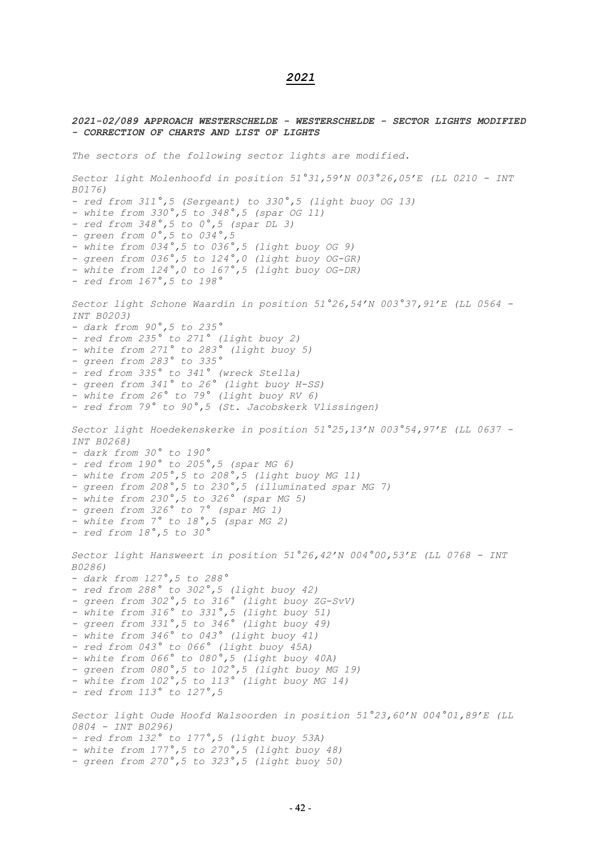## *2021*

# *2021-02/089 APPROACH WESTERSCHELDE - WESTERSCHELDE - SECTOR LIGHTS MODIFIED - CORRECTION OF CHARTS AND LIST OF LIGHTS The sectors of the following sector lights are modified. Sector light Molenhoofd in position 51°31,59'N 003°26,05'E (LL 0210 - INT B0176) - red from 311°,5 (Sergeant) to 330°,5 (light buoy OG 13) - white from 330°,5 to 348°,5 (spar OG 11) - red from 348°,5 to 0°,5 (spar DL 3) - green from 0°,5 to 034°,5 - white from 034°,5 to 036°,5 (light buoy OG 9) - green from 036°,5 to 124°,0 (light buoy OG-GR) - white from 124°,0 to 167°,5 (light buoy OG-DR) - red from 167°,5 to 198° Sector light Schone Waardin in position 51°26,54'N 003°37,91'E (LL 0564 - INT B0203) - dark from 90°,5 to 235° - red from 235° to 271° (light buoy 2) - white from 271° to 283° (light buoy 5) - green from 283° to 335° - red from 335° to 341° (wreck Stella) - green from 341° to 26° (light buoy H-SS) - white from 26° to 79° (light buoy RV 6) - red from 79° to 90°,5 (St. Jacobskerk Vlissingen) Sector light Hoedekenskerke in position 51°25,13'N 003°54,97'E (LL 0637 - INT B0268) - dark from 30° to 190° - red from 190° to 205°,5 (spar MG 6) - white from 205°,5 to 208°,5 (light buoy MG 11) - green from 208°,5 to 230°,5 (illuminated spar MG 7) - white from 230°,5 to 326° (spar MG 5) - green from 326° to 7° (spar MG 1) - white from 7° to 18°,5 (spar MG 2) - red from 18°,5 to 30° Sector light Hansweert in position 51°26,42'N 004°00,53'E (LL 0768 - INT B0286) - dark from 127°,5 to 288° - red from 288° to 302°,5 (light buoy 42) - green from 302°,5 to 316° (light buoy ZG-SvV) - white from 316° to 331°,5 (light buoy 51) - green from 331°,5 to 346° (light buoy 49) - white from 346° to 043° (light buoy 41) - red from 043° to 066° (light buoy 45A) - white from 066° to 080°,5 (light buoy 40A) - green from 080°,5 to 102°,5 (light buoy MG 19) - white from 102°,5 to 113° (light buoy MG 14) - red from 113° to 127°,5 Sector light Oude Hoofd Walsoorden in position 51°23,60'N 004°01,89'E (LL 0804 - INT B0296) - red from 132° to 177°,5 (light buoy 53A) - white from 177°,5 to 270°,5 (light buoy 48) - green from 270°,5 to 323°,5 (light buoy 50)*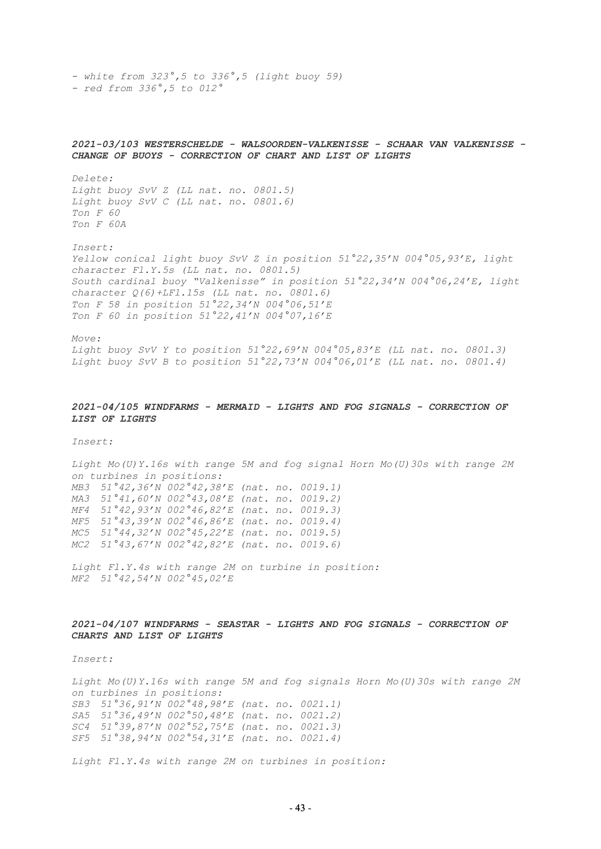*- white from 323°,5 to 336°,5 (light buoy 59) - red from 336°,5 to 012°*

*CHANGE OF BUOYS - CORRECTION OF CHART AND LIST OF LIGHTS Delete: Light buoy SvV Z (LL nat. no. 0801.5) Light buoy SvV C (LL nat. no. 0801.6) Ton F 60 Ton F 60A Insert: Yellow conical light buoy SvV Z in position 51°22,35'N 004°05,93'E, light*

*2021-03/103 WESTERSCHELDE - WALSOORDEN-VALKENISSE - SCHAAR VAN VALKENISSE -*

*character Fl.Y.5s (LL nat. no. 0801.5) South cardinal buoy "Valkenisse" in position 51°22,34'N 004°06,24'E, light character Q(6)+LFl.15s (LL nat. no. 0801.6) Ton F 58 in position 51°22,34'N 004°06,51'E Ton F 60 in position 51°22,41'N 004°07,16'E*

*Move: Light buoy SvV Y to position 51°22,69'N 004°05,83'E (LL nat. no. 0801.3) Light buoy SvV B to position 51°22,73'N 004°06,01'E (LL nat. no. 0801.4)*

### *2021-04/105 WINDFARMS - MERMAID - LIGHTS AND FOG SIGNALS - CORRECTION OF LIST OF LIGHTS*

*Insert:* 

*Light Mo(U)Y.16s with range 5M and fog signal Horn Mo(U)30s with range 2M on turbines in positions: MB3 51°42,36'N 002°42,38'E (nat. no. 0019.1) MA3 51°41,60'N 002°43,08'E (nat. no. 0019.2) MF4 51°42,93'N 002°46,82'E (nat. no. 0019.3) MF5 51°43,39'N 002°46,86'E (nat. no. 0019.4) MC5 51°44,32'N 002°45,22'E (nat. no. 0019.5) MC2 51°43,67'N 002°42,82'E (nat. no. 0019.6)*

*Light Fl.Y.4s with range 2M on turbine in position: MF2 51°42,54'N 002°45,02'E*

## *2021-04/107 WINDFARMS - SEASTAR - LIGHTS AND FOG SIGNALS - CORRECTION OF CHARTS AND LIST OF LIGHTS*

*Insert:* 

*Light Mo(U)Y.16s with range 5M and fog signals Horn Mo(U)30s with range 2M on turbines in positions: SB3 51°36,91'N 002°48,98'E (nat. no. 0021.1) SA5 51°36,49'N 002°50,48'E (nat. no. 0021.2) SC4 51°39,87'N 002°52,75'E (nat. no. 0021.3) SF5 51°38,94'N 002°54,31'E (nat. no. 0021.4)*

*Light Fl.Y.4s with range 2M on turbines in position:*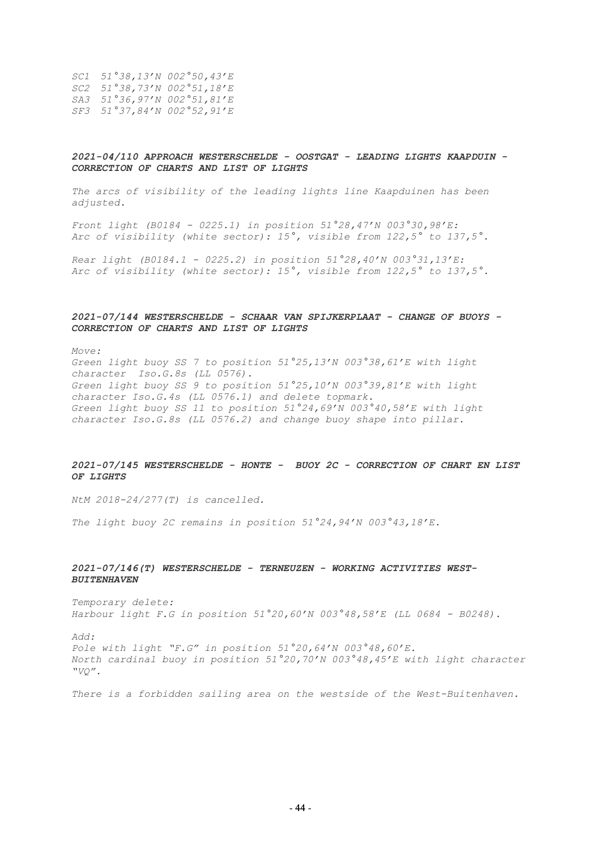*SC1 51°38,13'N 002°50,43'E SC2 51°38,73'N 002°51,18'E SA3 51°36,97'N 002°51,81'E SF3 51°37,84'N 002°52,91'E*

## *2021-04/110 APPROACH WESTERSCHELDE - OOSTGAT - LEADING LIGHTS KAAPDUIN - CORRECTION OF CHARTS AND LIST OF LIGHTS*

*The arcs of visibility of the leading lights line Kaapduinen has been adjusted.*

*Front light (B0184 - 0225.1) in position 51°28,47'N 003°30,98'E: Arc of visibility (white sector): 15°, visible from 122,5° to 137,5°.*

*Rear light (B0184.1 - 0225.2) in position 51°28,40'N 003°31,13'E: Arc of visibility (white sector): 15°, visible from 122,5° to 137,5°.*

## *2021-07/144 WESTERSCHELDE - SCHAAR VAN SPIJKERPLAAT - CHANGE OF BUOYS - CORRECTION OF CHARTS AND LIST OF LIGHTS*

*Move:*

*Green light buoy SS 7 to position 51°25,13'N 003°38,61'E with light character Iso.G.8s (LL 0576). Green light buoy SS 9 to position 51°25,10'N 003°39,81'E with light character Iso.G.4s (LL 0576.1) and delete topmark. Green light buoy SS 11 to position 51°24,69'N 003°40,58'E with light character Iso.G.8s (LL 0576.2) and change buoy shape into pillar.*

## *2021-07/145 WESTERSCHELDE - HONTE - BUOY 2C - CORRECTION OF CHART EN LIST OF LIGHTS*

*NtM 2018-24/277(T) is cancelled.*

*The light buoy 2C remains in position 51°24,94'N 003°43,18'E.*

## *2021-07/146(T) WESTERSCHELDE - TERNEUZEN - WORKING ACTIVITIES WEST-BUITENHAVEN*

*Temporary delete: Harbour light F.G in position 51°20,60'N 003°48,58'E (LL 0684 - B0248).*

*Add:*

*Pole with light "F.G" in position 51°20,64'N 003°48,60'E. North cardinal buoy in position 51°20,70'N 003°48,45'E with light character "VQ".*

*There is a forbidden sailing area on the westside of the West-Buitenhaven.*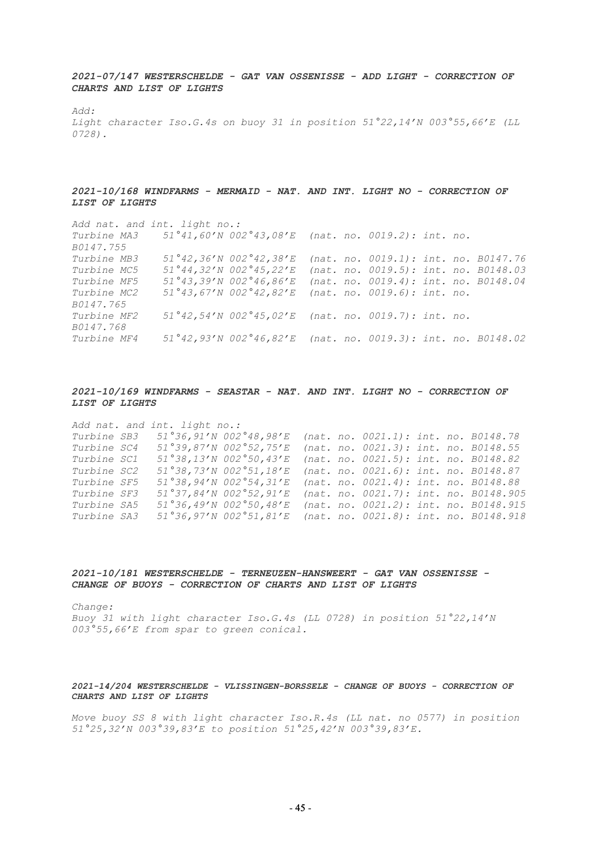*2021-07/147 WESTERSCHELDE - GAT VAN OSSENISSE - ADD LIGHT - CORRECTION OF CHARTS AND LIST OF LIGHTS*

*Add:*

*Light character Iso.G.4s on buoy 31 in position 51°22,14'N 003°55,66'E (LL 0728).*

## *2021-10/168 WINDFARMS - MERMAID - NAT. AND INT. LIGHT NO - CORRECTION OF LIST OF LIGHTS*

*Add nat. and int. light no.: Turbine MA3 51°41,60'N 002°43,08'E (nat. no. 0019.2): int. no. B0147.755 Turbine MB3 51°42,36'N 002°42,38'E (nat. no. 0019.1): int. no. B0147.76 Turbine MC5 51°44,32'N 002°45,22'E (nat. no. 0019.5): int. no. B0148.03 Turbine MF5 51°43,39'N 002°46,86'E (nat. no. 0019.4): int. no. B0148.04 Turbine MC2 51°43,67'N 002°42,82'E (nat. no. 0019.6): int. no. B0147.765 Turbine MF2 51°42,54'N 002°45,02'E (nat. no. 0019.7): int. no. B0147.768 Turbine MF4 51°42,93'N 002°46,82'E (nat. no. 0019.3): int. no. B0148.02*

## *2021-10/169 WINDFARMS - SEASTAR - NAT. AND INT. LIGHT NO - CORRECTION OF LIST OF LIGHTS*

*Add nat. and int. light no.: Turbine SB3 51°36,91'N 002°48,98'E (nat. no. 0021.1): int. no. B0148.78 Turbine SC4 51°39,87'N 002°52,75'E (nat. no. 0021.3): int. no. B0148.55 Turbine SC1 51°38,13'N 002°50,43'E (nat. no. 0021.5): int. no. B0148.82 Turbine SC2 51°38,73'N 002°51,18'E (nat. no. 0021.6): int. no. B0148.87 Turbine SF5 51°38,94'N 002°54,31'E (nat. no. 0021.4): int. no. B0148.88 Turbine SF3 51°37,84'N 002°52,91'E (nat. no. 0021.7): int. no. B0148.905 Turbine SA5 51°36,49'N 002°50,48'E (nat. no. 0021.2): int. no. B0148.915 Turbine SA3 51°36,97'N 002°51,81'E (nat. no. 0021.8): int. no. B0148.918*

#### *2021-10/181 WESTERSCHELDE - TERNEUZEN-HANSWEERT - GAT VAN OSSENISSE - CHANGE OF BUOYS - CORRECTION OF CHARTS AND LIST OF LIGHTS*

*Change: Buoy 31 with light character Iso.G.4s (LL 0728) in position 51°22,14'N 003°55,66'E from spar to green conical.*

#### *2021-14/204 WESTERSCHELDE - VLISSINGEN-BORSSELE - CHANGE OF BUOYS - CORRECTION OF CHARTS AND LIST OF LIGHTS*

*Move buoy SS 8 with light character Iso.R.4s (LL nat. no 0577) in position 51°25,32'N 003°39,83'E to position 51°25,42'N 003°39,83'E.*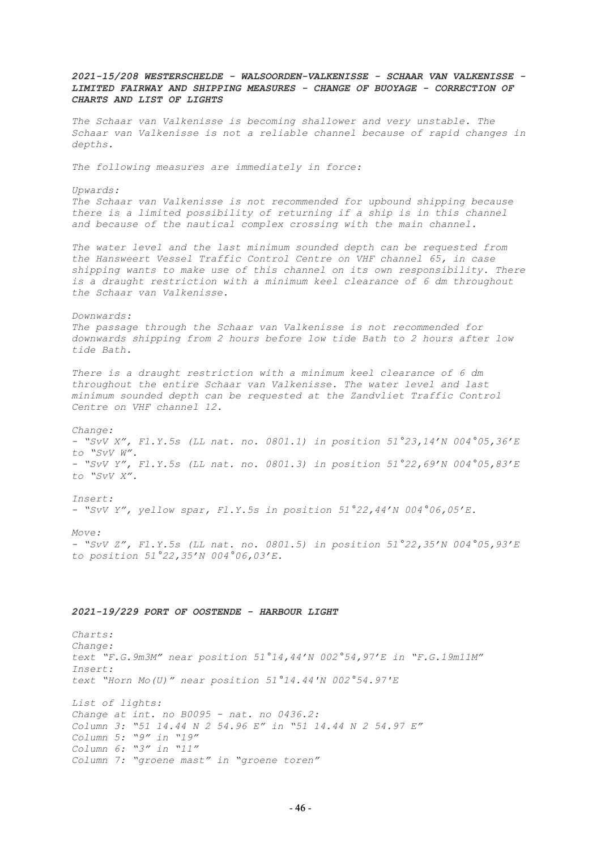*2021-15/208 WESTERSCHELDE - WALSOORDEN-VALKENISSE - SCHAAR VAN VALKENISSE - LIMITED FAIRWAY AND SHIPPING MEASURES - CHANGE OF BUOYAGE - CORRECTION OF CHARTS AND LIST OF LIGHTS The Schaar van Valkenisse is becoming shallower and very unstable. The Schaar van Valkenisse is not a reliable channel because of rapid changes in depths. The following measures are immediately in force: Upwards: The Schaar van Valkenisse is not recommended for upbound shipping because there is a limited possibility of returning if a ship is in this channel and because of the nautical complex crossing with the main channel. The water level and the last minimum sounded depth can be requested from the Hansweert Vessel Traffic Control Centre on VHF channel 65, in case shipping wants to make use of this channel on its own responsibility. There is a draught restriction with a minimum keel clearance of 6 dm throughout the Schaar van Valkenisse. Downwards: The passage through the Schaar van Valkenisse is not recommended for downwards shipping from 2 hours before low tide Bath to 2 hours after low tide Bath. There is a draught restriction with a minimum keel clearance of 6 dm throughout the entire Schaar van Valkenisse. The water level and last minimum sounded depth can be requested at the Zandvliet Traffic Control Centre on VHF channel 12. Change: - "SvV X", Fl.Y.5s (LL nat. no. 0801.1) in position 51°23,14'N 004°05,36'E to "SvV W". - "SvV Y", Fl.Y.5s (LL nat. no. 0801.3) in position 51°22,69'N 004°05,83'E to "SvV X". Insert: - "SvV Y", yellow spar, Fl.Y.5s in position 51°22,44'N 004°06,05'E. Move: - "SvV Z", Fl.Y.5s (LL nat. no. 0801.5) in position 51°22,35'N 004°05,93'E to position 51°22,35'N 004°06,03'E. 2021-19/229 PORT OF OOSTENDE - HARBOUR LIGHT Charts: Change: text "F.G.9m3M" near position 51°14,44'N 002°54,97'E in "F.G.19m11M" Insert: text "Horn Mo(U)" near position 51°14.44'N 002°54.97'E List of lights: Change at int. no B0095 - nat. no 0436.2: Column 3: "51 14.44 N 2 54.96 E" in "51 14.44 N 2 54.97 E" Column 5: "9" in "19" Column 6: "3" in "11"*

*Column 7: "groene mast" in "groene toren"*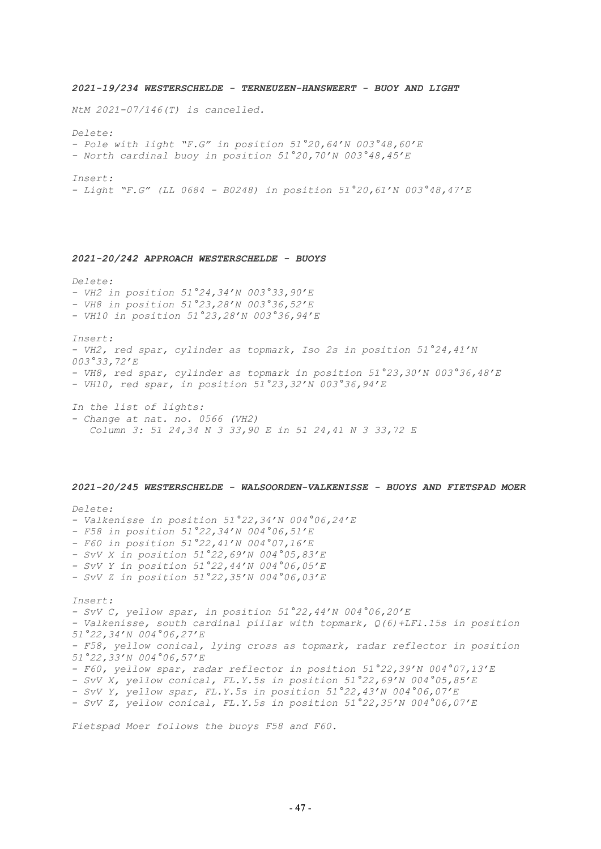*2021-19/234 WESTERSCHELDE - TERNEUZEN-HANSWEERT - BUOY AND LIGHT NtM 2021-07/146(T) is cancelled. Delete: - Pole with light "F.G" in position 51°20,64'N 003°48,60'E - North cardinal buoy in position 51°20,70'N 003°48,45'E Insert: - Light "F.G" (LL 0684 - B0248) in position 51°20,61'N 003°48,47'E 2021-20/242 APPROACH WESTERSCHELDE - BUOYS Delete: - VH2 in position 51°24,34'N 003°33,90'E - VH8 in position 51°23,28'N 003°36,52'E - VH10 in position 51°23,28'N 003°36,94'E Insert: - VH2, red spar, cylinder as topmark, Iso 2s in position 51°24,41'N 003°33,72'E - VH8, red spar, cylinder as topmark in position 51°23,30'N 003°36,48'E - VH10, red spar, in position 51°23,32'N 003°36,94'E In the list of lights: - Change at nat. no. 0566 (VH2) Column 3: 51 24,34 N 3 33,90 E in 51 24,41 N 3 33,72 E 2021-20/245 WESTERSCHELDE - WALSOORDEN-VALKENISSE - BUOYS AND FIETSPAD MOER Delete: - Valkenisse in position 51°22,34'N 004°06,24'E - F58 in position 51°22,34'N 004°06,51'E - F60 in position 51°22,41'N 004°07,16'E - SvV X in position 51°22,69'N 004°05,83'E - SvV Y in position 51°22,44'N 004°06,05'E - SvV Z in position 51°22,35'N 004°06,03'E Insert: - SvV C, yellow spar, in position 51°22,44'N 004°06,20'E - Valkenisse, south cardinal pillar with topmark, Q(6)+LFl.15s in position 51°22,34'N 004°06,27'E - F58, yellow conical, lying cross as topmark, radar reflector in position 51°22,33'N 004°06,57'E - F60, yellow spar, radar reflector in position 51°22,39'N 004°07,13'E - SvV X, yellow conical, FL.Y.5s in position 51°22,69'N 004°05,85'E - SvV Y, yellow spar, FL.Y.5s in position 51°22,43'N 004°06,07'E - SvV Z, yellow conical, FL.Y.5s in position 51°22,35'N 004°06,07'E*

*Fietspad Moer follows the buoys F58 and F60.*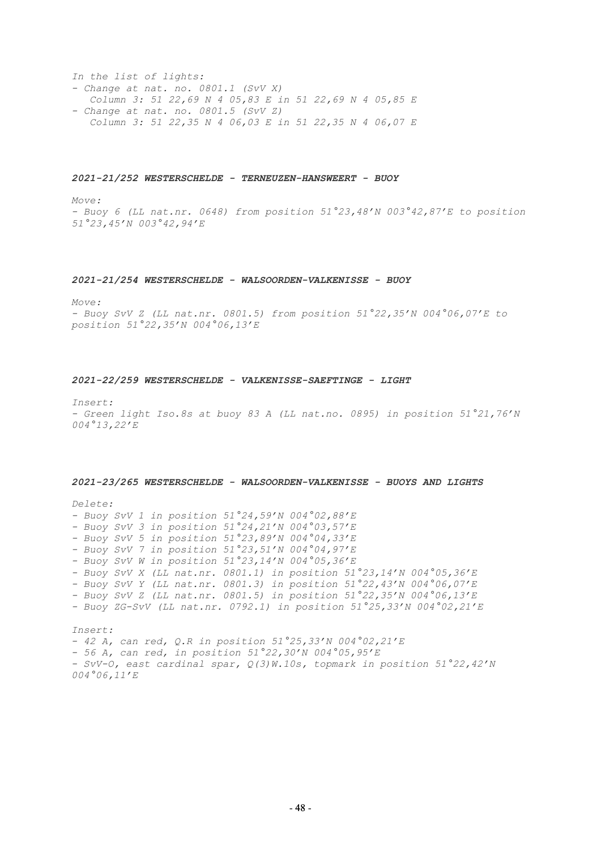*In the list of lights: - Change at nat. no. 0801.1 (SvV X) Column 3: 51 22,69 N 4 05,83 E in 51 22,69 N 4 05,85 E - Change at nat. no. 0801.5 (SvV Z) Column 3: 51 22,35 N 4 06,03 E in 51 22,35 N 4 06,07 E*

#### *2021-21/252 WESTERSCHELDE - TERNEUZEN-HANSWEERT - BUOY*

*Move:*

*- Buoy 6 (LL nat.nr. 0648) from position 51°23,48'N 003°42,87'E to position 51°23,45'N 003°42,94'E*

#### *2021-21/254 WESTERSCHELDE - WALSOORDEN-VALKENISSE - BUOY*

*Move:*

*- Buoy SvV Z (LL nat.nr. 0801.5) from position 51°22,35'N 004°06,07'E to position 51°22,35'N 004°06,13'E*

## *2021-22/259 WESTERSCHELDE - VALKENISSE-SAEFTINGE - LIGHT*

*Insert:*

*- Green light Iso.8s at buoy 83 A (LL nat.no. 0895) in position 51°21,76'N 004°13,22'E*

#### *2021-23/265 WESTERSCHELDE - WALSOORDEN-VALKENISSE - BUOYS AND LIGHTS*

*Delete: - Buoy SvV 1 in position 51°24,59'N 004°02,88'E - Buoy SvV 3 in position 51°24,21'N 004°03,57'E - Buoy SvV 5 in position 51°23,89'N 004°04,33'E - Buoy SvV 7 in position 51°23,51'N 004°04,97'E - Buoy SvV W in position 51°23,14'N 004°05,36'E - Buoy SvV X (LL nat.nr. 0801.1) in position 51°23,14'N 004°05,36'E - Buoy SvV Y (LL nat.nr. 0801.3) in position 51°22,43'N 004°06,07'E - Buoy SvV Z (LL nat.nr. 0801.5) in position 51°22,35'N 004°06,13'E - Buoy ZG-SvV (LL nat.nr. 0792.1) in position 51°25,33'N 004°02,21'E Insert: - 42 A, can red, Q.R in position 51°25,33'N 004°02,21'E - 56 A, can red, in position 51°22,30'N 004°05,95'E*

*- SvV-O, east cardinal spar, Q(3)W.10s, topmark in position 51°22,42'N 004°06,11'E*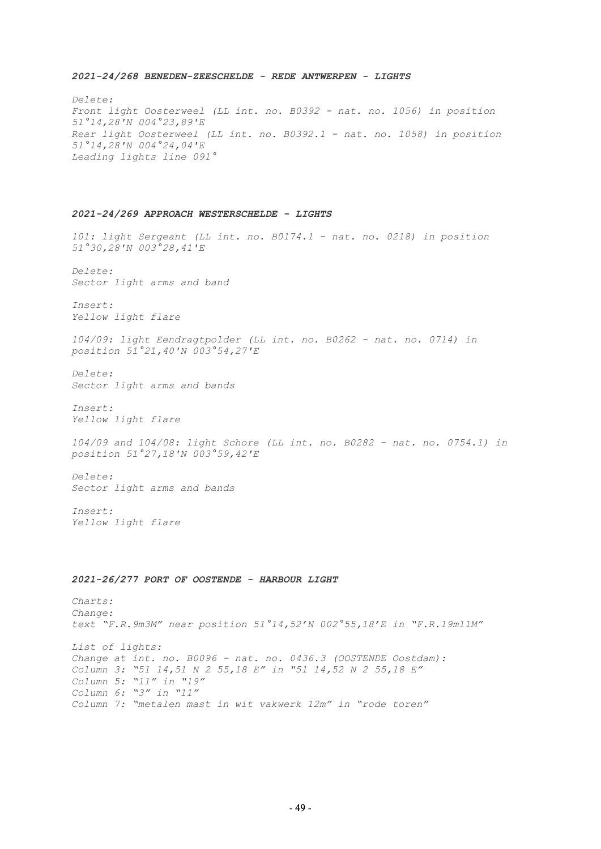#### *2021-24/268 BENEDEN-ZEESCHELDE - REDE ANTWERPEN - LIGHTS*

*Delete: Front light Oosterweel (LL int. no. B0392 - nat. no. 1056) in position 51°14,28'N 004°23,89'E Rear light Oosterweel (LL int. no. B0392.1 - nat. no. 1058) in position 51°14,28'N 004°24,04'E Leading lights line 091°*

## *2021-24/269 APPROACH WESTERSCHELDE - LIGHTS*

*101: light Sergeant (LL int. no. B0174.1 - nat. no. 0218) in position 51°30,28'N 003°28,41'E*

*Delete: Sector light arms and band*

*Insert: Yellow light flare*

*104/09: light Eendragtpolder (LL int. no. B0262 - nat. no. 0714) in position 51°21,40'N 003°54,27'E*

*Delete: Sector light arms and bands*

*Insert: Yellow light flare*

*104/09 and 104/08: light Schore (LL int. no. B0282 - nat. no. 0754.1) in position 51°27,18'N 003°59,42'E*

*Delete: Sector light arms and bands*

*Insert: Yellow light flare*

#### *2021-26/277 PORT OF OOSTENDE - HARBOUR LIGHT*

*Charts: Change: text "F.R.9m3M" near position 51°14,52'N 002°55,18'E in "F.R.19m11M" List of lights: Change at int. no. B0096 - nat. no. 0436.3 (OOSTENDE Oostdam): Column 3: "51 14,51 N 2 55,18 E" in "51 14,52 N 2 55,18 E" Column 5: "11" in "19" Column 6: "3" in "11" Column 7: "metalen mast in wit vakwerk 12m" in "rode toren"*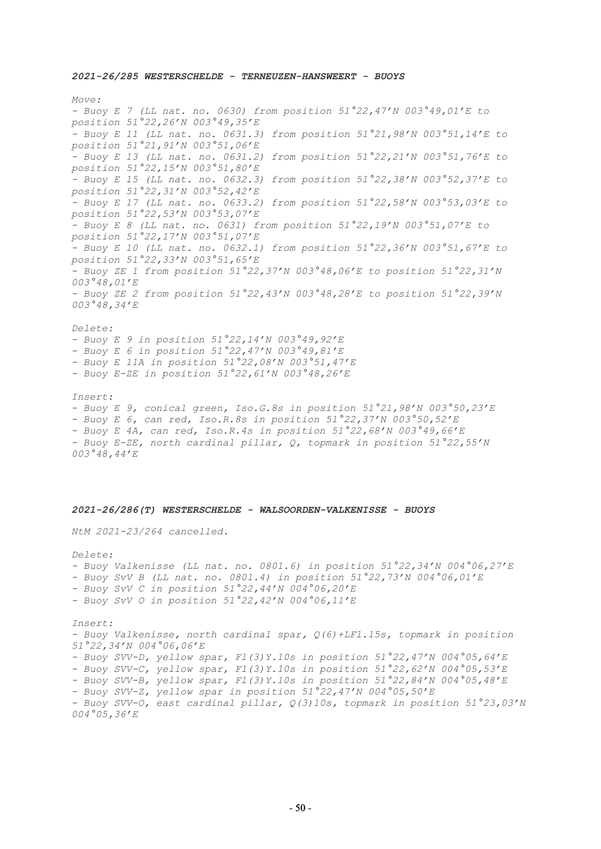*2021-26/285 WESTERSCHELDE - TERNEUZEN-HANSWEERT - BUOYS*

*Move: - Buoy E 7 (LL nat. no. 0630) from position 51°22,47'N 003°49,01'E to position 51°22,26'N 003°49,35'E - Buoy E 11 (LL nat. no. 0631.3) from position 51°21,98'N 003°51,14'E to position 51°21,91'N 003°51,06'E - Buoy E 13 (LL nat. no. 0631.2) from position 51°22,21'N 003°51,76'E to position 51°22,15'N 003°51,80'E - Buoy E 15 (LL nat. no. 0632.3) from position 51°22,38'N 003°52,37'E to position 51°22,31'N 003°52,42'E - Buoy E 17 (LL nat. no. 0633.2) from position 51°22,58'N 003°53,03'E to position 51°22,53'N 003°53,07'E - Buoy E 8 (LL nat. no. 0631) from position 51°22,19'N 003°51,07'E to position 51°22,17'N 003°51,07'E - Buoy E 10 (LL nat. no. 0632.1) from position 51°22,36'N 003°51,67'E to position 51°22,33'N 003°51,65'E - Buoy ZE 1 from position 51°22,37'N 003°48,06'E to position 51°22,31'N 003°48,01'E - Buoy ZE 2 from position 51°22,43'N 003°48,28'E to position 51°22,39'N 003°48,34'E Delete: - Buoy E 9 in position 51°22,14'N 003°49,92'E - Buoy E 6 in position 51°22,47'N 003°49,81'E - Buoy E 11A in position 51°22,08'N 003°51,47'E - Buoy E-ZE in position 51°22,61'N 003°48,26'E Insert: - Buoy E 9, conical green, Iso.G.8s in position 51°21,98'N 003°50,23'E - Buoy E 6, can red, Iso.R.8s in position 51°22,37'N 003°50,52'E - Buoy E 4A, can red, Iso.R.4s in position 51°22,68'N 003°49,66'E*

*- Buoy E-ZE, north cardinal pillar, Q, topmark in position 51°22,55'N 003°48,44'E*

#### *2021-26/286(T) WESTERSCHELDE - WALSOORDEN-VALKENISSE - BUOYS*

*NtM 2021-23/264 cancelled.*

*Delete: - Buoy Valkenisse (LL nat. no. 0801.6) in position 51°22,34'N 004°06,27'E - Buoy SvV B (LL nat. no. 0801.4) in position 51°22,73'N 004°06,01'E - Buoy SvV C in position 51°22,44'N 004°06,20'E - Buoy SvV O in position 51°22,42'N 004°06,11'E Insert: - Buoy Valkenisse, north cardinal spar, Q(6)+LFl.15s, topmark in position 51°22,34'N 004°06,06'E - Buoy SVV-D, yellow spar, Fl(3)Y.10s in position 51°22,47'N 004°05,64'E - Buoy SVV-C, yellow spar, Fl(3)Y.10s in position 51°22,62'N 004°05,53'E - Buoy SVV-B, yellow spar, Fl(3)Y.10s in position 51°22,84'N 004°05,48'E - Buoy SVV-Z, yellow spar in position 51°22,47'N 004°05,50'E - Buoy SVV-O, east cardinal pillar, Q(3)10s, topmark in position 51°23,03'N 004°05,36'E*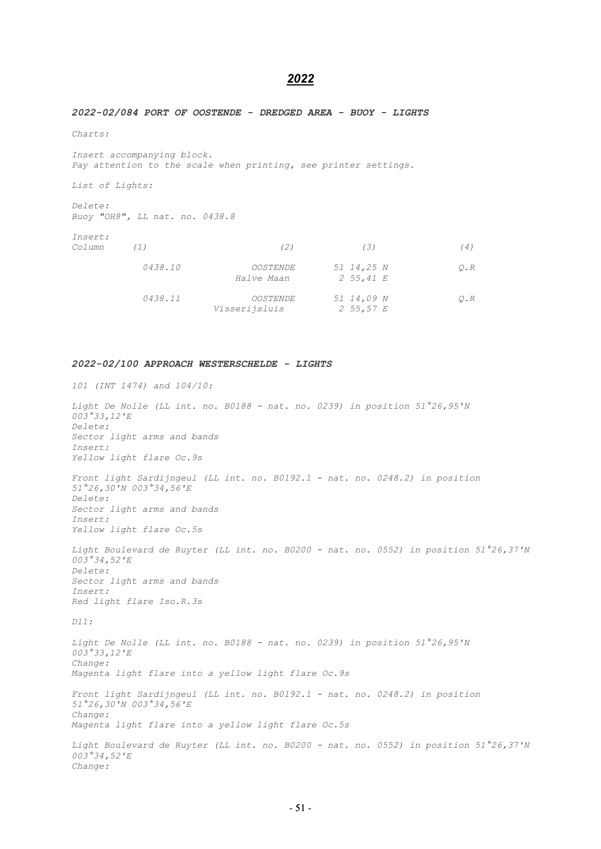# *2022*

#### *2022-02/084 PORT OF OOSTENDE - DREDGED AREA - BUOY - LIGHTS*

*Charts:* 

*Insert accompanying block. Pay attention to the scale when printing, see printer settings.* 

*List of Lights:* 

*Delete: Buoy "OH8", LL nat. no. 0438.8* 

| Insert: |  |
|---------|--|
| Column  |  |

| Insert:<br>Column | (1)     | (2)                              | (3)                             | '4)       |
|-------------------|---------|----------------------------------|---------------------------------|-----------|
|                   | 0438.10 | <i>OOSTENDE</i><br>Halve Maan    | 51 14,25 N<br>$2\;\;55,41\;\;E$ | $O$ . $R$ |
|                   | 0438.11 | <i>OOSTENDE</i><br>Visserijsluis | 51 14,09 N<br>2 55,57 $E$       | $O$ . $R$ |

#### *2022-02/100 APPROACH WESTERSCHELDE - LIGHTS*

*101 (INT 1474) and 104/10:* 

*Light De Nolle (LL int. no. B0188 - nat. no. 0239) in position 51°26,95'N 003°33,12'E Delete: Sector light arms and bands Insert: Yellow light flare Oc.9s Front light Sardijngeul (LL int. no. B0192.1 - nat. no. 0248.2) in position 51°26,30'N 003°34,56'E Delete: Sector light arms and bands Insert: Yellow light flare Oc.5s Light Boulevard de Ruyter (LL int. no. B0200 - nat. no. 0552) in position 51°26,37'N 003°34,52'E Delete: Sector light arms and bands* 

*Insert: Red light flare Iso.R.3s* 

*D11:* 

*Light De Nolle (LL int. no. B0188 - nat. no. 0239) in position 51°26,95'N 003°33,12'E Change: Magenta light flare into a yellow light flare Oc.9s Front light Sardijngeul (LL int. no. B0192.1 - nat. no. 0248.2) in position 51°26,30'N 003°34,56'E Change: Magenta light flare into a yellow light flare Oc.5s Light Boulevard de Ruyter (LL int. no. B0200 - nat. no. 0552) in position 51°26,37'N 003°34,52'E Change:*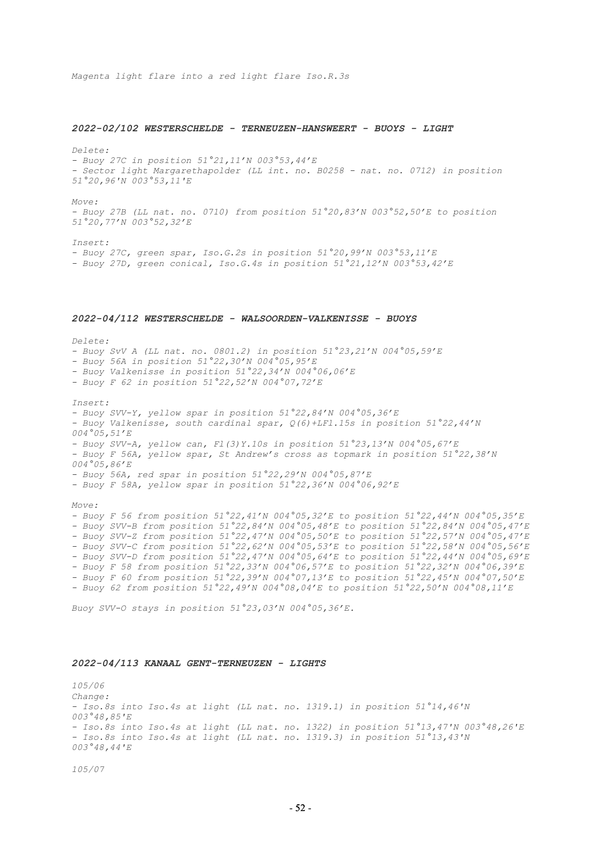*Magenta light flare into a red light flare Iso.R.3s*

#### *2022-02/102 WESTERSCHELDE - TERNEUZEN-HANSWEERT - BUOYS - LIGHT*

*Delete:*

*- Buoy 27C in position 51°21,11'N 003°53,44'E - Sector light Margarethapolder (LL int. no. B0258 - nat. no. 0712) in position 51°20,96'N 003°53,11'E*

*Move:*

*- Buoy 27B (LL nat. no. 0710) from position 51°20,83'N 003°52,50'E to position 51°20,77'N 003°52,32'E*

*Insert:*

*- Buoy 27C, green spar, Iso.G.2s in position 51°20,99'N 003°53,11'E - Buoy 27D, green conical, Iso.G.4s in position 51°21,12'N 003°53,42'E*

#### *2022-04/112 WESTERSCHELDE - WALSOORDEN-VALKENISSE - BUOYS*

*Delete:*

*- Buoy SvV A (LL nat. no. 0801.2) in position 51°23,21'N 004°05,59'E*

- *- Buoy 56A in position 51°22,30'N 004°05,95'E*
- *- Buoy Valkenisse in position 51°22,34'N 004°06,06'E*
- *- Buoy F 62 in position 51°22,52'N 004°07,72'E*

*Insert:*

*- Buoy SVV-Y, yellow spar in position 51°22,84'N 004°05,36'E - Buoy Valkenisse, south cardinal spar, Q(6)+LFl.15s in position 51°22,44'N 004°05,51'E - Buoy SVV-A, yellow can, Fl(3)Y.10s in position 51°23,13'N 004°05,67'E - Buoy F 56A, yellow spar, St Andrew's cross as topmark in position 51°22,38'N 004°05,86'E - Buoy 56A, red spar in position 51°22,29'N 004°05,87'E - Buoy F 58A, yellow spar in position 51°22,36'N 004°06,92'E Move: - Buoy F 56 from position 51°22,41'N 004°05,32'E to position 51°22,44'N 004°05,35'E - Buoy SVV-B from position 51°22,84'N 004°05,48'E to position 51°22,84'N 004°05,47'E - Buoy SVV-Z from position 51°22,47'N 004°05,50'E to position 51°22,57'N 004°05,47'E - Buoy SVV-C from position 51°22,62'N 004°05,53'E to position 51°22,58'N 004°05,56'E - Buoy SVV-D from position 51°22,47'N 004°05,64'E to position 51°22,44'N 004°05,69'E - Buoy F 58 from position 51°22,33'N 004°06,57'E to position 51°22,32'N 004°06,39'E - Buoy F 60 from position 51°22,39'N 004°07,13'E to position 51°22,45'N 004°07,50'E - Buoy 62 from position 51°22,49'N 004°08,04'E to position 51°22,50'N 004°08,11'E*

*Buoy SVV-O stays in position 51°23,03'N 004°05,36'E.*

## *2022-04/113 KANAAL GENT-TERNEUZEN - LIGHTS*

*105/06 Change: - Iso.8s into Iso.4s at light (LL nat. no. 1319.1) in position 51°14,46'N 003°48,85'E - Iso.8s into Iso.4s at light (LL nat. no. 1322) in position 51°13,47'N 003°48,26'E - Iso.8s into Iso.4s at light (LL nat. no. 1319.3) in position 51°13,43'N 003°48,44'E*

*105/07*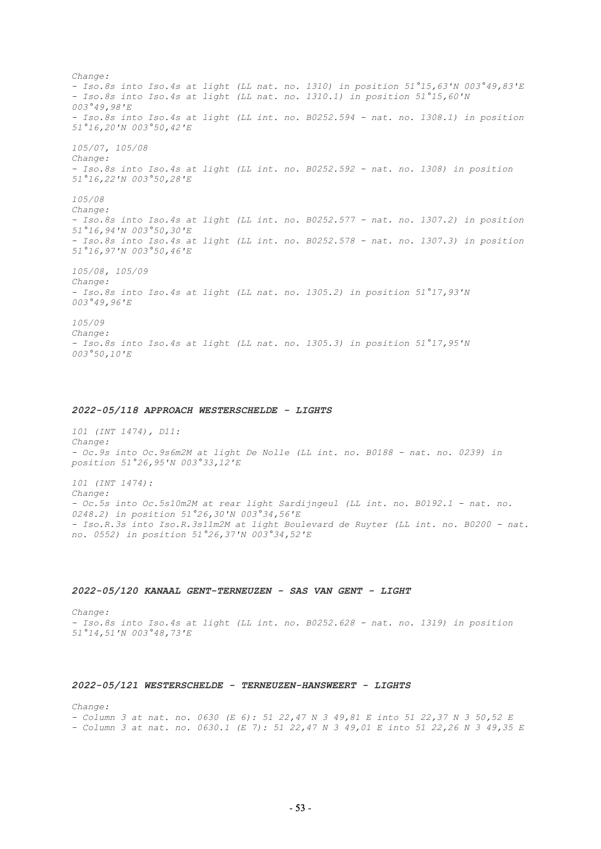*Change: - Iso.8s into Iso.4s at light (LL nat. no. 1310) in position 51°15,63'N 003°49,83'E - Iso.8s into Iso.4s at light (LL nat. no. 1310.1) in position 51°15,60'N 003°49,98'E - Iso.8s into Iso.4s at light (LL int. no. B0252.594 - nat. no. 1308.1) in position 51°16,20'N 003°50,42'E 105/07, 105/08 Change: - Iso.8s into Iso.4s at light (LL int. no. B0252.592 - nat. no. 1308) in position 51°16,22'N 003°50,28'E 105/08 Change: - Iso.8s into Iso.4s at light (LL int. no. B0252.577 - nat. no. 1307.2) in position 51°16,94'N 003°50,30'E - Iso.8s into Iso.4s at light (LL int. no. B0252.578 - nat. no. 1307.3) in position 51°16,97'N 003°50,46'E 105/08, 105/09 Change: - Iso.8s into Iso.4s at light (LL nat. no. 1305.2) in position 51°17,93'N 003°49,96'E 105/09 Change: - Iso.8s into Iso.4s at light (LL nat. no. 1305.3) in position 51°17,95'N 003°50,10'E*

#### *2022-05/118 APPROACH WESTERSCHELDE - LIGHTS*

*101 (INT 1474), D11: Change: - Oc.9s into Oc.9s6m2M at light De Nolle (LL int. no. B0188 - nat. no. 0239) in position 51°26,95'N 003°33,12'E*

*101 (INT 1474): Change: - Oc.5s into Oc.5s10m2M at rear light Sardijngeul (LL int. no. B0192.1 - nat. no. 0248.2) in position 51°26,30'N 003°34,56'E - Iso.R.3s into Iso.R.3s11m2M at light Boulevard de Ruyter (LL int. no. B0200 - nat. no. 0552) in position 51°26,37'N 003°34,52'E*

#### *2022-05/120 KANAAL GENT-TERNEUZEN - SAS VAN GENT - LIGHT*

*Change: - Iso.8s into Iso.4s at light (LL int. no. B0252.628 - nat. no. 1319) in position 51°14,51'N 003°48,73'E*

#### *2022-05/121 WESTERSCHELDE - TERNEUZEN-HANSWEERT - LIGHTS*

*Change:*

*- Column 3 at nat. no. 0630 (E 6): 51 22,47 N 3 49,81 E into 51 22,37 N 3 50,52 E - Column 3 at nat. no. 0630.1 (E 7): 51 22,47 N 3 49,01 E into 51 22,26 N 3 49,35 E*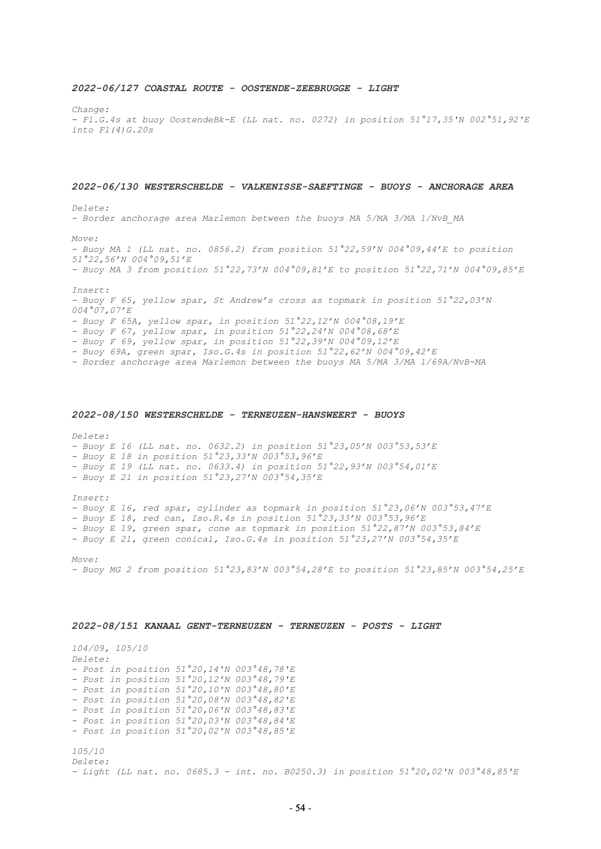#### *2022-06/127 COASTAL ROUTE - OOSTENDE-ZEEBRUGGE - LIGHT*

*Change:*

*- Fl.G.4s at buoy OostendeBk-E (LL nat. no. 0272) in position 51°17,35'N 002°51,92'E into Fl(4)G.20s*

#### *2022-06/130 WESTERSCHELDE - VALKENISSE-SAEFTINGE - BUOYS - ANCHORAGE AREA*

*Delete:*

*- Border anchorage area Marlemon between the buoys MA 5/MA 3/MA 1/NvB\_MA*

*Move:*

*- Buoy MA 1 (LL nat. no. 0856.2) from position 51°22,59'N 004°09,44'E to position 51°22,56'N 004°09,51'E - Buoy MA 3 from position 51°22,73'N 004°09,81'E to position 51°22,71'N 004°09,85'E*

*Insert:*

*- Buoy F 65, yellow spar, St Andrew's cross as topmark in position 51°22,03'N 004°07,07'E*

*- Buoy F 65A, yellow spar, in position 51°22,12'N 004°08,19'E*

*- Buoy F 67, yellow spar, in position 51°22,24'N 004°08,68'E*

*- Buoy F 69, yellow spar, in position 51°22,39'N 004°09,12'E*

*- Buoy 69A, green spar, Iso.G.4s in position 51°22,62'N 004°09,42'E*

*- Border anchorage area Marlemon between the buoys MA 5/MA 3/MA 1/69A/NvB-MA*

#### *2022-08/150 WESTERSCHELDE - TERNEUZEN-HANSWEERT - BUOYS*

*Delete:* 

*- Buoy E 16 (LL nat. no. 0632.2) in position 51°23,05'N 003°53,53'E* 

*- Buoy E 18 in position 51°23,33'N 003°53,96'E* 

*- Buoy E 19 (LL nat. no. 0633.4) in position 51°22,93'N 003°54,01'E* 

*- Buoy E 21 in position 51°23,27'N 003°54,35'E* 

*Insert:* 

*- Buoy E 16, red spar, cylinder as topmark in position 51°23,06'N 003°53,47'E* 

*- Buoy E 18, red can, Iso.R.4s in position 51°23,33'N 003°53,96'E* 

*- Buoy E 19, green spar, cone as topmark in position 51°22,87'N 003°53,84'E* 

*- Buoy E 21, green conical, Iso.G.4s in position 51°23,27'N 003°54,35'E* 

*Move:* 

*- Buoy MG 2 from position 51°23,83'N 003°54,28'E to position 51°23,85'N 003°54,25'E*

#### *2022-08/151 KANAAL GENT-TERNEUZEN - TERNEUZEN - POSTS - LIGHT*

*104/09, 105/10 Delete: - Post in position 51°20,14'N 003°48,78'E - Post in position 51°20,12'N 003°48,79'E - Post in position 51°20,10'N 003°48,80'E - Post in position 51°20,08'N 003°48,82'E - Post in position 51°20,06'N 003°48,83'E - Post in position 51°20,03'N 003°48,84'E - Post in position 51°20,02'N 003°48,85'E 105/10 Delete: - Light (LL nat. no. 0685.3 - int. no. B0250.3) in position 51°20,02'N 003°48,85'E*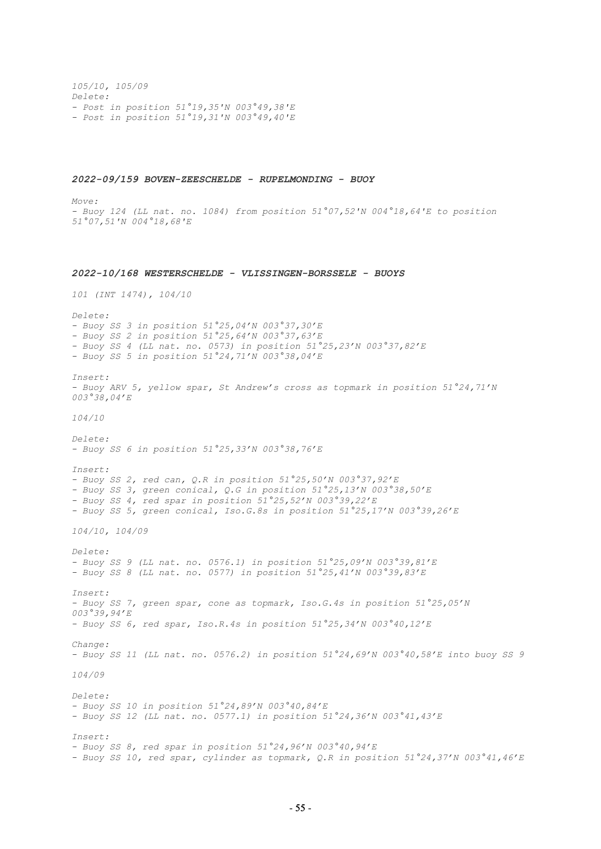*105/10, 105/09 Delete: - Post in position 51°19,35'N 003°49,38'E - Post in position 51°19,31'N 003°49,40'E*

#### *2022-09/159 BOVEN-ZEESCHELDE - RUPELMONDING - BUOY*

*Move: - Buoy 124 (LL nat. no. 1084) from position 51°07,52'N 004°18,64'E to position 51°07,51'N 004°18,68'E 2022-10/168 WESTERSCHELDE - VLISSINGEN-BORSSELE - BUOYS 101 (INT 1474), 104/10 Delete: - Buoy SS 3 in position 51°25,04'N 003°37,30'E - Buoy SS 2 in position 51°25,64'N 003°37,63'E - Buoy SS 4 (LL nat. no. 0573) in position 51°25,23'N 003°37,82'E - Buoy SS 5 in position 51°24,71'N 003°38,04'E Insert: - Buoy ARV 5, yellow spar, St Andrew's cross as topmark in position 51°24,71'N 003°38,04'E 104/10 Delete: - Buoy SS 6 in position 51°25,33'N 003°38,76'E Insert: - Buoy SS 2, red can, Q.R in position 51°25,50'N 003°37,92'E - Buoy SS 3, green conical, Q.G in position 51°25,13'N 003°38,50'E - Buoy SS 4, red spar in position 51°25,52'N 003°39,22'E - Buoy SS 5, green conical, Iso.G.8s in position 51°25,17'N 003°39,26'E 104/10, 104/09 Delete: - Buoy SS 9 (LL nat. no. 0576.1) in position 51°25,09'N 003°39,81'E - Buoy SS 8 (LL nat. no. 0577) in position 51°25,41'N 003°39,83'E Insert: - Buoy SS 7, green spar, cone as topmark, Iso.G.4s in position 51°25,05'N 003°39,94'E - Buoy SS 6, red spar, Iso.R.4s in position 51°25,34'N 003°40,12'E Change: - Buoy SS 11 (LL nat. no. 0576.2) in position 51°24,69'N 003°40,58'E into buoy SS 9 104/09 Delete: - Buoy SS 10 in position 51°24,89'N 003°40,84'E - Buoy SS 12 (LL nat. no. 0577.1) in position 51°24,36'N 003°41,43'E Insert: - Buoy SS 8, red spar in position 51°24,96'N 003°40,94'E - Buoy SS 10, red spar, cylinder as topmark, Q.R in position 51°24,37'N 003°41,46'E*